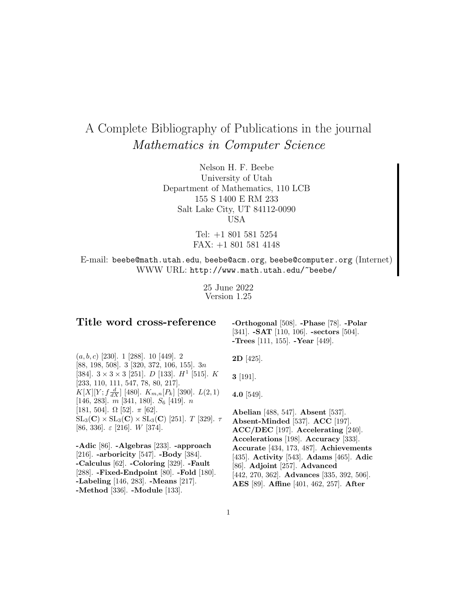# A Complete Bibliography of Publications in the journal Mathematics in Computer Science

Nelson H. F. Beebe University of Utah Department of Mathematics, 110 LCB 155 S 1400 E RM 233 Salt Lake City, UT 84112-0090 USA

> Tel: +1 801 581 5254 FAX: +1 801 581 4148

E-mail: beebe@math.utah.edu, beebe@acm.org, beebe@computer.org (Internet) WWW URL: http://www.math.utah.edu/~beebe/

> 25 June 2022 Version 1.25

# **Title word cross-reference**

**-Orthogonal** [508]. **-Phase** [78]. **-Polar** [341]. **-SAT** [110, 106]. **-sectors** [504]. **-Trees** [111, 155]. **-Year** [449].

 $(a, b, c)$  [230]. 1 [288]. 10 [449]. 2 [88, 198, 508]. 3 [320, 372, 106, 155]. 3n [384].  $3 \times 3 \times 3$  [251]. *D* [133]. *H*<sup>1</sup> [515]. *K* [233, 110, 111, 547, 78, 80, 217].  $K[X][Y; f\frac{d}{dX}]$  [480].  $K_{m,n}[P_k]$  [390].  $L(2,1)$ [146, 283].  $\overline{m}$  [341, 180].  $S_6$  [419].  $\overline{n}$ [181, 504].  $\Omega$  [52].  $\pi$  [62].  $SL_3(\mathbf{C}) \times SL_3(\mathbf{C}) \times SL_3(\mathbf{C})$  [251]. T [329].  $\tau$ [86, 336].  $\varepsilon$  [216]. W [374].

**-Adic** [86]. **-Algebras** [233]. **-approach** [216]. **-arboricity** [547]. **-Body** [384]. **-Calculus** [62]. **-Coloring** [329]. **-Fault** [288]. **-Fixed-Endpoint** [80]. **-Fold** [180]. **-Labeling** [146, 283]. **-Means** [217]. **-Method** [336]. **-Module** [133].

**2D** [425].

**3** [191].

**4.0** [549].

**Abelian** [488, 547]. **Absent** [537]. **Absent-Minded** [537]. **ACC** [197]. **ACC/DEC** [197]. **Accelerating** [240]. **Accelerations** [198]. **Accuracy** [333]. **Accurate** [434, 173, 487]. **Achievements** [435]. **Activity** [543]. **Adams** [465]. **Adic** [86]. **Adjoint** [257]. **Advanced** [442, 270, 362]. **Advances** [335, 392, 506]. **AES** [89]. **Affine** [401, 462, 257]. **After**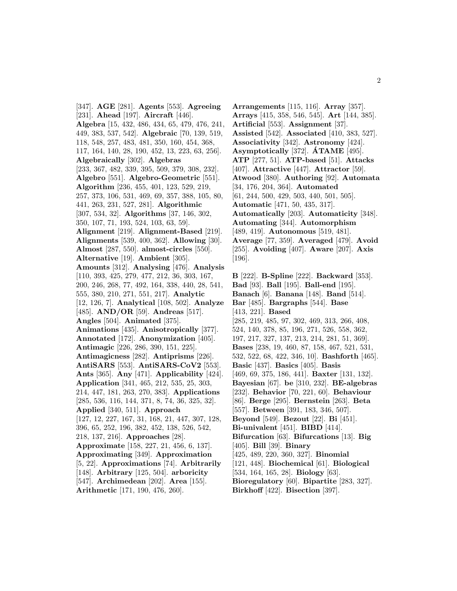[347]. **AGE** [281]. **Agents** [553]. **Agreeing** [231]. **Ahead** [197]. **Aircraft** [446]. **Algebra** [15, 432, 486, 434, 65, 479, 476, 241, 449, 383, 537, 542]. **Algebraic** [70, 139, 519, 118, 548, 257, 483, 481, 350, 160, 454, 368, 117, 164, 140, 28, 190, 452, 13, 223, 63, 256]. **Algebraically** [302]. **Algebras** [233, 367, 482, 339, 395, 509, 379, 308, 232]. **Algebro** [551]. **Algebro-Geometric** [551]. **Algorithm** [236, 455, 401, 123, 529, 219, 257, 373, 106, 531, 469, 69, 357, 388, 105, 80, 441, 263, 231, 527, 281]. **Algorithmic** [307, 534, 32]. **Algorithms** [37, 146, 302, 350, 107, 71, 193, 524, 103, 63, 59]. **Alignment** [219]. **Alignment-Based** [219]. **Alignments** [539, 400, 362]. **Allowing** [30]. **Almost** [287, 550]. **almost-circles** [550]. **Alternative** [19]. **Ambient** [305]. **Amounts** [312]. **Analysing** [476]. **Analysis** [110, 393, 425, 279, 477, 212, 36, 303, 167, 200, 246, 268, 77, 492, 164, 338, 440, 28, 541, 555, 380, 210, 271, 551, 217]. **Analytic** [12, 126, 7]. **Analytical** [108, 502]. **Analyze** [485]. **AND/OR** [59]. **Andreas** [517]. **Angles** [504]. **Animated** [375]. **Animations** [435]. **Anisotropically** [377]. **Annotated** [172]. **Anonymization** [405]. **Antimagic** [226, 286, 390, 151, 225]. **Antimagicness** [282]. **Antiprisms** [226]. **AntiSARS** [553]. **AntiSARS-CoV2** [553]. **Ants** [365]. **Any** [471]. **Applicability** [424]. **Application** [341, 465, 212, 535, 25, 303, 214, 447, 181, 263, 270, 383]. **Applications** [285, 536, 116, 144, 371, 8, 74, 36, 325, 32]. **Applied** [340, 511]. **Approach** [127, 12, 227, 167, 31, 168, 21, 447, 307, 128, 396, 65, 252, 196, 382, 452, 138, 526, 542, 218, 137, 216]. **Approaches** [28]. **Approximate** [158, 227, 21, 456, 6, 137]. **Approximating** [349]. **Approximation** [5, 22]. **Approximations** [74]. **Arbitrarily** [148]. **Arbitrary** [125, 504]. **arboricity** [547]. **Archimedean** [202]. **Area** [155]. **Arithmetic** [171, 190, 476, 260].

**Arrangements** [115, 116]. **Array** [357]. **Arrays** [415, 358, 546, 545]. **Art** [144, 385]. **Artificial** [553]. **Assignment** [37]. **Assisted** [542]. **Associated** [410, 383, 527]. **Associativity** [342]. **Astronomy** [424]. **Asymptotically** [372]. **ATAME ´** [495]. **ATP** [277, 51]. **ATP-based** [51]. **Attacks** [407]. **Attractive** [447]. **Attractor** [59]. **Atwood** [380]. **Authoring** [92]. **Automata** [34, 176, 204, 364]. **Automated** [61, 244, 500, 429, 503, 440, 501, 505]. **Automatic** [471, 50, 435, 317]. **Automatically** [203]. **Automaticity** [348]. **Automating** [344]. **Automorphism** [489, 419]. **Autonomous** [519, 481]. **Average** [77, 359]. **Averaged** [479]. **Avoid** [255]. **Avoiding** [407]. **Aware** [207]. **Axis** [196]. **B** [222]. **B-Spline** [222]. **Backward** [353]. **Bad** [93]. **Ball** [195]. **Ball-end** [195]. **Banach** [6]. **Banana** [148]. **Band** [514]. **Bar** [485]. **Bargraphs** [544]. **Base** [413, 221]. **Based** [285, 219, 485, 97, 302, 469, 313, 266, 408, 524, 140, 378, 85, 196, 271, 526, 558, 362,

- 197, 217, 327, 137, 213, 214, 281, 51, 369].
- **Bases** [238, 19, 460, 87, 158, 467, 521, 531,
- 532, 522, 68, 422, 346, 10]. **Bashforth** [465].
- **Basic** [437]. **Basics** [405]. **Basis** [469, 69, 375, 186, 441]. **Baxter** [131, 132].
- **Bayesian** [67]. **be** [310, 232]. **BE-algebras**
- [232]. **Behavior** [70, 221, 60]. **Behaviour**
- [86]. **Berge** [295]. **Bernstein** [263]. **Beta**
- [557]. **Between** [391, 183, 346, 507].
- **Beyond** [549]. **Bezout** [22]. **Bi** [451].
- **Bi-univalent** [451]. **BIBD** [414].
- **Bifurcation** [63]. **Bifurcations** [13]. **Big** [405]. **Bill** [39]. **Binary**
- [425, 489, 220, 360, 327]. **Binomial**
- [121, 448]. **Biochemical** [61]. **Biological**
- [534, 164, 165, 28]. **Biology** [63].
- **Bioregulatory** [60]. **Bipartite** [283, 327].
- **Birkhoff** [422]. **Bisection** [397].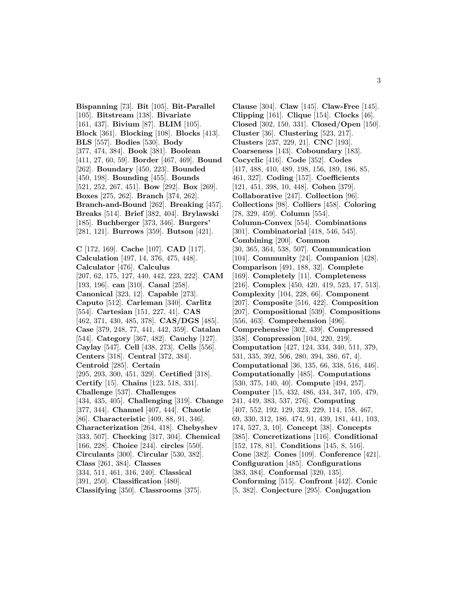**Bispanning** [73]. **Bit** [105]. **Bit-Parallel** [105]. **Bitstream** [138]. **Bivariate** [161, 437]. **Bivium** [87]. **BLIM** [105]. **Block** [361]. **Blocking** [108]. **Blocks** [413]. **BLS** [557]. **Bodies** [530]. **Body** [377, 474, 384]. **Book** [381]. **Boolean** [411, 27, 60, 59]. **Border** [467, 469]. **Bound** [262]. **Boundary** [450, 223]. **Bounded** [450, 198]. **Bounding** [455]. **Bounds** [521, 252, 267, 451]. **Bow** [292]. **Box** [269]. **Boxes** [275, 262]. **Branch** [374, 262]. **Branch-and-Bound** [262]. **Breaking** [457]. **Breaks** [514]. **Brief** [382, 404]. **Brylawski** [185]. **Buchberger** [373, 346]. **Burgers'** [281, 121]. **Burrows** [359]. **Butson** [421]. **C** [172, 169]. **Cache** [107]. **CAD** [117]. **Calculation** [497, 14, 376, 475, 448]. **Calculator** [476]. **Calculus** [207, 62, 175, 127, 440, 442, 223, 222]. **CAM** [193, 196]. **can** [310]. **Canal** [258]. **Canonical** [323, 12]. **Capable** [273]. **Caputo** [512]. **Carleman** [340]. **Carlitz** [554]. **Cartesian** [151, 227, 41]. **CAS** [462, 371, 430, 485, 378]. **CAS/DGS** [485]. **Case** [379, 248, 77, 441, 442, 359]. **Catalan** [544]. **Category** [367, 482]. **Cauchy** [127]. **Caylay** [547]. **Cell** [438, 273]. **Cells** [556]. **Centers** [318]. **Central** [372, 384]. **Centroid** [285]. **Certain** [295, 293, 300, 451, 329]. **Certified** [318]. **Certify** [15]. **Chains** [123, 518, 331]. **Challenge** [537]. **Challenges** [434, 435, 405]. **Challenging** [319]. **Change** [377, 344]. **Channel** [407, 444]. **Chaotic** [86]. **Characteristic** [409, 88, 91, 346]. **Characterization** [264, 418]. **Chebyshev** [333, 507]. **Checking** [317, 304]. **Chemical** [166, 228]. **Choice** [244]. **circles** [550]. **Circulants** [300]. **Circular** [530, 382]. **Class** [261, 384]. **Classes** [334, 511, 461, 316, 240]. **Classical** [391, 250]. **Classification** [480]. **Classifying** [350]. **Classrooms** [375].

**Clause** [304]. **Claw** [145]. **Claw-Free** [145]. **Clipping** [161]. **Clique** [154]. **Clocks** [46]. **Closed** [302, 150, 331]. **Closed/Open** [150]. **Cluster** [36]. **Clustering** [523, 217]. **Clusters** [237, 229, 21]. **CNC** [193]. **Coarseness** [143]. **Coboundary** [183]. **Cocyclic** [416]. **Code** [352]. **Codes** [417, 488, 410, 489, 198, 156, 189, 186, 85, 461, 327]. **Coding** [157]. **Coefficients** [121, 451, 398, 10, 448]. **Cohen** [379]. **Collaborative** [247]. **Collection** [96]. **Collections** [98]. **Colliers** [458]. **Coloring** [78, 329, 459]. **Column** [554]. **Column-Convex** [554]. **Combinations** [301]. **Combinatorial** [418, 546, 545]. **Combining** [200]. **Common** [30, 365, 364, 538, 507]. **Communication** [104]. **Community** [24]. **Companion** [428]. **Comparison** [491, 188, 32]. **Complete** [169]. **Completely** [11]. **Completeness** [216]. **Complex** [450, 420, 419, 523, 17, 513]. **Complexity** [104, 228, 66]. **Component** [207]. **Composite** [516, 422]. **Composition** [207]. **Compositional** [539]. **Compositions** [556, 463]. **Comprehension** [496]. **Comprehensive** [302, 439]. **Compressed** [358]. **Compression** [104, 220, 219]. **Computation** [427, 124, 334, 340, 511, 379, 531, 335, 392, 506, 280, 394, 386, 67, 4]. **Computational** [36, 135, 66, 338, 516, 446]. **Computationally** [485]. **Computations** [530, 375, 140, 40]. **Compute** [494, 257]. **Computer** [15, 432, 486, 434, 347, 105, 479, 241, 449, 383, 537, 276]. **Computing** [407, 552, 192, 129, 323, 229, 114, 158, 467, 69, 330, 312, 186, 474, 91, 439, 181, 441, 103, 174, 527, 3, 10]. **Concept** [38]. **Concepts** [385]. **Concretizations** [116]. **Conditional** [152, 178, 81]. **Conditions** [145, 8, 516]. **Cone** [382]. **Cones** [109]. **Conference** [421]. **Configuration** [485]. **Configurations** [383, 384]. **Conformal** [320, 135]. **Conforming** [515]. **Confront** [442]. **Conic** [5, 382]. **Conjecture** [295]. **Conjugation**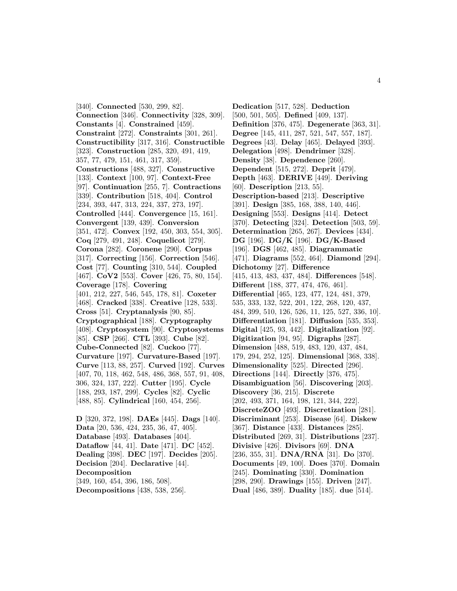[340]. **Connected** [530, 299, 82]. **Connection** [346]. **Connectivity** [328, 309]. **Constants** [4]. **Constrained** [459]. **Constraint** [272]. **Constraints** [301, 261]. **Constructibility** [317, 316]. **Constructible** [323]. **Construction** [285, 320, 491, 419, 357, 77, 479, 151, 461, 317, 359]. **Constructions** [488, 327]. **Constructive** [133]. **Context** [100, 97]. **Context-Free** [97]. **Continuation** [255, 7]. **Contractions** [339]. **Contribution** [518, 404]. **Control** [234, 393, 447, 313, 224, 337, 273, 197]. **Controlled** [444]. **Convergence** [15, 161]. **Convergent** [139, 439]. **Conversion** [351, 472]. **Convex** [192, 450, 303, 554, 305]. **Coq** [279, 491, 248]. **Coquelicot** [279]. **Corona** [282]. **Coronene** [290]. **Corpus** [317]. **Correcting** [156]. **Correction** [546]. **Cost** [77]. **Counting** [310, 544]. **Coupled** [467]. **CoV2** [553]. **Cover** [426, 75, 80, 154]. **Coverage** [178]. **Covering** [401, 212, 227, 546, 545, 178, 81]. **Coxeter** [468]. **Cracked** [338]. **Creative** [128, 533]. **Cross** [51]. **Cryptanalysis** [90, 85]. **Cryptographical** [188]. **Cryptography** [408]. **Cryptosystem** [90]. **Cryptosystems** [85]. **CSP** [266]. **CTL** [393]. **Cube** [82]. **Cube-Connected** [82]. **Cuckoo** [77]. **Curvature** [197]. **Curvature-Based** [197]. **Curve** [113, 88, 257]. **Curved** [192]. **Curves** [407, 70, 118, 462, 548, 486, 368, 557, 91, 408, 306, 324, 137, 222]. **Cutter** [195]. **Cycle** [188, 293, 187, 299]. **Cycles** [82]. **Cyclic** [488, 85]. **Cylindrical** [160, 454, 256].

**D** [320, 372, 198]. **DAEs** [445]. **Dags** [140]. **Data** [20, 536, 424, 235, 36, 47, 405]. **Database** [493]. **Databases** [404]. **Dataflow** [44, 41]. **Date** [471]. **DC** [452]. **Dealing** [398]. **DEC** [197]. **Decides** [205]. **Decision** [204]. **Declarative** [44]. **Decomposition** [349, 160, 454, 396, 186, 508]. **Decompositions** [438, 538, 256].

**Dedication** [517, 528]. **Deduction** [500, 501, 505]. **Defined** [409, 137]. **Definition** [376, 475]. **Degenerate** [363, 31]. **Degree** [145, 411, 287, 521, 547, 557, 187]. **Degrees** [43]. **Delay** [465]. **Delayed** [393]. **Delegation** [498]. **Dendrimer** [328]. **Density** [38]. **Dependence** [260]. **Dependent** [515, 272]. **Deprit** [479]. **Depth** [463]. **DERIVE** [449]. **Deriving** [60]. **Description** [213, 55]. **Description-based** [213]. **Descriptive** [391]. **Design** [385, 168, 388, 140, 446]. **Designing** [553]. **Designs** [414]. **Detect** [370]. **Detecting** [324]. **Detection** [503, 59]. **Determination** [265, 267]. **Devices** [434]. **DG** [196]. **DG/K** [196]. **DG/K-Based** [196]. **DGS** [462, 485]. **Diagrammatic** [471]. **Diagrams** [552, 464]. **Diamond** [294]. **Dichotomy** [27]. **Difference** [415, 413, 483, 437, 484]. **Differences** [548]. **Different** [188, 377, 474, 476, 461]. **Differential** [465, 123, 477, 124, 481, 379, 535, 333, 132, 522, 201, 122, 268, 120, 437, 484, 399, 510, 126, 526, 11, 125, 527, 336, 10]. **Differentiation** [181]. **Diffusion** [535, 353]. **Digital** [425, 93, 442]. **Digitalization** [92]. **Digitization** [94, 95]. **Digraphs** [287]. **Dimension** [488, 519, 483, 120, 437, 484, 179, 294, 252, 125]. **Dimensional** [368, 338]. **Dimensionality** [525]. **Directed** [296]. **Directions** [144]. **Directly** [376, 475]. **Disambiguation** [56]. **Discovering** [203]. **Discovery** [36, 215]. **Discrete** [202, 493, 371, 164, 198, 121, 344, 222]. **DiscreteZOO** [493]. **Discretization** [281]. **Discriminant** [253]. **Disease** [64]. **Diskew** [367]. **Distance** [433]. **Distances** [285]. **Distributed** [269, 31]. **Distributions** [237]. **Divisive** [426]. **Divisors** [69]. **DNA** [236, 355, 31]. **DNA/RNA** [31]. **Do** [370]. **Documents** [49, 100]. **Does** [370]. **Domain** [245]. **Dominating** [330]. **Domination** [298, 290]. **Drawings** [155]. **Driven** [247]. **Dual** [486, 389]. **Duality** [185]. **due** [514].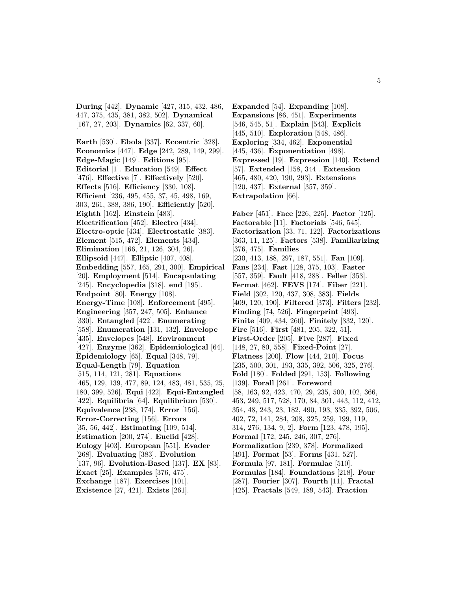**During** [442]. **Dynamic** [427, 315, 432, 486, 447, 375, 435, 381, 382, 502]. **Dynamical** [167, 27, 203]. **Dynamics** [62, 337, 60].

**Earth** [530]. **Ebola** [337]. **Eccentric** [328]. **Economics** [447]. **Edge** [242, 289, 149, 299]. **Edge-Magic** [149]. **Editions** [95]. **Editorial** [1]. **Education** [549]. **Effect** [476]. **Effective** [7]. **Effectively** [520]. **Effects** [516]. **Efficiency** [330, 108]. **Efficient** [236, 495, 455, 37, 45, 498, 169, 303, 261, 388, 386, 190]. **Efficiently** [520]. **Eighth** [162]. **Einstein** [483]. **Electrification** [452]. **Electro** [434]. **Electro-optic** [434]. **Electrostatic** [383]. **Element** [515, 472]. **Elements** [434]. **Elimination** [166, 21, 126, 304, 26]. **Ellipsoid** [447]. **Elliptic** [407, 408]. **Embedding** [557, 165, 291, 300]. **Empirical** [20]. **Employment** [514]. **Encapsulating** [245]. **Encyclopedia** [318]. **end** [195]. **Endpoint** [80]. **Energy** [108]. **Energy-Time** [108]. **Enforcement** [495]. **Engineering** [357, 247, 505]. **Enhance** [330]. **Entangled** [422]. **Enumerating** [558]. **Enumeration** [131, 132]. **Envelope** [435]. **Envelopes** [548]. **Environment** [427]. **Enzyme** [362]. **Epidemiological** [64]. **Epidemiology** [65]. **Equal** [348, 79]. **Equal-Length** [79]. **Equation** [515, 114, 121, 281]. **Equations** [465, 129, 139, 477, 89, 124, 483, 481, 535, 25, 180, 399, 526]. **Equi** [422]. **Equi-Entangled** [422]. **Equilibria** [64]. **Equilibrium** [530]. **Equivalence** [238, 174]. **Error** [156]. **Error-Correcting** [156]. **Errors** [35, 56, 442]. **Estimating** [109, 514]. **Estimation** [200, 274]. **Euclid** [428]. **Eulogy** [403]. **European** [551]. **Evader** [268]. **Evaluating** [383]. **Evolution** [137, 96]. **Evolution-Based** [137]. **EX** [83]. **Exact** [25]. **Examples** [376, 475]. **Exchange** [187]. **Exercises** [101]. **Existence** [27, 421]. **Exists** [261].

**Expanded** [54]. **Expanding** [108]. **Expansions** [86, 451]. **Experiments** [546, 545, 51]. **Explain** [543]. **Explicit** [445, 510]. **Exploration** [548, 486]. **Exploring** [334, 462]. **Exponential** [445, 436]. **Exponentiation** [498]. **Expressed** [19]. **Expression** [140]. **Extend** [57]. **Extended** [158, 344]. **Extension** [465, 480, 420, 190, 293]. **Extensions** [120, 437]. **External** [357, 359]. **Extrapolation** [66].

**Faber** [451]. **Face** [226, 225]. **Factor** [125]. **Factorable** [11]. **Factorials** [546, 545]. **Factorization** [33, 71, 122]. **Factorizations** [363, 11, 125]. **Factors** [538]. **Familiarizing** [376, 475]. **Families** [230, 413, 188, 297, 187, 551]. **Fan** [109]. **Fans** [234]. **Fast** [128, 375, 103]. **Faster** [557, 359]. **Fault** [418, 288]. **Feller** [353]. **Fermat** [462]. **FEVS** [174]. **Fiber** [221]. **Field** [302, 120, 437, 308, 383]. **Fields** [409, 120, 190]. **Filtered** [373]. **Filters** [232]. **Finding** [74, 526]. **Fingerprint** [493]. **Finite** [409, 434, 260]. **Finitely** [332, 120]. **Fire** [516]. **First** [481, 205, 322, 51]. **First-Order** [205]. **Five** [287]. **Fixed** [148, 27, 80, 558]. **Fixed-Point** [27]. **Flatness** [200]. **Flow** [444, 210]. **Focus** [235, 500, 301, 193, 335, 392, 506, 325, 276]. **Fold** [180]. **Folded** [291, 153]. **Following** [139]. **Forall** [261]. **Foreword** [58, 163, 92, 423, 470, 29, 235, 500, 102, 366, 453, 249, 517, 528, 170, 84, 301, 443, 112, 412, 354, 48, 243, 23, 182, 490, 193, 335, 392, 506, 402, 72, 141, 284, 208, 325, 259, 199, 119, 314, 276, 134, 9, 2]. **Form** [123, 478, 195]. **Formal** [172, 245, 246, 307, 276]. **Formalization** [239, 378]. **Formalized** [491]. **Format** [53]. **Forms** [431, 527]. **Formula** [97, 181]. **Formulae** [510]. **Formulas** [184]. **Foundations** [218]. **Four** [287]. **Fourier** [307]. **Fourth** [11]. **Fractal** [425]. **Fractals** [549, 189, 543]. **Fraction**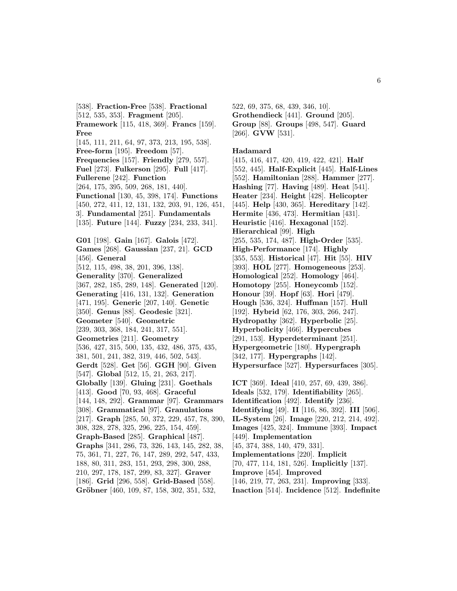[538]. **Fraction-Free** [538]. **Fractional** [512, 535, 353]. **Fragment** [205]. **Framework** [115, 418, 369]. **Francs** [159]. **Free** [145, 111, 211, 64, 97, 373, 213, 195, 538]. **Free-form** [195]. **Freedom** [57]. **Frequencies** [157]. **Friendly** [279, 557]. **Fuel** [273]. **Fulkerson** [295]. **Full** [417]. **Fullerene** [242]. **Function** [264, 175, 395, 509, 268, 181, 440]. **Functional** [130, 45, 398, 174]. **Functions** [450, 272, 411, 12, 131, 132, 203, 91, 126, 451, 3]. **Fundamental** [251]. **Fundamentals** [135]. **Future** [144]. **Fuzzy** [234, 233, 341]. **G01** [198]. **Gain** [167]. **Galois** [472]. **Games** [268]. **Gaussian** [237, 21]. **GCD** [456]. **General** [512, 115, 498, 38, 201, 396, 138]. **Generality** [370]. **Generalized** [367, 282, 185, 289, 148]. **Generated** [120]. **Generating** [416, 131, 132]. **Generation** [471, 195]. **Generic** [207, 140]. **Genetic** [350]. **Genus** [88]. **Geodesic** [321]. **Geometer** [540]. **Geometric** [239, 303, 368, 184, 241, 317, 551]. **Geometries** [211]. **Geometry** [536, 427, 315, 500, 135, 432, 486, 375, 435, 381, 501, 241, 382, 319, 446, 502, 543]. **Gerdt** [528]. **Get** [56]. **GGH** [90]. **Given** [547]. **Global** [512, 15, 21, 263, 217]. **Globally** [139]. **Gluing** [231]. **Goethals** [413]. **Good** [70, 93, 468]. **Graceful** [144, 148, 292]. **Grammar** [97]. **Grammars** [308]. **Grammatical** [97]. **Granulations** [217]. **Graph** [285, 50, 372, 229, 457, 78, 390, 308, 328, 278, 325, 296, 225, 154, 459]. **Graph-Based** [285]. **Graphical** [487]. **Graphs** [341, 286, 73, 326, 143, 145, 282, 38, 75, 361, 71, 227, 76, 147, 289, 292, 547, 433, 188, 80, 311, 283, 151, 293, 298, 300, 288, 210, 297, 178, 187, 299, 83, 327]. **Graver** [186]. **Grid** [296, 558]. **Grid-Based** [558]. **Gröbner** [460, 109, 87, 158, 302, 351, 532,

522, 69, 375, 68, 439, 346, 10]. **Grothendieck** [441]. **Ground** [205]. **Group** [88]. **Groups** [498, 547]. **Guard** [266]. **GVW** [531].

#### **Hadamard**

[415, 416, 417, 420, 419, 422, 421]. **Half** [552, 445]. **Half-Explicit** [445]. **Half-Lines** [552]. **Hamiltonian** [288]. **Hammer** [277]. **Hashing** [77]. **Having** [489]. **Heat** [541]. **Heater** [234]. **Height** [428]. **Helicopter** [445]. **Help** [430, 365]. **Hereditary** [142]. **Hermite** [436, 473]. **Hermitian** [431]. **Heuristic** [416]. **Hexagonal** [152]. **Hierarchical** [99]. **High** [255, 535, 174, 487]. **High-Order** [535]. **High-Performance** [174]. **Highly** [355, 553]. **Historical** [47]. **Hit** [55]. **HIV** [393]. **HOL** [277]. **Homogeneous** [253]. **Homological** [252]. **Homology** [464]. **Homotopy** [255]. **Honeycomb** [152]. **Honour** [39]. **Hopf** [63]. **Hori** [479]. **Hough** [536, 324]. **Huffman** [157]. **Hull** [192]. **Hybrid** [62, 176, 303, 266, 247]. **Hydropathy** [362]. **Hyperbolic** [25]. **Hyperbolicity** [466]. **Hypercubes** [291, 153]. **Hyperdeterminant** [251]. **Hypergeometric** [180]. **Hypergraph** [342, 177]. **Hypergraphs** [142]. **Hypersurface** [527]. **Hypersurfaces** [305]. **ICT** [369]. **Ideal** [410, 257, 69, 439, 386]. **Ideals** [532, 179]. **Identifiability** [265].

- **Identification** [492]. **Identify** [236].
- **Identifying** [49]. **II** [116, 86, 392]. **III** [506].

**IL-System** [26]. **Image** [220, 212, 214, 492].

- **Images** [425, 324]. **Immune** [393]. **Impact** [449]. **Implementation**
- [45, 374, 388, 140, 479, 331].
- **Implementations** [220]. **Implicit**
- [70, 477, 114, 181, 526]. **Implicitly** [137].
- **Improve** [454]. **Improved**
- [146, 219, 77, 263, 231]. **Improving** [333].
- **Inaction** [514]. **Incidence** [512]. **Indefinite**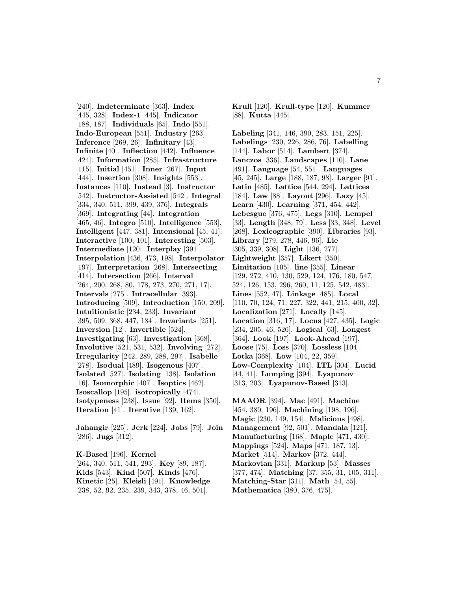[240]. **Indeterminate** [363]. **Index** [445, 328]. **Index-1** [445]. **Indicator** [188, 187]. **Individuals** [65]. **Indo** [551]. **Indo-European** [551]. **Industry** [263]. **Inference** [269, 26]. **Infinitary** [43]. **Infinite** [40]. **Inflection** [442]. **Influence** [424]. **Information** [285]. **Infrastructure** [115]. **Initial** [451]. **Inner** [267]. **Input** [444]. **Insertion** [308]. **Insights** [553]. **Instances** [110]. **Instead** [3]. **Instructor** [542]. **Instructor-Assisted** [542]. **Integral** [334, 340, 511, 399, 439, 376]. **Integrals** [369]. **Integrating** [44]. **Integration** [465, 46]. **Integro** [510]. **Intelligence** [553]. **Intelligent** [447, 381]. **Intensional** [45, 41]. **Interactive** [100, 101]. **Interesting** [503]. **Intermediate** [120]. **Interplay** [391]. **Interpolation** [436, 473, 198]. **Interpolator** [197]. **Interpretation** [268]. **Intersecting** [414]. **Intersection** [266]. **Interval** [264, 200, 268, 80, 178, 273, 270, 271, 17]. **Intervals** [275]. **Intracellular** [393]. **Introducing** [509]. **Introduction** [150, 209]. **Intuitionistic** [234, 233]. **Invariant** [395, 509, 368, 447, 184]. **Invariants** [251]. **Inversion** [12]. **Invertible** [524]. **Investigating** [63]. **Investigation** [368]. **Involutive** [521, 531, 532]. **Involving** [272]. **Irregularity** [242, 289, 288, 297]. **Isabelle** [278]. **Isodual** [489]. **Isogenous** [407]. **Isolated** [527]. **Isolating** [138]. **Isolation** [16]. **Isomorphic** [407]. **Isoptics** [462]. **Isoscallop** [195]. **isotropically** [474]. **Isotypeness** [238]. **Issue** [92]. **Items** [350]. **Iteration** [41]. **Iterative** [139, 162].

**Jahangir** [225]. **Jerk** [224]. **Jobs** [79]. **Join** [286]. **Jugs** [312].

**K-Based** [196]. **Kernel** [264, 340, 511, 541, 293]. **Key** [89, 187]. **Kids** [543]. **Kind** [507]. **Kinds** [476]. **Kinetic** [25]. **Kleisli** [491]. **Knowledge** [238, 52, 92, 235, 239, 343, 378, 46, 501].

**Krull** [120]. **Krull-type** [120]. **Kummer** [88]. **Kutta** [445].

**Labeling** [341, 146, 390, 283, 151, 225]. **Labelings** [230, 226, 286, 76]. **Labelling** [144]. **Labor** [514]. **Lambert** [374]. **Lanczos** [336]. **Landscapes** [110]. **Lane** [491]. **Language** [54, 551]. **Languages** [45, 245]. **Large** [188, 187, 98]. **Larger** [91]. **Latin** [485]. **Lattice** [544, 294]. **Lattices** [184]. **Law** [88]. **Layout** [296]. **Lazy** [45]. **Learn** [430]. **Learning** [371, 454, 442]. **Lebesgue** [376, 475]. **Legs** [310]. **Lempel** [33]. **Length** [348, 79]. **Less** [33, 348]. **Level** [268]. **Lexicographic** [390]. **Libraries** [93]. **Library** [279, 278, 446, 96]. **Lie** [305, 339, 308]. **Light** [136, 277]. **Lightweight** [357]. **Likert** [350]. **Limitation** [105]. **line** [355]. **Linear** [129, 272, 410, 130, 529, 124, 176, 180, 547, 524, 126, 153, 296, 260, 11, 125, 542, 483]. **Lines** [552, 47]. **Linkage** [485]. **Local** [110, 70, 124, 71, 227, 322, 441, 215, 400, 32]. **Localization** [271]. **Locally** [145]. **Location** [316, 17]. **Locus** [427, 435]. **Logic** [234, 205, 46, 526]. **Logical** [63]. **Longest** [364]. **Look** [197]. **Look-Ahead** [197]. **Loose** [75]. **Loss** [370]. **Lossless** [104]. **Lotka** [368]. **Low** [104, 22, 359]. **Low-Complexity** [104]. **LTL** [304]. **Lucid** [44, 41]. **Lumping** [394]. **Lyapunov** [313, 203]. **Lyapunov-Based** [313].

**MAAOR** [394]. **Mac** [491]. **Machine** [454, 380, 196]. **Machining** [198, 196]. **Magic** [230, 149, 154]. **Malicious** [498]. **Management** [92, 501]. **Mandala** [121]. **Manufacturing** [168]. **Maple** [471, 430]. **Mappings** [524]. **Maps** [471, 187, 13]. **Market** [514]. **Markov** [372, 444]. **Markovian** [331]. **Markup** [53]. **Masses** [377, 474]. **Matching** [37, 355, 31, 105, 311]. **Matching-Star** [311]. **Math** [54, 55]. **Mathematica** [380, 376, 475].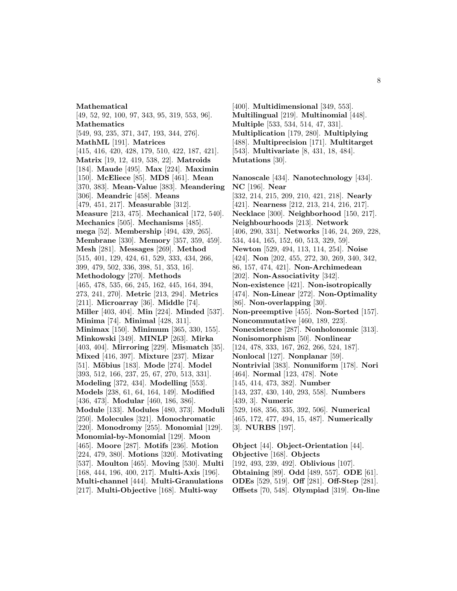#### **Mathematical**

[49, 52, 92, 100, 97, 343, 95, 319, 553, 96]. **Mathematics** [549, 93, 235, 371, 347, 193, 344, 276]. **MathML** [191]. **Matrices** [415, 416, 420, 428, 179, 510, 422, 187, 421]. **Matrix** [19, 12, 419, 538, 22]. **Matroids** [184]. **Maude** [495]. **Max** [224]. **Maximin** [150]. **McEliece** [85]. **MDS** [461]. **Mean** [370, 383]. **Mean-Value** [383]. **Meandering** [306]. **Meandric** [458]. **Means** [479, 451, 217]. **Measurable** [312]. **Measure** [213, 475]. **Mechanical** [172, 540]. **Mechanics** [505]. **Mechanisms** [485]. **mega** [52]. **Membership** [494, 439, 265]. **Membrane** [330]. **Memory** [357, 359, 459]. **Mesh** [281]. **Messages** [269]. **Method** [515, 401, 129, 424, 61, 529, 333, 434, 266, 399, 479, 502, 336, 398, 51, 353, 16]. **Methodology** [270]. **Methods** [465, 478, 535, 66, 245, 162, 445, 164, 394, 273, 241, 270]. **Metric** [213, 294]. **Metrics** [211]. **Microarray** [36]. **Middle** [74]. **Miller** [403, 404]. **Min** [224]. **Minded** [537]. **Minima** [74]. **Minimal** [428, 311]. **Minimax** [150]. **Minimum** [365, 330, 155]. **Minkowski** [349]. **MINLP** [263]. **Mirka** [403, 404]. **Mirroring** [229]. **Mismatch** [35]. **Mixed** [416, 397]. **Mixture** [237]. **Mizar** [51]. **M¨obius** [183]. **Mode** [274]. **Model** [393, 512, 166, 237, 25, 67, 270, 513, 331]. **Modeling** [372, 434]. **Modelling** [553]. **Models** [238, 61, 64, 164, 149]. **Modified** [436, 473]. **Modular** [460, 186, 386]. **Module** [133]. **Modules** [480, 373]. **Moduli** [250]. **Molecules** [321]. **Monochromatic** [220]. **Monodromy** [255]. **Monomial** [129]. **Monomial-by-Monomial** [129]. **Moon** [465]. **Moore** [287]. **Motifs** [236]. **Motion** [224, 479, 380]. **Motions** [320]. **Motivating** [537]. **Moulton** [465]. **Moving** [530]. **Multi** [168, 444, 196, 400, 217]. **Multi-Axis** [196]. **Multi-channel** [444]. **Multi-Granulations** [217]. **Multi-Objective** [168]. **Multi-way**

[400]. **Multidimensional** [349, 553]. **Multilingual** [219]. **Multinomial** [448]. **Multiple** [533, 534, 514, 47, 331]. **Multiplication** [179, 280]. **Multiplying** [488]. **Multiprecision** [171]. **Multitarget** [543]. **Multivariate** [8, 431, 18, 484]. **Mutations** [30].

**Nanoscale** [434]. **Nanotechnology** [434]. **NC** [196]. **Near** [332, 214, 215, 209, 210, 421, 218]. **Nearly** [421]. **Nearness** [212, 213, 214, 216, 217]. **Necklace** [300]. **Neighborhood** [150, 217]. **Neighbourhoods** [213]. **Network** [406, 290, 331]. **Networks** [146, 24, 269, 228, 534, 444, 165, 152, 60, 513, 329, 59]. **Newton** [529, 494, 113, 114, 254]. **Noise** [424]. **Non** [202, 455, 272, 30, 269, 340, 342, 86, 157, 474, 421]. **Non-Archimedean** [202]. **Non-Associativity** [342]. **Non-existence** [421]. **Non-isotropically** [474]. **Non-Linear** [272]. **Non-Optimality** [86]. **Non-overlapping** [30]. **Non-preemptive** [455]. **Non-Sorted** [157]. **Noncommutative** [460, 189, 223]. **Nonexistence** [287]. **Nonholonomic** [313]. **Nonisomorphism** [50]. **Nonlinear** [124, 478, 333, 167, 262, 266, 524, 187]. **Nonlocal** [127]. **Nonplanar** [59]. **Nontrivial** [383]. **Nonuniform** [178]. **Nori** [464]. **Normal** [123, 478]. **Note** [145, 414, 473, 382]. **Number** [143, 237, 430, 140, 293, 558]. **Numbers** [439, 3]. **Numeric** [529, 168, 356, 335, 392, 506]. **Numerical** [465, 172, 477, 494, 15, 487]. **Numerically** [3]. **NURBS** [197]. **Object** [44]. **Object-Orientation** [44].

**Objective** [168]. **Objects** [192, 493, 239, 492]. **Oblivious** [107]. **Obtaining** [89]. **Odd** [489, 557]. **ODE** [61]. **ODEs** [529, 519]. **Off** [281]. **Off-Step** [281]. **Offsets** [70, 548]. **Olympiad** [319]. **On-line**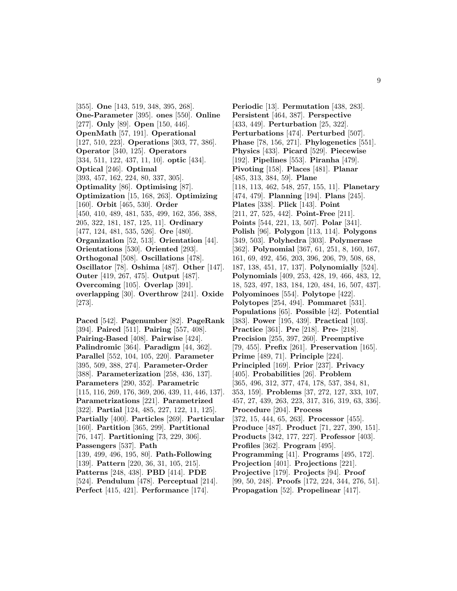[355]. **One** [143, 519, 348, 395, 268]. **One-Parameter** [395]. **ones** [550]. **Online** [277]. **Only** [89]. **Open** [150, 446]. **OpenMath** [57, 191]. **Operational** [127, 510, 223]. **Operations** [303, 77, 386]. **Operator** [340, 125]. **Operators** [334, 511, 122, 437, 11, 10]. **optic** [434]. **Optical** [246]. **Optimal** [393, 457, 162, 224, 80, 337, 305]. **Optimality** [86]. **Optimising** [87]. **Optimization** [15, 168, 263]. **Optimizing** [160]. **Orbit** [465, 530]. **Order** [450, 410, 489, 481, 535, 499, 162, 356, 388, 205, 322, 181, 187, 125, 11]. **Ordinary** [477, 124, 481, 535, 526]. **Ore** [480]. **Organization** [52, 513]. **Orientation** [44]. **Orientations** [530]. **Oriented** [293]. **Orthogonal** [508]. **Oscillations** [478]. **Oscillator** [78]. **Oshima** [487]. **Other** [147]. **Outer** [419, 267, 475]. **Output** [487]. **Overcoming** [105]. **Overlap** [391]. **overlapping** [30]. **Overthrow** [241]. **Oxide** [273].

**Paced** [542]. **Pagenumber** [82]. **PageRank** [394]. **Paired** [511]. **Pairing** [557, 408]. **Pairing-Based** [408]. **Pairwise** [424]. **Palindromic** [364]. **Paradigm** [44, 362]. **Parallel** [552, 104, 105, 220]. **Parameter** [395, 509, 388, 274]. **Parameter-Order** [388]. **Parameterization** [258, 436, 137]. **Parameters** [290, 352]. **Parametric** [115, 116, 269, 176, 369, 206, 439, 11, 446, 137]. **Parametrizations** [221]. **Parametrized** [322]. **Partial** [124, 485, 227, 122, 11, 125]. **Partially** [400]. **Particles** [269]. **Particular** [160]. **Partition** [365, 299]. **Partitional** [76, 147]. **Partitioning** [73, 229, 306]. **Passengers** [537]. **Path** [139, 499, 496, 195, 80]. **Path-Following** [139]. **Pattern** [220, 36, 31, 105, 215]. **Patterns** [248, 438]. **PBD** [414]. **PDE** [524]. **Pendulum** [478]. **Perceptual** [214]. **Perfect** [415, 421]. **Performance** [174].

**Periodic** [13]. **Permutation** [438, 283]. **Persistent** [464, 387]. **Perspective** [433, 449]. **Perturbation** [25, 322]. **Perturbations** [474]. **Perturbed** [507]. **Phase** [78, 156, 271]. **Phylogenetics** [551]. **Physics** [433]. **Picard** [529]. **Piecewise** [192]. **Pipelines** [553]. **Piranha** [479]. **Pivoting** [158]. **Places** [481]. **Planar** [485, 313, 384, 59]. **Plane** [118, 113, 462, 548, 257, 155, 11]. **Planetary** [474, 479]. **Planning** [194]. **Plans** [245]. **Plates** [338]. **Plick** [143]. **Point** [211, 27, 525, 442]. **Point-Free** [211]. **Points** [544, 221, 13, 507]. **Polar** [341]. **Polish** [96]. **Polygon** [113, 114]. **Polygons** [349, 503]. **Polyhedra** [303]. **Polymerase** [362]. **Polynomial** [367, 61, 251, 8, 160, 167, 161, 69, 492, 456, 203, 396, 206, 79, 508, 68, 187, 138, 451, 17, 137]. **Polynomially** [524]. **Polynomials** [409, 253, 428, 19, 466, 483, 12, 18, 523, 497, 183, 184, 120, 484, 16, 507, 437]. **Polyominoes** [554]. **Polytope** [422]. **Polytopes** [254, 494]. **Pommaret** [531]. **Populations** [65]. **Possible** [42]. **Potential** [383]. **Power** [195, 439]. **Practical** [103]. **Practice** [361]. **Pre** [218]. **Pre-** [218]. **Precision** [255, 397, 260]. **Preemptive** [79, 455]. **Prefix** [261]. **Preservation** [165]. **Prime** [489, 71]. **Principle** [224]. **Principled** [169]. **Prior** [237]. **Privacy** [405]. **Probabilities** [26]. **Problem** [365, 496, 312, 377, 474, 178, 537, 384, 81, 353, 159]. **Problems** [37, 272, 127, 333, 107, 457, 27, 439, 263, 223, 317, 316, 319, 63, 336]. **Procedure** [204]. **Process** [372, 15, 444, 65, 263]. **Processor** [455]. **Produce** [487]. **Product** [71, 227, 390, 151]. **Products** [342, 177, 227]. **Professor** [403]. **Profiles** [362]. **Program** [495]. **Programming** [41]. **Programs** [495, 172]. **Projection** [401]. **Projections** [221]. **Projective** [179]. **Projects** [94]. **Proof** [99, 50, 248]. **Proofs** [172, 224, 344, 276, 51]. **Propagation** [52]. **Propelinear** [417].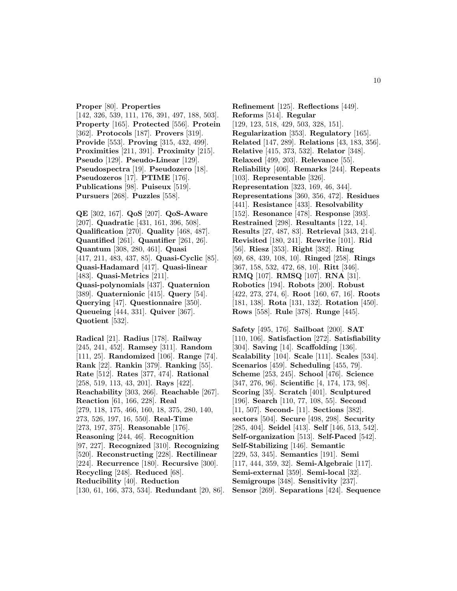#### **Proper** [80]. **Properties**

[142, 326, 539, 111, 176, 391, 497, 188, 503]. **Property** [165]. **Protected** [556]. **Protein** [362]. **Protocols** [187]. **Provers** [319]. **Provide** [553]. **Proving** [315, 432, 499]. **Proximities** [211, 391]. **Proximity** [215]. **Pseudo** [129]. **Pseudo-Linear** [129]. **Pseudospectra** [19]. **Pseudozero** [18]. **Pseudozeros** [17]. **PTIME** [176]. **Publications** [98]. **Puiseux** [519]. **Pursuers** [268]. **Puzzles** [558].

**QE** [302, 167]. **QoS** [207]. **QoS-Aware** [207]. **Quadratic** [431, 161, 396, 508]. **Qualification** [270]. **Quality** [468, 487]. **Quantified** [261]. **Quantifier** [261, 26]. **Quantum** [308, 280, 461]. **Quasi** [417, 211, 483, 437, 85]. **Quasi-Cyclic** [85]. **Quasi-Hadamard** [417]. **Quasi-linear** [483]. **Quasi-Metrics** [211]. **Quasi-polynomials** [437]. **Quaternion** [389]. **Quaternionic** [415]. **Query** [54]. **Querying** [47]. **Questionnaire** [350]. **Queueing** [444, 331]. **Quiver** [367]. **Quotient** [532].

**Radical** [21]. **Radius** [178]. **Railway** [245, 241, 452]. **Ramsey** [311]. **Random** [111, 25]. **Randomized** [106]. **Range** [74]. **Rank** [22]. **Rankin** [379]. **Ranking** [55]. **Rate** [512]. **Rates** [377, 474]. **Rational** [258, 519, 113, 43, 201]. **Rays** [422]. **Reachability** [303, 266]. **Reachable** [267]. **Reaction** [61, 166, 228]. **Real** [279, 118, 175, 466, 160, 18, 375, 280, 140, 273, 526, 197, 16, 550]. **Real-Time** [273, 197, 375]. **Reasonable** [176]. **Reasoning** [244, 46]. **Recognition** [97, 227]. **Recognized** [310]. **Recognizing** [520]. **Reconstructing** [228]. **Rectilinear** [224]. **Recurrence** [180]. **Recursive** [300]. **Recycling** [248]. **Reduced** [68]. **Reducibility** [40]. **Reduction** [130, 61, 166, 373, 534]. **Redundant** [20, 86].

**Refinement** [125]. **Reflections** [449]. **Reforms** [514]. **Regular** [129, 123, 518, 429, 503, 328, 151]. **Regularization** [353]. **Regulatory** [165]. **Related** [147, 289]. **Relations** [43, 183, 356]. **Relative** [415, 373, 532]. **Relator** [348]. **Relaxed** [499, 203]. **Relevance** [55]. **Reliability** [406]. **Remarks** [244]. **Repeats** [103]. **Representable** [326]. **Representation** [323, 169, 46, 344]. **Representations** [360, 356, 472]. **Residues** [441]. **Resistance** [433]. **Resolvability** [152]. **Resonance** [478]. **Response** [393]. **Restrained** [298]. **Resultants** [122, 14]. **Results** [27, 487, 83]. **Retrieval** [343, 214]. **Revisited** [180, 241]. **Rewrite** [101]. **Rid** [56]. **Riesz** [353]. **Right** [382]. **Ring** [69, 68, 439, 108, 10]. **Ringed** [258]. **Rings** [367, 158, 532, 472, 68, 10]. **Ritt** [346]. **RMQ** [107]. **RMSQ** [107]. **RNA** [31]. **Robotics** [194]. **Robots** [200]. **Robust** [422, 273, 274, 6]. **Root** [160, 67, 16]. **Roots** [181, 138]. **Rota** [131, 132]. **Rotation** [450]. **Rows** [558]. **Rule** [378]. **Runge** [445].

**Safety** [495, 176]. **Sailboat** [200]. **SAT** [110, 106]. **Satisfaction** [272]. **Satisfiability** [304]. **Saving** [14]. **Scaffolding** [136]. **Scalability** [104]. **Scale** [111]. **Scales** [534]. **Scenarios** [459]. **Scheduling** [455, 79]. **Scheme** [253, 245]. **School** [476]. **Science** [347, 276, 96]. **Scientific** [4, 174, 173, 98]. **Scoring** [35]. **Scratch** [401]. **Sculptured** [196]. **Search** [110, 77, 108, 55]. **Second** [11, 507]. **Second-** [11]. **Sections** [382]. **sectors** [504]. **Secure** [498, 298]. **Security** [285, 404]. **Seidel** [413]. **Self** [146, 513, 542]. **Self-organization** [513]. **Self-Paced** [542]. **Self-Stabilizing** [146]. **Semantic** [229, 53, 345]. **Semantics** [191]. **Semi** [117, 444, 359, 32]. **Semi-Algebraic** [117]. **Semi-external** [359]. **Semi-local** [32]. **Semigroups** [348]. **Sensitivity** [237]. **Sensor** [269]. **Separations** [424]. **Sequence**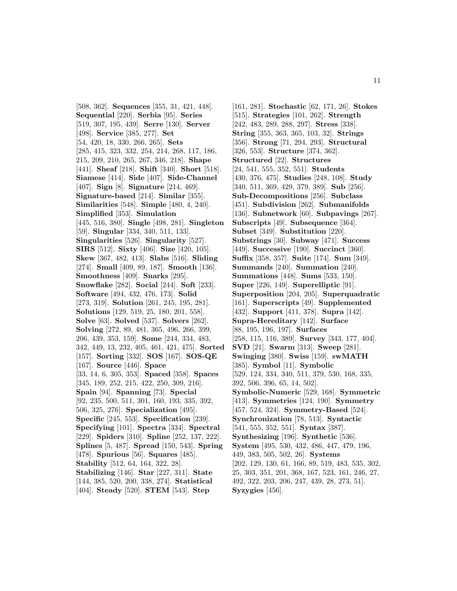[508, 362]. **Sequences** [355, 31, 421, 448]. **Sequential** [220]. **Serbia** [95]. **Series** [519, 307, 195, 439]. **Serre** [130]. **Server** [498]. **Service** [385, 277]. **Set** [54, 420, 18, 330, 266, 265]. **Sets** [285, 415, 323, 332, 254, 214, 268, 117, 186, 215, 209, 210, 265, 267, 346, 218]. **Shape** [441]. **Sheaf** [218]. **Shift** [340]. **Short** [518]. **Siamese** [414]. **Side** [407]. **Side-Channel** [407]. **Sign** [8]. **Signature** [214, 469]. **Signature-based** [214]. **Similar** [355]. **Similarities** [548]. **Simple** [480, 4, 240]. **Simplified** [353]. **Simulation** [445, 516, 380]. **Single** [498, 281]. **Singleton** [59]. **Singular** [334, 340, 511, 133]. **Singularities** [526]. **Singularity** [527]. **SIRS** [512]. **Sixty** [406]. **Size** [420, 105]. **Skew** [367, 482, 413]. **Slabs** [516]. **Sliding** [274]. **Small** [409, 89, 187]. **Smooth** [136]. **Smoothness** [409]. **Snarks** [295]. **Snowflake** [282]. **Social** [244]. **Soft** [233]. **Software** [494, 432, 476, 173]. **Solid** [273, 319]. **Solution** [261, 245, 195, 281]. **Solutions** [129, 519, 25, 180, 201, 558]. **Solve** [63]. **Solved** [537]. **Solvers** [262]. **Solving** [272, 89, 481, 365, 496, 266, 399, 206, 439, 353, 159]. **Some** [244, 334, 483, 342, 449, 13, 232, 405, 461, 421, 475]. **Sorted** [157]. **Sorting** [332]. **SOS** [167]. **SOS-QE** [167]. **Source** [446]. **Space** [33, 14, 6, 305, 353]. **Spaced** [358]. **Spaces** [345, 189, 252, 215, 422, 250, 309, 216]. **Spain** [94]. **Spanning** [73]. **Special** [92, 235, 500, 511, 301, 160, 193, 335, 392, 506, 325, 276]. **Specialization** [495]. **Specific** [245, 553]. **Specification** [239]. **Specifying** [101]. **Spectra** [334]. **Spectral** [229]. **Spiders** [310]. **Spline** [252, 137, 222]. **Splines** [5, 487]. **Spread** [150, 543]. **Spring** [478]. **Spurious** [56]. **Squares** [485]. **Stability** [512, 64, 164, 322, 28]. **Stabilizing** [146]. **Star** [227, 311]. **State** [144, 385, 520, 200, 338, 274]. **Statistical** [404]. **Steady** [520]. **STEM** [543]. **Step**

[161, 281]. **Stochastic** [62, 171, 26]. **Stokes** [515]. **Strategies** [101, 262]. **Strength** [242, 483, 289, 288, 297]. **Stress** [338]. **String** [355, 363, 365, 103, 32]. **Strings** [356]. **Strong** [71, 294, 293]. **Structural** [326, 553]. **Structure** [374, 362]. **Structured** [22]. **Structures** [24, 541, 555, 352, 551]. **Students** [430, 376, 475]. **Studies** [248, 108]. **Study** [340, 511, 369, 429, 379, 389]. **Sub** [256]. **Sub-Decompositions** [256]. **Subclass** [451]. **Subdivision** [262]. **Submanifolds** [136]. **Subnetwork** [60]. **Subpavings** [267]. **Subscripts** [49]. **Subsequence** [364]. **Subset** [349]. **Substitution** [220]. **Substrings** [30]. **Subway** [471]. **Success** [449]. **Successive** [190]. **Succinct** [360]. **Suffix** [358, 357]. **Suite** [174]. **Sum** [349]. **Summands** [240]. **Summation** [240]. **Summations** [448]. **Sums** [533, 150]. **Super** [226, 149]. **Superelliptic** [91]. **Superposition** [204, 205]. **Superquadratic** [161]. **Superscripts** [49]. **Supplemented** [432]. **Support** [411, 378]. **Supra** [142]. **Supra-Hereditary** [142]. **Surface** [88, 195, 196, 197]. **Surfaces** [258, 115, 116, 389]. **Survey** [343, 177, 404]. **SVD** [21]. **Swarm** [313]. **Sweep** [281]. **Swinging** [380]. **Swiss** [159]. **swMATH** [385]. **Symbol** [11]. **Symbolic** [529, 124, 334, 340, 511, 379, 530, 168, 335, 392, 506, 396, 65, 14, 502]. **Symbolic-Numeric** [529, 168]. **Symmetric** [413]. **Symmetries** [124, 190]. **Symmetry** [457, 524, 324]. **Symmetry-Based** [524]. **Synchronization** [78, 513]. **Syntactic** [541, 555, 352, 551]. **Syntax** [387]. **Synthesizing** [196]. **Synthetic** [536]. **System** [495, 530, 432, 486, 447, 479, 196, 449, 383, 505, 502, 26]. **Systems** [202, 129, 130, 61, 166, 89, 519, 483, 535, 302, 25, 303, 351, 201, 368, 167, 523, 161, 246, 27, 492, 322, 203, 206, 247, 439, 28, 273, 51]. **Syzygies** [456].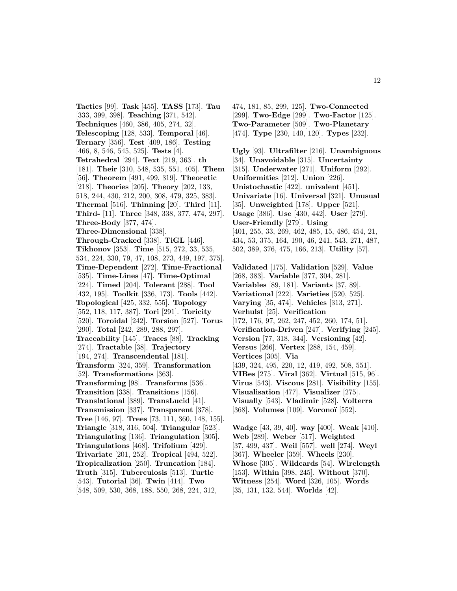**Tactics** [99]. **Task** [455]. **TASS** [173]. **Tau** [333, 399, 398]. **Teaching** [371, 542]. **Techniques** [460, 386, 405, 274, 32]. **Telescoping** [128, 533]. **Temporal** [46]. **Ternary** [356]. **Test** [409, 186]. **Testing** [466, 8, 546, 545, 525]. **Tests** [4]. **Tetrahedral** [294]. **Text** [219, 363]. **th** [181]. **Their** [310, 548, 535, 551, 405]. **Them** [56]. **Theorem** [491, 499, 319]. **Theoretic** [218]. **Theories** [205]. **Theory** [202, 133, 518, 244, 430, 212, 200, 308, 479, 325, 383]. **Thermal** [516]. **Thinning** [20]. **Third** [11]. **Third-** [11]. **Three** [348, 338, 377, 474, 297]. **Three-Body** [377, 474]. **Three-Dimensional** [338]. **Through-Cracked** [338]. **TiGL** [446]. **Tikhonov** [353]. **Time** [515, 272, 33, 535, 534, 224, 330, 79, 47, 108, 273, 449, 197, 375]. **Time-Dependent** [272]. **Time-Fractional** [535]. **Time-Lines** [47]. **Time-Optimal** [224]. **Timed** [204]. **Tolerant** [288]. **Tool** [432, 195]. **Toolkit** [336, 173]. **Tools** [442]. **Topological** [425, 332, 555]. **Topology** [552, 118, 117, 387]. **Tori** [291]. **Toricity** [520]. **Toroidal** [242]. **Torsion** [527]. **Torus** [290]. **Total** [242, 289, 288, 297]. **Traceability** [145]. **Traces** [88]. **Tracking** [274]. **Tractable** [38]. **Trajectory** [194, 274]. **Transcendental** [181]. **Transform** [324, 359]. **Transformation** [52]. **Transformations** [363]. **Transforming** [98]. **Transforms** [536]. **Transition** [338]. **Transitions** [156]. **Translational** [389]. **TransLucid** [41]. **Transmission** [337]. **Transparent** [378]. **Tree** [146, 97]. **Trees** [73, 111, 360, 148, 155]. **Triangle** [318, 316, 504]. **Triangular** [523]. **Triangulating** [136]. **Triangulation** [305]. **Triangulations** [468]. **Trifolium** [429]. **Trivariate** [201, 252]. **Tropical** [494, 522]. **Tropicalization** [250]. **Truncation** [184]. **Truth** [315]. **Tuberculosis** [513]. **Turtle** [543]. **Tutorial** [36]. **Twin** [414]. **Two** [548, 509, 530, 368, 188, 550, 268, 224, 312,

474, 181, 85, 299, 125]. **Two-Connected** [299]. **Two-Edge** [299]. **Two-Factor** [125]. **Two-Parameter** [509]. **Two-Planetary** [474]. **Type** [230, 140, 120]. **Types** [232].

**Ugly** [93]. **Ultrafilter** [216]. **Unambiguous** [34]. **Unavoidable** [315]. **Uncertainty** [315]. **Underwater** [271]. **Uniform** [292]. **Uniformities** [212]. **Union** [226]. **Unistochastic** [422]. **univalent** [451]. **Univariate** [16]. **Universal** [321]. **Unusual** [35]. **Unweighted** [178]. **Upper** [521]. **Usage** [386]. **Use** [430, 442]. **User** [279]. **User-Friendly** [279]. **Using** [401, 255, 33, 269, 462, 485, 15, 486, 454, 21, 434, 53, 375, 164, 190, 46, 241, 543, 271, 487, 502, 389, 376, 475, 166, 213]. **Utility** [57].

**Validated** [175]. **Validation** [529]. **Value** [268, 383]. **Variable** [377, 304, 281]. **Variables** [89, 181]. **Variants** [37, 89]. **Variational** [222]. **Varieties** [520, 525]. **Varying** [35, 474]. **Vehicles** [313, 271]. **Verhulst** [25]. **Verification** [172, 176, 97, 262, 247, 452, 260, 174, 51]. **Verification-Driven** [247]. **Verifying** [245]. **Version** [77, 318, 344]. **Versioning** [42]. **Versus** [266]. **Vertex** [288, 154, 459]. **Vertices** [305]. **Via** [439, 324, 495, 220, 12, 419, 492, 508, 551]. **VIBes** [275]. **Viral** [362]. **Virtual** [515, 96]. **Virus** [543]. **Viscous** [281]. **Visibility** [155]. **Visualisation** [477]. **Visualizer** [275]. **Visually** [543]. **Vladimir** [528]. **Volterra** [368]. **Volumes** [109]. **Vorono¨ı** [552].

**Wadge** [43, 39, 40]. **way** [400]. **Weak** [410]. **Web** [289]. **Weber** [517]. **Weighted** [37, 499, 437]. **Weil** [557]. **well** [274]. **Weyl** [367]. **Wheeler** [359]. **Wheels** [230]. **Whose** [305]. **Wildcards** [54]. **Wirelength** [153]. **Within** [398, 245]. **Without** [370]. **Witness** [254]. **Word** [326, 105]. **Words** [35, 131, 132, 544]. **Worlds** [42].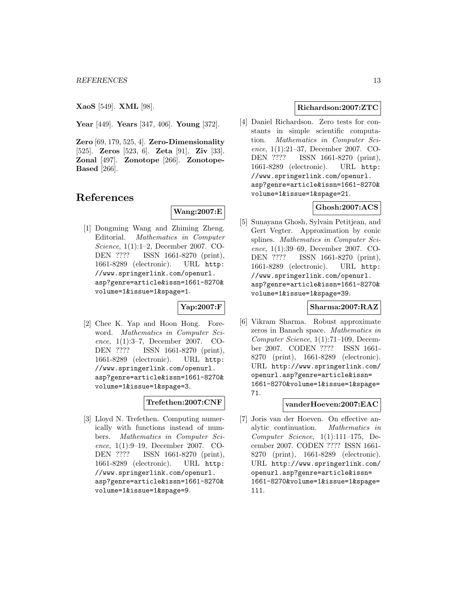**XaoS** [549]. **XML** [98].

**Year** [449]. **Years** [347, 406]. **Young** [372].

**Zero** [69, 179, 525, 4]. **Zero-Dimensionality** [525]. **Zeros** [523, 6]. **Zeta** [91]. **Ziv** [33]. **Zonal** [497]. **Zonotope** [266]. **Zonotope-Based** [266].

# **References**

# **Wang:2007:E**

[1] Dongming Wang and Zhiming Zheng. Editorial. Mathematics in Computer Science, 1(1):1–2, December 2007. CO-DEN ???? ISSN 1661-8270 (print), 1661-8289 (electronic). URL http: //www.springerlink.com/openurl. asp?genre=article&issn=1661-8270& volume=1&issue=1&spage=1.

# **Yap:2007:F**

[2] Chee K. Yap and Hoon Hong. Foreword. Mathematics in Computer Science, 1(1):3–7, December 2007. CO-DEN ???? ISSN 1661-8270 (print), 1661-8289 (electronic). URL http: //www.springerlink.com/openurl. asp?genre=article&issn=1661-8270& volume=1&issue=1&spage=3.

# **Trefethen:2007:CNF**

[3] Lloyd N. Trefethen. Computing numerically with functions instead of numbers. Mathematics in Computer Science, 1(1):9–19, December 2007. CO-DEN ???? ISSN 1661-8270 (print), 1661-8289 (electronic). URL http: //www.springerlink.com/openurl. asp?genre=article&issn=1661-8270& volume=1&issue=1&spage=9.

#### **Richardson:2007:ZTC**

[4] Daniel Richardson. Zero tests for constants in simple scientific computation. Mathematics in Computer Science, 1(1):21–37, December 2007. CO-DEN ???? ISSN 1661-8270 (print), 1661-8289 (electronic). URL http: //www.springerlink.com/openurl. asp?genre=article&issn=1661-8270& volume=1&issue=1&spage=21.

### **Ghosh:2007:ACS**

[5] Sunayana Ghosh, Sylvain Petitjean, and Gert Vegter. Approximation by conic splines. *Mathematics in Computer Sci*ence, 1(1):39–69, December 2007. CO-DEN ???? ISSN 1661-8270 (print), 1661-8289 (electronic). URL http: //www.springerlink.com/openurl. asp?genre=article&issn=1661-8270& volume=1&issue=1&spage=39.

# **Sharma:2007:RAZ**

[6] Vikram Sharma. Robust approximate zeros in Banach space. Mathematics in Computer Science, 1(1):71–109, December 2007. CODEN ???? ISSN 1661- 8270 (print), 1661-8289 (electronic). URL http://www.springerlink.com/ openurl.asp?genre=article&issn= 1661-8270&volume=1&issue=1&spage= 71.

#### **vanderHoeven:2007:EAC**

[7] Joris van der Hoeven. On effective analytic continuation. Mathematics in Computer Science, 1(1):111–175, December 2007. CODEN ???? ISSN 1661- 8270 (print), 1661-8289 (electronic). URL http://www.springerlink.com/ openurl.asp?genre=article&issn= 1661-8270&volume=1&issue=1&spage= 111.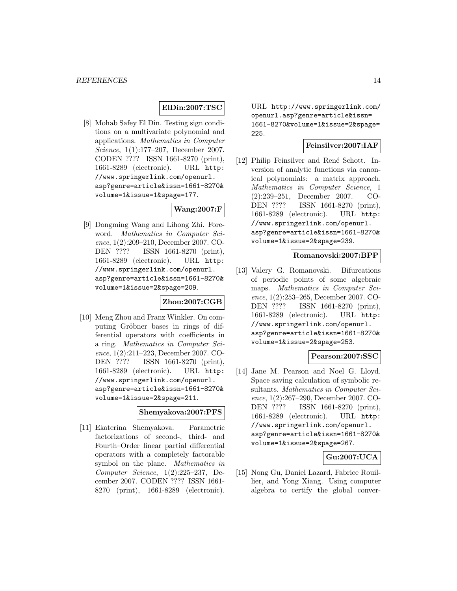#### **ElDin:2007:TSC**

[8] Mohab Safey El Din. Testing sign conditions on a multivariate polynomial and applications. Mathematics in Computer Science, 1(1):177–207, December 2007. CODEN ???? ISSN 1661-8270 (print), 1661-8289 (electronic). URL http: //www.springerlink.com/openurl. asp?genre=article&issn=1661-8270& volume=1&issue=1&spage=177.

# **Wang:2007:F**

[9] Dongming Wang and Lihong Zhi. Foreword. Mathematics in Computer Science, 1(2):209–210, December 2007. CO-DEN ???? ISSN 1661-8270 (print), 1661-8289 (electronic). URL http: //www.springerlink.com/openurl. asp?genre=article&issn=1661-8270& volume=1&issue=2&spage=209.

#### **Zhou:2007:CGB**

[10] Meng Zhou and Franz Winkler. On computing Gröbner bases in rings of differential operators with coefficients in a ring. Mathematics in Computer Science, 1(2):211–223, December 2007. CO-DEN ???? ISSN 1661-8270 (print), 1661-8289 (electronic). URL http: //www.springerlink.com/openurl. asp?genre=article&issn=1661-8270& volume=1&issue=2&spage=211.

### **Shemyakova:2007:PFS**

[11] Ekaterina Shemyakova. Parametric factorizations of second-, third- and Fourth–Order linear partial differential operators with a completely factorable symbol on the plane. Mathematics in Computer Science, 1(2):225–237, December 2007. CODEN ???? ISSN 1661- 8270 (print), 1661-8289 (electronic).

URL http://www.springerlink.com/ openurl.asp?genre=article&issn= 1661-8270&volume=1&issue=2&spage= 225.

#### **Feinsilver:2007:IAF**

[12] Philip Feinsilver and René Schott. Inversion of analytic functions via canonical polynomials: a matrix approach. Mathematics in Computer Science, 1 (2):239–251, December 2007. CO-DEN ???? ISSN 1661-8270 (print), 1661-8289 (electronic). URL http: //www.springerlink.com/openurl. asp?genre=article&issn=1661-8270& volume=1&issue=2&spage=239.

#### **Romanovski:2007:BPP**

[13] Valery G. Romanovski. Bifurcations of periodic points of some algebraic maps. Mathematics in Computer Science, 1(2):253–265, December 2007. CO-DEN ???? ISSN 1661-8270 (print), 1661-8289 (electronic). URL http: //www.springerlink.com/openurl. asp?genre=article&issn=1661-8270& volume=1&issue=2&spage=253.

### **Pearson:2007:SSC**

[14] Jane M. Pearson and Noel G. Lloyd. Space saving calculation of symbolic resultants. Mathematics in Computer Science, 1(2):267–290, December 2007. CO-DEN ???? ISSN 1661-8270 (print), 1661-8289 (electronic). URL http: //www.springerlink.com/openurl. asp?genre=article&issn=1661-8270& volume=1&issue=2&spage=267.

#### **Gu:2007:UCA**

[15] Nong Gu, Daniel Lazard, Fabrice Rouillier, and Yong Xiang. Using computer algebra to certify the global conver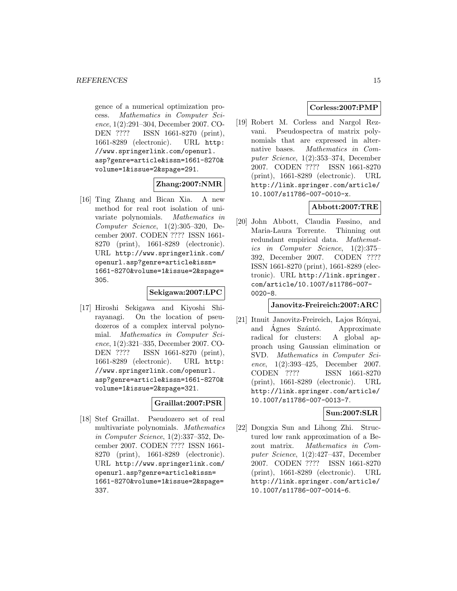gence of a numerical optimization process. Mathematics in Computer Science, 1(2):291–304, December 2007. CO-DEN ???? ISSN 1661-8270 (print), 1661-8289 (electronic). URL http: //www.springerlink.com/openurl. asp?genre=article&issn=1661-8270& volume=1&issue=2&spage=291.

# **Zhang:2007:NMR**

[16] Ting Zhang and Bican Xia. A new method for real root isolation of univariate polynomials. Mathematics in Computer Science, 1(2):305–320, December 2007. CODEN ???? ISSN 1661- 8270 (print), 1661-8289 (electronic). URL http://www.springerlink.com/ openurl.asp?genre=article&issn= 1661-8270&volume=1&issue=2&spage= 305.

#### **Sekigawa:2007:LPC**

[17] Hiroshi Sekigawa and Kiyoshi Shirayanagi. On the location of pseudozeros of a complex interval polynomial. Mathematics in Computer Science, 1(2):321–335, December 2007. CO-DEN ???? ISSN 1661-8270 (print), 1661-8289 (electronic). URL http: //www.springerlink.com/openurl. asp?genre=article&issn=1661-8270& volume=1&issue=2&spage=321.

#### **Graillat:2007:PSR**

[18] Stef Graillat. Pseudozero set of real multivariate polynomials. Mathematics in Computer Science, 1(2):337–352, December 2007. CODEN ???? ISSN 1661- 8270 (print), 1661-8289 (electronic). URL http://www.springerlink.com/ openurl.asp?genre=article&issn= 1661-8270&volume=1&issue=2&spage= 337.

# **Corless:2007:PMP**

[19] Robert M. Corless and Nargol Rezvani. Pseudospectra of matrix polynomials that are expressed in alternative bases. Mathematics in Computer Science, 1(2):353–374, December 2007. CODEN ???? ISSN 1661-8270 (print), 1661-8289 (electronic). URL http://link.springer.com/article/ 10.1007/s11786-007-0010-x.

# **Abbott:2007:TRE**

[20] John Abbott, Claudia Fassino, and Maria-Laura Torrente. Thinning out redundant empirical data. Mathematics in Computer Science, 1(2):375– 392, December 2007. CODEN ???? ISSN 1661-8270 (print), 1661-8289 (electronic). URL http://link.springer. com/article/10.1007/s11786-007- 0020-8.

#### **Janovitz-Freireich:2007:ARC**

[21] Itnuit Janovitz-Freireich, Lajos Rónyai, and Ágnes Szántó. Approximate radical for clusters: A global approach using Gaussian elimination or SVD. Mathematics in Computer Science, 1(2):393–425, December 2007. CODEN ???? ISSN 1661-8270 (print), 1661-8289 (electronic). URL http://link.springer.com/article/ 10.1007/s11786-007-0013-7.

#### **Sun:2007:SLR**

[22] Dongxia Sun and Lihong Zhi. Structured low rank approximation of a Bezout matrix. Mathematics in Computer Science, 1(2):427–437, December 2007. CODEN ???? ISSN 1661-8270 (print), 1661-8289 (electronic). URL http://link.springer.com/article/ 10.1007/s11786-007-0014-6.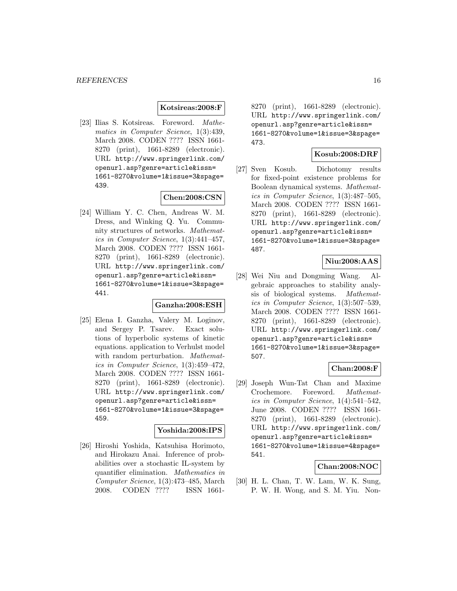#### **Kotsireas:2008:F**

[23] Ilias S. Kotsireas. Foreword. Mathematics in Computer Science, 1(3):439, March 2008. CODEN ???? ISSN 1661- 8270 (print), 1661-8289 (electronic). URL http://www.springerlink.com/ openurl.asp?genre=article&issn= 1661-8270&volume=1&issue=3&spage= 439.

#### **Chen:2008:CSN**

[24] William Y. C. Chen, Andreas W. M. Dress, and Winking Q. Yu. Community structures of networks. Mathematics in Computer Science, 1(3):441–457, March 2008. CODEN ???? ISSN 1661- 8270 (print), 1661-8289 (electronic). URL http://www.springerlink.com/ openurl.asp?genre=article&issn= 1661-8270&volume=1&issue=3&spage= 441.

#### **Ganzha:2008:ESH**

[25] Elena I. Ganzha, Valery M. Loginov, and Sergey P. Tsarev. Exact solutions of hyperbolic systems of kinetic equations. application to Verhulst model with random perturbation. Mathematics in Computer Science, 1(3):459–472, March 2008. CODEN ???? ISSN 1661- 8270 (print), 1661-8289 (electronic). URL http://www.springerlink.com/ openurl.asp?genre=article&issn= 1661-8270&volume=1&issue=3&spage= 459.

#### **Yoshida:2008:IPS**

[26] Hiroshi Yoshida, Katsuhisa Horimoto, and Hirokazu Anai. Inference of probabilities over a stochastic IL-system by quantifier elimination. Mathematics in Computer Science, 1(3):473–485, March 2008. CODEN ???? ISSN 16618270 (print), 1661-8289 (electronic). URL http://www.springerlink.com/ openurl.asp?genre=article&issn= 1661-8270&volume=1&issue=3&spage= 473.

#### **Kosub:2008:DRF**

[27] Sven Kosub. Dichotomy results for fixed-point existence problems for Boolean dynamical systems. Mathematics in Computer Science, 1(3):487–505, March 2008. CODEN ???? ISSN 1661- 8270 (print), 1661-8289 (electronic). URL http://www.springerlink.com/ openurl.asp?genre=article&issn= 1661-8270&volume=1&issue=3&spage= 487.

# **Niu:2008:AAS**

[28] Wei Niu and Dongming Wang. Algebraic approaches to stability analysis of biological systems. Mathematics in Computer Science, 1(3):507–539, March 2008. CODEN ???? ISSN 1661- 8270 (print), 1661-8289 (electronic). URL http://www.springerlink.com/ openurl.asp?genre=article&issn= 1661-8270&volume=1&issue=3&spage= 507.

# **Chan:2008:F**

[29] Joseph Wun-Tat Chan and Maxime Crochemore. Foreword. Mathematics in Computer Science, 1(4):541–542, June 2008. CODEN ???? ISSN 1661- 8270 (print), 1661-8289 (electronic). URL http://www.springerlink.com/ openurl.asp?genre=article&issn= 1661-8270&volume=1&issue=4&spage= 541.

#### **Chan:2008:NOC**

[30] H. L. Chan, T. W. Lam, W. K. Sung, P. W. H. Wong, and S. M. Yiu. Non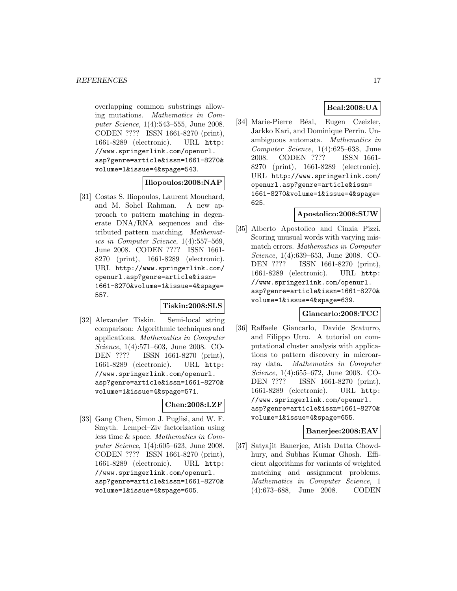overlapping common substrings allowing mutations. Mathematics in Computer Science, 1(4):543–555, June 2008. CODEN ???? ISSN 1661-8270 (print), 1661-8289 (electronic). URL http: //www.springerlink.com/openurl. asp?genre=article&issn=1661-8270& volume=1&issue=4&spage=543.

#### **Iliopoulos:2008:NAP**

[31] Costas S. Iliopoulos, Laurent Mouchard, and M. Sohel Rahman. A new approach to pattern matching in degenerate DNA/RNA sequences and distributed pattern matching. Mathematics in Computer Science, 1(4):557–569, June 2008. CODEN ???? ISSN 1661- 8270 (print), 1661-8289 (electronic). URL http://www.springerlink.com/ openurl.asp?genre=article&issn= 1661-8270&volume=1&issue=4&spage= 557.

# **Tiskin:2008:SLS**

[32] Alexander Tiskin. Semi-local string comparison: Algorithmic techniques and applications. Mathematics in Computer Science, 1(4):571–603, June 2008. CO-DEN ???? ISSN 1661-8270 (print), 1661-8289 (electronic). URL http: //www.springerlink.com/openurl. asp?genre=article&issn=1661-8270& volume=1&issue=4&spage=571.

# **Chen:2008:LZF**

[33] Gang Chen, Simon J. Puglisi, and W. F. Smyth. Lempel–Ziv factorization using less time & space. Mathematics in Computer Science, 1(4):605–623, June 2008. CODEN ???? ISSN 1661-8270 (print), 1661-8289 (electronic). URL http: //www.springerlink.com/openurl. asp?genre=article&issn=1661-8270& volume=1&issue=4&spage=605.

# **Beal:2008:UA**

[34] Marie-Pierre Béal, Eugen Czeizler, Jarkko Kari, and Dominique Perrin. Unambiguous automata. Mathematics in Computer Science, 1(4):625–638, June 2008. CODEN ???? ISSN 1661- 8270 (print), 1661-8289 (electronic). URL http://www.springerlink.com/ openurl.asp?genre=article&issn= 1661-8270&volume=1&issue=4&spage= 625.

#### **Apostolico:2008:SUW**

[35] Alberto Apostolico and Cinzia Pizzi. Scoring unusual words with varying mismatch errors. Mathematics in Computer Science, 1(4):639–653, June 2008. CO-DEN ???? ISSN 1661-8270 (print), 1661-8289 (electronic). URL http: //www.springerlink.com/openurl. asp?genre=article&issn=1661-8270& volume=1&issue=4&spage=639.

### **Giancarlo:2008:TCC**

[36] Raffaele Giancarlo, Davide Scaturro, and Filippo Utro. A tutorial on computational cluster analysis with applications to pattern discovery in microarray data. Mathematics in Computer Science, 1(4):655–672, June 2008. CO-DEN ???? ISSN 1661-8270 (print), 1661-8289 (electronic). URL http: //www.springerlink.com/openurl. asp?genre=article&issn=1661-8270& volume=1&issue=4&spage=655.

#### **Banerjee:2008:EAV**

[37] Satyajit Banerjee, Atish Datta Chowdhury, and Subhas Kumar Ghosh. Efficient algorithms for variants of weighted matching and assignment problems. Mathematics in Computer Science, 1 (4):673–688, June 2008. CODEN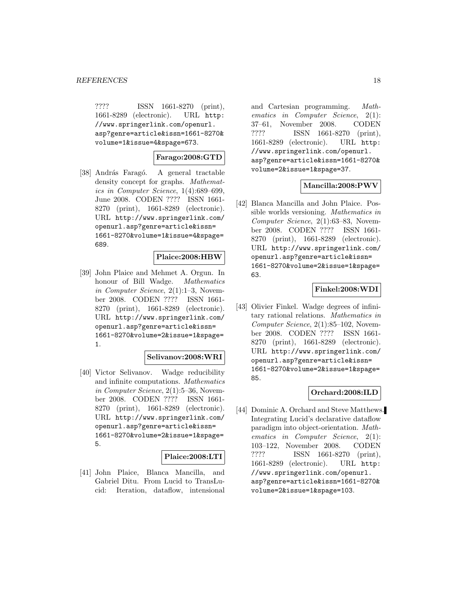???? ISSN 1661-8270 (print), 1661-8289 (electronic). URL http: //www.springerlink.com/openurl. asp?genre=article&issn=1661-8270& volume=1&issue=4&spage=673.

# **Farago:2008:GTD**

[38] András Faragó. A general tractable density concept for graphs. Mathematics in Computer Science, 1(4):689–699, June 2008. CODEN ???? ISSN 1661- 8270 (print), 1661-8289 (electronic). URL http://www.springerlink.com/ openurl.asp?genre=article&issn= 1661-8270&volume=1&issue=4&spage= 689.

### **Plaice:2008:HBW**

[39] John Plaice and Mehmet A. Orgun. In honour of Bill Wadge. Mathematics in Computer Science, 2(1):1–3, November 2008. CODEN ???? ISSN 1661- 8270 (print), 1661-8289 (electronic). URL http://www.springerlink.com/ openurl.asp?genre=article&issn= 1661-8270&volume=2&issue=1&spage= 1.

# **Selivanov:2008:WRI**

[40] Victor Selivanov. Wadge reducibility and infinite computations. Mathematics in Computer Science, 2(1):5–36, November 2008. CODEN ???? ISSN 1661- 8270 (print), 1661-8289 (electronic). URL http://www.springerlink.com/ openurl.asp?genre=article&issn= 1661-8270&volume=2&issue=1&spage= 5.

#### **Plaice:2008:LTI**

[41] John Plaice, Blanca Mancilla, and Gabriel Ditu. From Lucid to TransLucid: Iteration, dataflow, intensional

and Cartesian programming. Mathematics in Computer Science, 2(1): 37–61, November 2008. CODEN ???? ISSN 1661-8270 (print), 1661-8289 (electronic). URL http: //www.springerlink.com/openurl. asp?genre=article&issn=1661-8270& volume=2&issue=1&spage=37.

# **Mancilla:2008:PWV**

[42] Blanca Mancilla and John Plaice. Possible worlds versioning. Mathematics in Computer Science, 2(1):63–83, November 2008. CODEN ???? ISSN 1661- 8270 (print), 1661-8289 (electronic). URL http://www.springerlink.com/ openurl.asp?genre=article&issn= 1661-8270&volume=2&issue=1&spage= 63.

### **Finkel:2008:WDI**

[43] Olivier Finkel. Wadge degrees of infinitary rational relations. Mathematics in Computer Science, 2(1):85–102, November 2008. CODEN ???? ISSN 1661- 8270 (print), 1661-8289 (electronic). URL http://www.springerlink.com/ openurl.asp?genre=article&issn= 1661-8270&volume=2&issue=1&spage= 85.

#### **Orchard:2008:ILD**

[44] Dominic A. Orchard and Steve Matthews. Integrating Lucid's declarative dataflow paradigm into object-orientation. Mathematics in Computer Science, 2(1): 103–122, November 2008. CODEN ???? ISSN 1661-8270 (print), 1661-8289 (electronic). URL http: //www.springerlink.com/openurl. asp?genre=article&issn=1661-8270& volume=2&issue=1&spage=103.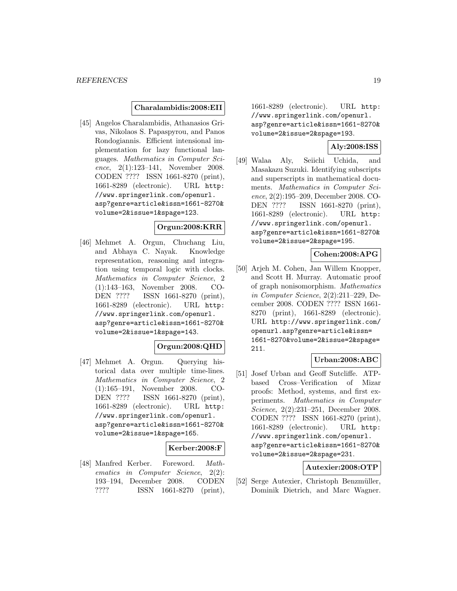#### **Charalambidis:2008:EII**

[45] Angelos Charalambidis, Athanasios Grivas, Nikolaos S. Papaspyrou, and Panos Rondogiannis. Efficient intensional implementation for lazy functional languages. Mathematics in Computer Science, 2(1):123–141, November 2008. CODEN ???? ISSN 1661-8270 (print), 1661-8289 (electronic). URL http: //www.springerlink.com/openurl. asp?genre=article&issn=1661-8270& volume=2&issue=1&spage=123.

#### **Orgun:2008:KRR**

[46] Mehmet A. Orgun, Chuchang Liu, and Abhaya C. Nayak. Knowledge representation, reasoning and integration using temporal logic with clocks. Mathematics in Computer Science, 2 (1):143–163, November 2008. CO-DEN ???? ISSN 1661-8270 (print), 1661-8289 (electronic). URL http: //www.springerlink.com/openurl. asp?genre=article&issn=1661-8270& volume=2&issue=1&spage=143.

# **Orgun:2008:QHD**

[47] Mehmet A. Orgun. Querying historical data over multiple time-lines. Mathematics in Computer Science, 2 (1):165–191, November 2008. CO-DEN ???? ISSN 1661-8270 (print), 1661-8289 (electronic). URL http: //www.springerlink.com/openurl. asp?genre=article&issn=1661-8270& volume=2&issue=1&spage=165.

#### **Kerber:2008:F**

[48] Manfred Kerber. Foreword. Mathematics in Computer Science, 2(2): 193–194, December 2008. CODEN ???? ISSN 1661-8270 (print), 1661-8289 (electronic). URL http: //www.springerlink.com/openurl. asp?genre=article&issn=1661-8270& volume=2&issue=2&spage=193.

# **Aly:2008:ISS**

[49] Walaa Aly, Seiichi Uchida, and Masakazu Suzuki. Identifying subscripts and superscripts in mathematical documents. Mathematics in Computer Science, 2(2):195–209, December 2008. CO-DEN ???? ISSN 1661-8270 (print), 1661-8289 (electronic). URL http: //www.springerlink.com/openurl. asp?genre=article&issn=1661-8270& volume=2&issue=2&spage=195.

# **Cohen:2008:APG**

[50] Arjeh M. Cohen, Jan Willem Knopper, and Scott H. Murray. Automatic proof of graph nonisomorphism. Mathematics in Computer Science, 2(2):211–229, December 2008. CODEN ???? ISSN 1661- 8270 (print), 1661-8289 (electronic). URL http://www.springerlink.com/ openurl.asp?genre=article&issn= 1661-8270&volume=2&issue=2&spage= 211.

# **Urban:2008:ABC**

[51] Josef Urban and Geoff Sutcliffe. ATPbased Cross–Verification of Mizar proofs: Method, systems, and first experiments. Mathematics in Computer Science, 2(2):231–251, December 2008. CODEN ???? ISSN 1661-8270 (print), 1661-8289 (electronic). URL http: //www.springerlink.com/openurl. asp?genre=article&issn=1661-8270& volume=2&issue=2&spage=231.

# **Autexier:2008:OTP**

[52] Serge Autexier, Christoph Benzmüller, Dominik Dietrich, and Marc Wagner.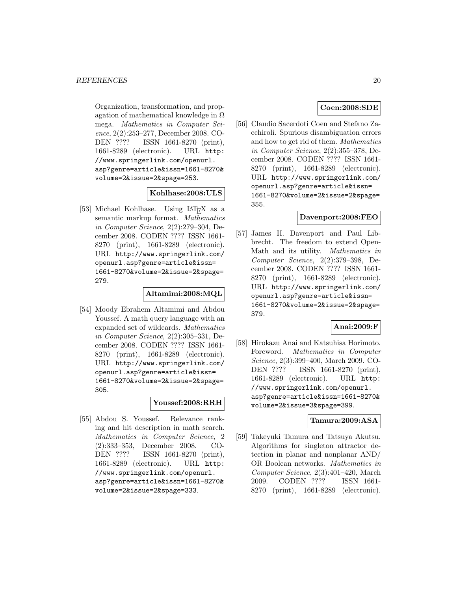Organization, transformation, and propagation of mathematical knowledge in  $\Omega$ mega. Mathematics in Computer Science, 2(2):253–277, December 2008. CO-DEN ???? ISSN 1661-8270 (print), 1661-8289 (electronic). URL http: //www.springerlink.com/openurl. asp?genre=article&issn=1661-8270& volume=2&issue=2&spage=253.

# **Kohlhase:2008:ULS**

[53] Michael Kohlhase. Using LAT<sub>E</sub>X as a semantic markup format. Mathematics in Computer Science, 2(2):279–304, December 2008. CODEN ???? ISSN 1661- 8270 (print), 1661-8289 (electronic). URL http://www.springerlink.com/ openurl.asp?genre=article&issn= 1661-8270&volume=2&issue=2&spage= 279.

### **Altamimi:2008:MQL**

[54] Moody Ebrahem Altamimi and Abdou Youssef. A math query language with an expanded set of wildcards. Mathematics in Computer Science, 2(2):305–331, December 2008. CODEN ???? ISSN 1661- 8270 (print), 1661-8289 (electronic). URL http://www.springerlink.com/ openurl.asp?genre=article&issn= 1661-8270&volume=2&issue=2&spage= 305.

### **Youssef:2008:RRH**

[55] Abdou S. Youssef. Relevance ranking and hit description in math search. Mathematics in Computer Science, 2 (2):333–353, December 2008. CO-DEN ???? ISSN 1661-8270 (print), 1661-8289 (electronic). URL http: //www.springerlink.com/openurl. asp?genre=article&issn=1661-8270& volume=2&issue=2&spage=333.

# **Coen:2008:SDE**

[56] Claudio Sacerdoti Coen and Stefano Zacchiroli. Spurious disambiguation errors and how to get rid of them. Mathematics in Computer Science, 2(2):355–378, December 2008. CODEN ???? ISSN 1661- 8270 (print), 1661-8289 (electronic). URL http://www.springerlink.com/ openurl.asp?genre=article&issn= 1661-8270&volume=2&issue=2&spage= 355.

# **Davenport:2008:FEO**

[57] James H. Davenport and Paul Libbrecht. The freedom to extend Open-Math and its utility. Mathematics in Computer Science, 2(2):379–398, December 2008. CODEN ???? ISSN 1661- 8270 (print), 1661-8289 (electronic). URL http://www.springerlink.com/ openurl.asp?genre=article&issn= 1661-8270&volume=2&issue=2&spage= 379.

### **Anai:2009:F**

[58] Hirokazu Anai and Katsuhisa Horimoto. Foreword. Mathematics in Computer Science, 2(3):399–400, March 2009. CO-DEN ???? ISSN 1661-8270 (print), 1661-8289 (electronic). URL http: //www.springerlink.com/openurl. asp?genre=article&issn=1661-8270& volume=2&issue=3&spage=399.

# **Tamura:2009:ASA**

[59] Takeyuki Tamura and Tatsuya Akutsu. Algorithms for singleton attractor detection in planar and nonplanar AND/ OR Boolean networks. Mathematics in Computer Science, 2(3):401–420, March 2009. CODEN ???? ISSN 1661- 8270 (print), 1661-8289 (electronic).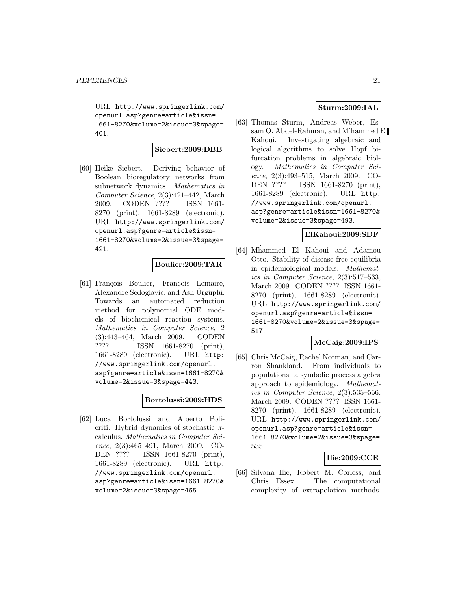URL http://www.springerlink.com/ openurl.asp?genre=article&issn= 1661-8270&volume=2&issue=3&spage= 401.

# **Siebert:2009:DBB**

[60] Heike Siebert. Deriving behavior of Boolean bioregulatory networks from subnetwork dynamics. Mathematics in Computer Science, 2(3):421–442, March 2009. CODEN ???? ISSN 1661- 8270 (print), 1661-8289 (electronic). URL http://www.springerlink.com/ openurl.asp?genre=article&issn= 1661-8270&volume=2&issue=3&spage= 421.

# **Boulier:2009:TAR**

[61] François Boulier, François Lemaire, Alexandre Sedoglavic, and Asli Urgüplü. Towards an automated reduction method for polynomial ODE models of biochemical reaction systems. Mathematics in Computer Science, 2 (3):443–464, March 2009. CODEN ???? ISSN 1661-8270 (print), 1661-8289 (electronic). URL http: //www.springerlink.com/openurl. asp?genre=article&issn=1661-8270& volume=2&issue=3&spage=443.

### **Bortolussi:2009:HDS**

[62] Luca Bortolussi and Alberto Policriti. Hybrid dynamics of stochastic  $\pi$ calculus. Mathematics in Computer Science, 2(3):465–491, March 2009. CO-DEN ???? ISSN 1661-8270 (print), 1661-8289 (electronic). URL http: //www.springerlink.com/openurl. asp?genre=article&issn=1661-8270& volume=2&issue=3&spage=465.

# **Sturm:2009:IAL**

[63] Thomas Sturm, Andreas Weber, Essam O. Abdel-Rahman, and M'hammed El Kahoui. Investigating algebraic and logical algorithms to solve Hopf bifurcation problems in algebraic biology. Mathematics in Computer Science, 2(3):493–515, March 2009. CO-DEN ???? ISSN 1661-8270 (print), 1661-8289 (electronic). URL http: //www.springerlink.com/openurl. asp?genre=article&issn=1661-8270& volume=2&issue=3&spage=493.

# **ElKahoui:2009:SDF**

[64] Mhammed El Kahoui and Adamou Otto. Stability of disease free equilibria in epidemiological models. Mathematics in Computer Science, 2(3):517–533, March 2009. CODEN ???? ISSN 1661- 8270 (print), 1661-8289 (electronic). URL http://www.springerlink.com/ openurl.asp?genre=article&issn= 1661-8270&volume=2&issue=3&spage= 517.

#### **McCaig:2009:IPS**

[65] Chris McCaig, Rachel Norman, and Carron Shankland. From individuals to populations: a symbolic process algebra approach to epidemiology. Mathematics in Computer Science, 2(3):535–556, March 2009. CODEN ???? ISSN 1661- 8270 (print), 1661-8289 (electronic). URL http://www.springerlink.com/ openurl.asp?genre=article&issn= 1661-8270&volume=2&issue=3&spage= 535.

### **Ilie:2009:CCE**

[66] Silvana Ilie, Robert M. Corless, and Chris Essex. The computational complexity of extrapolation methods.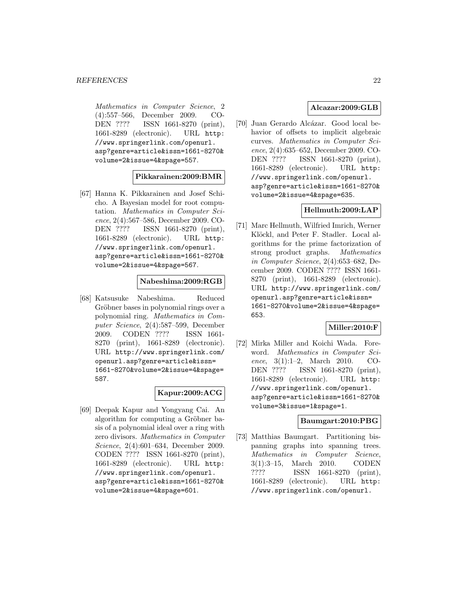Mathematics in Computer Science, 2 (4):557–566, December 2009. CO-DEN ???? ISSN 1661-8270 (print), 1661-8289 (electronic). URL http: //www.springerlink.com/openurl. asp?genre=article&issn=1661-8270& volume=2&issue=4&spage=557.

### **Pikkarainen:2009:BMR**

[67] Hanna K. Pikkarainen and Josef Schicho. A Bayesian model for root computation. Mathematics in Computer Science, 2(4):567–586, December 2009. CO-DEN ???? ISSN 1661-8270 (print), 1661-8289 (electronic). URL http: //www.springerlink.com/openurl. asp?genre=article&issn=1661-8270& volume=2&issue=4&spage=567.

#### **Nabeshima:2009:RGB**

[68] Katsusuke Nabeshima. Reduced Gröbner bases in polynomial rings over a polynomial ring. Mathematics in Computer Science, 2(4):587–599, December 2009. CODEN ???? ISSN 1661- 8270 (print), 1661-8289 (electronic). URL http://www.springerlink.com/ openurl.asp?genre=article&issn= 1661-8270&volume=2&issue=4&spage= 587.

# **Kapur:2009:ACG**

[69] Deepak Kapur and Yongyang Cai. An algorithm for computing a Gröbner basis of a polynomial ideal over a ring with zero divisors. Mathematics in Computer Science, 2(4):601–634, December 2009. CODEN ???? ISSN 1661-8270 (print), 1661-8289 (electronic). URL http: //www.springerlink.com/openurl. asp?genre=article&issn=1661-8270& volume=2&issue=4&spage=601.

# **Alcazar:2009:GLB**

[70] Juan Gerardo Alcázar. Good local behavior of offsets to implicit algebraic curves. Mathematics in Computer Science, 2(4):635–652, December 2009. CO-DEN ???? ISSN 1661-8270 (print), 1661-8289 (electronic). URL http: //www.springerlink.com/openurl. asp?genre=article&issn=1661-8270& volume=2&issue=4&spage=635.

### **Hellmuth:2009:LAP**

[71] Marc Hellmuth, Wilfried Imrich, Werner Klöckl, and Peter F. Stadler. Local algorithms for the prime factorization of strong product graphs. Mathematics in Computer Science, 2(4):653–682, December 2009. CODEN ???? ISSN 1661- 8270 (print), 1661-8289 (electronic). URL http://www.springerlink.com/ openurl.asp?genre=article&issn= 1661-8270&volume=2&issue=4&spage= 653.

# **Miller:2010:F**

[72] Mirka Miller and Koichi Wada. Foreword. Mathematics in Computer Science, 3(1):1–2, March 2010. CO-DEN ???? ISSN 1661-8270 (print), 1661-8289 (electronic). URL http: //www.springerlink.com/openurl. asp?genre=article&issn=1661-8270& volume=3&issue=1&spage=1.

#### **Baumgart:2010:PBG**

[73] Matthias Baumgart. Partitioning bispanning graphs into spanning trees. Mathematics in Computer Science, 3(1):3–15, March 2010. CODEN ???? ISSN 1661-8270 (print), 1661-8289 (electronic). URL http: //www.springerlink.com/openurl.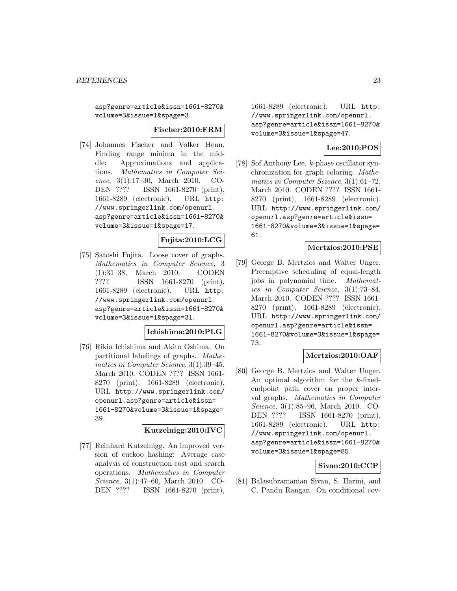asp?genre=article&issn=1661-8270& volume=3&issue=1&spage=3.

#### **Fischer:2010:FRM**

[74] Johannes Fischer and Volker Heun. Finding range minima in the middle: Approximations and applications. Mathematics in Computer Science, 3(1):17–30, March 2010. CO-DEN ???? ISSN 1661-8270 (print), 1661-8289 (electronic). URL http: //www.springerlink.com/openurl. asp?genre=article&issn=1661-8270& volume=3&issue=1&spage=17.

# **Fujita:2010:LCG**

[75] Satoshi Fujita. Loose cover of graphs. Mathematics in Computer Science, 3 (1):31–38, March 2010. CODEN ???? ISSN 1661-8270 (print), 1661-8289 (electronic). URL http: //www.springerlink.com/openurl. asp?genre=article&issn=1661-8270& volume=3&issue=1&spage=31.

# **Ichishima:2010:PLG**

[76] Rikio Ichishima and Akito Oshima. On partitional labelings of graphs. Mathematics in Computer Science, 3(1):39–45, March 2010. CODEN ???? ISSN 1661- 8270 (print), 1661-8289 (electronic). URL http://www.springerlink.com/ openurl.asp?genre=article&issn= 1661-8270&volume=3&issue=1&spage= 39.

### **Kutzelnigg:2010:IVC**

[77] Reinhard Kutzelnigg. An improved version of cuckoo hashing: Average case analysis of construction cost and search operations. Mathematics in Computer Science, 3(1):47–60, March 2010. CO-DEN ???? ISSN 1661-8270 (print),

1661-8289 (electronic). URL http: //www.springerlink.com/openurl. asp?genre=article&issn=1661-8270& volume=3&issue=1&spage=47.

# **Lee:2010:POS**

[78] Sof Anthony Lee. k-phase oscillator synchronization for graph coloring. Mathematics in Computer Science, 3(1):61–72, March 2010. CODEN ???? ISSN 1661- 8270 (print), 1661-8289 (electronic). URL http://www.springerlink.com/ openurl.asp?genre=article&issn= 1661-8270&volume=3&issue=1&spage= 61.

# **Mertzios:2010:PSE**

[79] George B. Mertzios and Walter Unger. Preemptive scheduling of equal-length jobs in polynomial time. Mathematics in Computer Science, 3(1):73–84, March 2010. CODEN ???? ISSN 1661- 8270 (print), 1661-8289 (electronic). URL http://www.springerlink.com/ openurl.asp?genre=article&issn= 1661-8270&volume=3&issue=1&spage= 73.

#### **Mertzios:2010:OAF**

[80] George B. Mertzios and Walter Unger. An optimal algorithm for the k-fixedendpoint path cover on proper interval graphs. Mathematics in Computer Science, 3(1):85–96, March 2010. CO-DEN ???? ISSN 1661-8270 (print), 1661-8289 (electronic). URL http: //www.springerlink.com/openurl. asp?genre=article&issn=1661-8270& volume=3&issue=1&spage=85.

### **Sivan:2010:CCP**

[81] Balasubramanian Sivan, S. Harini, and C. Pandu Rangan. On conditional cov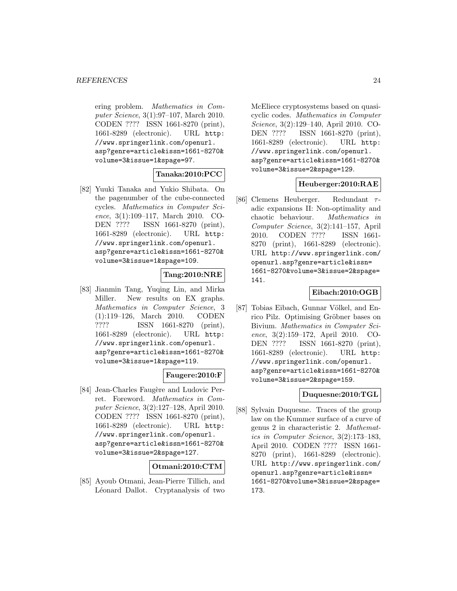ering problem. Mathematics in Computer Science, 3(1):97–107, March 2010. CODEN ???? ISSN 1661-8270 (print), 1661-8289 (electronic). URL http: //www.springerlink.com/openurl. asp?genre=article&issn=1661-8270& volume=3&issue=1&spage=97.

# **Tanaka:2010:PCC**

[82] Yuuki Tanaka and Yukio Shibata. On the pagenumber of the cube-connected cycles. Mathematics in Computer Science, 3(1):109–117, March 2010. CO-DEN ???? ISSN 1661-8270 (print), 1661-8289 (electronic). URL http: //www.springerlink.com/openurl. asp?genre=article&issn=1661-8270& volume=3&issue=1&spage=109.

# **Tang:2010:NRE**

[83] Jianmin Tang, Yuqing Lin, and Mirka Miller. New results on EX graphs. Mathematics in Computer Science, 3 (1):119–126, March 2010. CODEN ???? ISSN 1661-8270 (print), 1661-8289 (electronic). URL http: //www.springerlink.com/openurl. asp?genre=article&issn=1661-8270& volume=3&issue=1&spage=119.

# **Faugere:2010:F**

[84] Jean-Charles Faugère and Ludovic Perret. Foreword. Mathematics in Computer Science, 3(2):127–128, April 2010. CODEN ???? ISSN 1661-8270 (print), 1661-8289 (electronic). URL http: //www.springerlink.com/openurl. asp?genre=article&issn=1661-8270& volume=3&issue=2&spage=127.

### **Otmani:2010:CTM**

[85] Ayoub Otmani, Jean-Pierre Tillich, and Léonard Dallot. Cryptanalysis of two McEliece cryptosystems based on quasicyclic codes. Mathematics in Computer Science, 3(2):129–140, April 2010. CO-DEN ???? ISSN 1661-8270 (print), 1661-8289 (electronic). URL http: //www.springerlink.com/openurl. asp?genre=article&issn=1661-8270& volume=3&issue=2&spage=129.

# **Heuberger:2010:RAE**

[86] Clemens Heuberger. Redundant  $\tau$ adic expansions II: Non-optimality and chaotic behaviour. Mathematics in Computer Science, 3(2):141–157, April 2010. CODEN ???? ISSN 1661- 8270 (print), 1661-8289 (electronic). URL http://www.springerlink.com/ openurl.asp?genre=article&issn= 1661-8270&volume=3&issue=2&spage= 141.

#### **Eibach:2010:OGB**

[87] Tobias Eibach, Gunnar Völkel, and Enrico Pilz. Optimising Gröbner bases on Bivium. Mathematics in Computer Science, 3(2):159–172, April 2010. CO-DEN ???? ISSN 1661-8270 (print), 1661-8289 (electronic). URL http: //www.springerlink.com/openurl. asp?genre=article&issn=1661-8270& volume=3&issue=2&spage=159.

# **Duquesne:2010:TGL**

[88] Sylvain Duquesne. Traces of the group law on the Kummer surface of a curve of genus 2 in characteristic 2. Mathematics in Computer Science, 3(2):173–183, April 2010. CODEN ???? ISSN 1661- 8270 (print), 1661-8289 (electronic). URL http://www.springerlink.com/ openurl.asp?genre=article&issn= 1661-8270&volume=3&issue=2&spage= 173.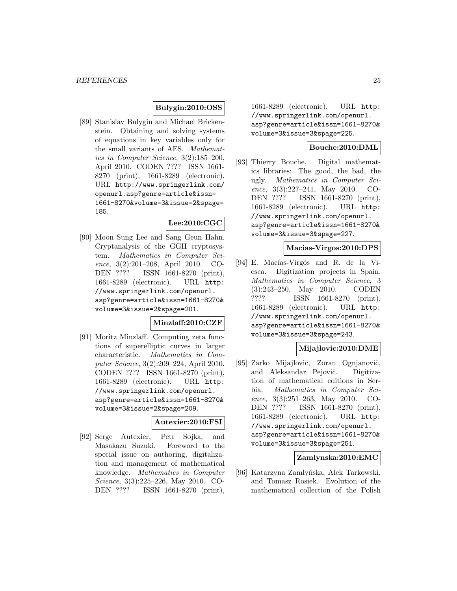# **Bulygin:2010:OSS**

[89] Stanislav Bulygin and Michael Brickenstein. Obtaining and solving systems of equations in key variables only for the small variants of AES. Mathematics in Computer Science, 3(2):185–200, April 2010. CODEN ???? ISSN 1661- 8270 (print), 1661-8289 (electronic). URL http://www.springerlink.com/ openurl.asp?genre=article&issn= 1661-8270&volume=3&issue=2&spage= 185.

# **Lee:2010:CGC**

[90] Moon Sung Lee and Sang Geun Hahn. Cryptanalysis of the GGH cryptosystem. Mathematics in Computer Science, 3(2):201–208, April 2010. CO-DEN ???? ISSN 1661-8270 (print), 1661-8289 (electronic). URL http: //www.springerlink.com/openurl. asp?genre=article&issn=1661-8270& volume=3&issue=2&spage=201.

### **Minzlaff:2010:CZF**

[91] Moritz Minzlaff. Computing zeta functions of superelliptic curves in larger characteristic. Mathematics in Computer Science, 3(2):209–224, April 2010. CODEN ???? ISSN 1661-8270 (print), 1661-8289 (electronic). URL http: //www.springerlink.com/openurl. asp?genre=article&issn=1661-8270& volume=3&issue=2&spage=209.

### **Autexier:2010:FSI**

[92] Serge Autexier, Petr Sojka, and Masakazu Suzuki. Foreword to the special issue on authoring, digitalization and management of mathematical knowledge. Mathematics in Computer Science, 3(3):225–226, May 2010. CO-DEN ???? ISSN 1661-8270 (print),

1661-8289 (electronic). URL http: //www.springerlink.com/openurl. asp?genre=article&issn=1661-8270& volume=3&issue=3&spage=225.

# **Bouche:2010:DML**

[93] Thierry Bouche. Digital mathematics libraries: The good, the bad, the ugly. Mathematics in Computer Science, 3(3):227–241, May 2010. CO-DEN ???? ISSN 1661-8270 (print), 1661-8289 (electronic). URL http: //www.springerlink.com/openurl. asp?genre=article&issn=1661-8270& volume=3&issue=3&spage=227.

#### **Macias-Virgos:2010:DPS**

[94] E. Macías-Virgós and R. de la Viesca. Digitization projects in Spain. Mathematics in Computer Science, 3 (3):243–250, May 2010. CODEN ???? ISSN 1661-8270 (print), 1661-8289 (electronic). URL http: //www.springerlink.com/openurl. asp?genre=article&issn=1661-8270& volume=3&issue=3&spage=243.

### **Mijajlovic:2010:DME**

[95] Zarko Mijajlovič, Zoran Ognjanovič, and Aleksandar Pejovič. Digitization of mathematical editions in Serbia. Mathematics in Computer Science, 3(3):251–263, May 2010. CO-DEN ???? ISSN 1661-8270 (print), 1661-8289 (electronic). URL http: //www.springerlink.com/openurl. asp?genre=article&issn=1661-8270& volume=3&issue=3&spage=251.

### **Zamlynska:2010:EMC**

[96] Katarzyna Zamlyńska, Alek Tarkowski, and Tomasz Rosiek. Evolution of the mathematical collection of the Polish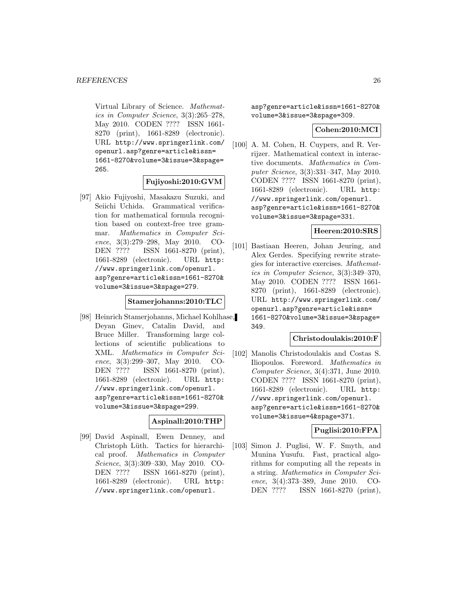Virtual Library of Science. Mathematics in Computer Science, 3(3):265–278, May 2010. CODEN ???? ISSN 1661- 8270 (print), 1661-8289 (electronic). URL http://www.springerlink.com/ openurl.asp?genre=article&issn= 1661-8270&volume=3&issue=3&spage= 265.

#### **Fujiyoshi:2010:GVM**

[97] Akio Fujiyoshi, Masakazu Suzuki, and Seiichi Uchida. Grammatical verification for mathematical formula recognition based on context-free tree grammar. Mathematics in Computer Science, 3(3):279–298, May 2010. CO-DEN ???? ISSN 1661-8270 (print), 1661-8289 (electronic). URL http: //www.springerlink.com/openurl. asp?genre=article&issn=1661-8270& volume=3&issue=3&spage=279.

#### **Stamerjohanns:2010:TLC**

[98] Heinrich Stamerjohanns, Michael Kohlhase, Deyan Ginev, Catalin David, and Bruce Miller. Transforming large collections of scientific publications to XML. Mathematics in Computer Science, 3(3):299–307, May 2010. CO-DEN ???? ISSN 1661-8270 (print), 1661-8289 (electronic). URL http: //www.springerlink.com/openurl. asp?genre=article&issn=1661-8270& volume=3&issue=3&spage=299.

#### **Aspinall:2010:THP**

[99] David Aspinall, Ewen Denney, and Christoph Lüth. Tactics for hierarchical proof. Mathematics in Computer Science, 3(3):309–330, May 2010. CO-DEN ???? ISSN 1661-8270 (print), 1661-8289 (electronic). URL http: //www.springerlink.com/openurl.

asp?genre=article&issn=1661-8270& volume=3&issue=3&spage=309.

### **Cohen:2010:MCI**

[100] A. M. Cohen, H. Cuypers, and R. Verrijzer. Mathematical context in interactive documents. Mathematics in Computer Science, 3(3):331–347, May 2010. CODEN ???? ISSN 1661-8270 (print), 1661-8289 (electronic). URL http: //www.springerlink.com/openurl. asp?genre=article&issn=1661-8270& volume=3&issue=3&spage=331.

#### **Heeren:2010:SRS**

[101] Bastiaan Heeren, Johan Jeuring, and Alex Gerdes. Specifying rewrite strategies for interactive exercises. Mathematics in Computer Science, 3(3):349–370, May 2010. CODEN ???? ISSN 1661- 8270 (print), 1661-8289 (electronic). URL http://www.springerlink.com/ openurl.asp?genre=article&issn= 1661-8270&volume=3&issue=3&spage= 349.

#### **Christodoulakis:2010:F**

[102] Manolis Christodoulakis and Costas S. Iliopoulos. Foreword. Mathematics in Computer Science, 3(4):371, June 2010. CODEN ???? ISSN 1661-8270 (print), 1661-8289 (electronic). URL http: //www.springerlink.com/openurl. asp?genre=article&issn=1661-8270& volume=3&issue=4&spage=371.

# **Puglisi:2010:FPA**

[103] Simon J. Puglisi, W. F. Smyth, and Munina Yusufu. Fast, practical algorithms for computing all the repeats in a string. Mathematics in Computer Science, 3(4):373–389, June 2010. CO-DEN ???? ISSN 1661-8270 (print),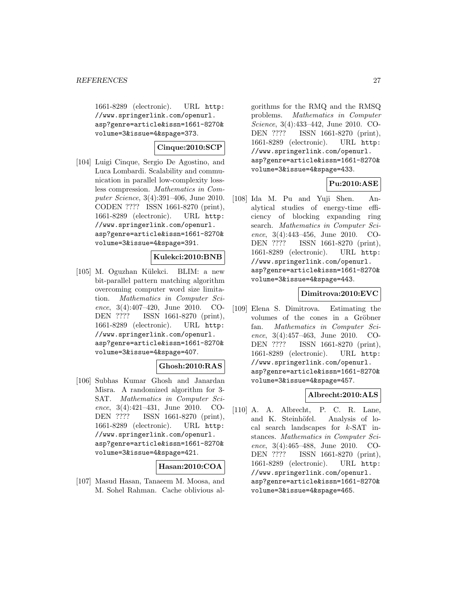1661-8289 (electronic). URL http: //www.springerlink.com/openurl. asp?genre=article&issn=1661-8270& volume=3&issue=4&spage=373.

# **Cinque:2010:SCP**

[104] Luigi Cinque, Sergio De Agostino, and Luca Lombardi. Scalability and communication in parallel low-complexity lossless compression. Mathematics in Computer Science, 3(4):391–406, June 2010. CODEN ???? ISSN 1661-8270 (print), 1661-8289 (electronic). URL http: //www.springerlink.com/openurl. asp?genre=article&issn=1661-8270& volume=3&issue=4&spage=391.

### **Kulekci:2010:BNB**

[105] M. Oguzhan Külekci. BLIM: a new bit-parallel pattern matching algorithm overcoming computer word size limitation. Mathematics in Computer Science, 3(4):407–420, June 2010. CO-DEN ???? ISSN 1661-8270 (print), 1661-8289 (electronic). URL http: //www.springerlink.com/openurl. asp?genre=article&issn=1661-8270& volume=3&issue=4&spage=407.

# **Ghosh:2010:RAS**

[106] Subhas Kumar Ghosh and Janardan Misra. A randomized algorithm for 3- SAT. Mathematics in Computer Science, 3(4):421–431, June 2010. CO-DEN ???? ISSN 1661-8270 (print), 1661-8289 (electronic). URL http: //www.springerlink.com/openurl. asp?genre=article&issn=1661-8270& volume=3&issue=4&spage=421.

# **Hasan:2010:COA**

[107] Masud Hasan, Tanaeem M. Moosa, and M. Sohel Rahman. Cache oblivious algorithms for the RMQ and the RMSQ problems. Mathematics in Computer Science, 3(4):433–442, June 2010. CO-DEN ???? ISSN 1661-8270 (print), 1661-8289 (electronic). URL http: //www.springerlink.com/openurl. asp?genre=article&issn=1661-8270& volume=3&issue=4&spage=433.

# **Pu:2010:ASE**

[108] Ida M. Pu and Yuji Shen. Analytical studies of energy-time efficiency of blocking expanding ring search. Mathematics in Computer Science, 3(4):443–456, June 2010. CO-DEN ???? ISSN 1661-8270 (print), 1661-8289 (electronic). URL http: //www.springerlink.com/openurl. asp?genre=article&issn=1661-8270& volume=3&issue=4&spage=443.

### **Dimitrova:2010:EVC**

[109] Elena S. Dimitrova. Estimating the volumes of the cones in a Gröbner fan. Mathematics in Computer Science, 3(4):457–463, June 2010. CO-DEN ???? ISSN 1661-8270 (print), 1661-8289 (electronic). URL http: //www.springerlink.com/openurl. asp?genre=article&issn=1661-8270& volume=3&issue=4&spage=457.

# **Albrecht:2010:ALS**

[110] A. A. Albrecht, P. C. R. Lane, and K. Steinhöfel. Analysis of local search landscapes for k-SAT instances. Mathematics in Computer Science, 3(4):465–488, June 2010. CO-DEN ???? ISSN 1661-8270 (print), 1661-8289 (electronic). URL http: //www.springerlink.com/openurl. asp?genre=article&issn=1661-8270& volume=3&issue=4&spage=465.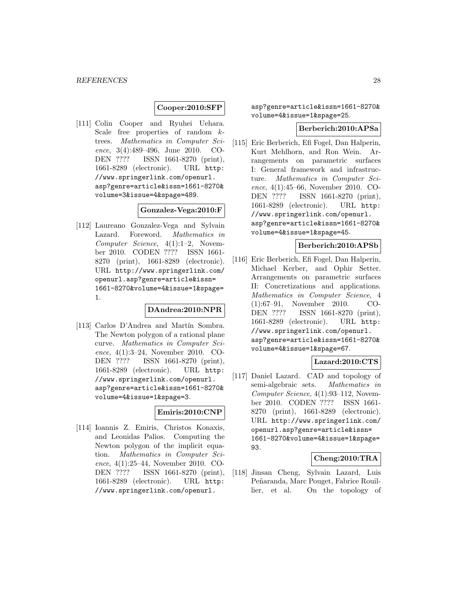# **Cooper:2010:SFP**

[111] Colin Cooper and Ryuhei Uehara. Scale free properties of random ktrees. Mathematics in Computer Science, 3(4):489–496, June 2010. CO-DEN ???? ISSN 1661-8270 (print), 1661-8289 (electronic). URL http: //www.springerlink.com/openurl. asp?genre=article&issn=1661-8270& volume=3&issue=4&spage=489.

# **Gonzalez-Vega:2010:F**

[112] Laureano Gonzalez-Vega and Sylvain Lazard. Foreword. Mathematics in Computer Science, 4(1):1–2, November 2010. CODEN ???? ISSN 1661- 8270 (print), 1661-8289 (electronic). URL http://www.springerlink.com/ openurl.asp?genre=article&issn= 1661-8270&volume=4&issue=1&spage= 1.

# **DAndrea:2010:NPR**

[113] Carlos D'Andrea and Martín Sombra. The Newton polygon of a rational plane curve. Mathematics in Computer Science, 4(1):3–24, November 2010. CO-DEN ???? ISSN 1661-8270 (print), 1661-8289 (electronic). URL http: //www.springerlink.com/openurl. asp?genre=article&issn=1661-8270& volume=4&issue=1&spage=3.

# **Emiris:2010:CNP**

[114] Ioannis Z. Emiris, Christos Konaxis, and Leonidas Palios. Computing the Newton polygon of the implicit equation. Mathematics in Computer Science, 4(1):25–44, November 2010. CO-<br>DEN ???? ISSN 1661-8270 (print). ISSN 1661-8270 (print), 1661-8289 (electronic). URL http: //www.springerlink.com/openurl.

asp?genre=article&issn=1661-8270& volume=4&issue=1&spage=25.

#### **Berberich:2010:APSa**

[115] Eric Berberich, Efi Fogel, Dan Halperin, Kurt Mehlhorn, and Ron Wein. Arrangements on parametric surfaces I: General framework and infrastructure. Mathematics in Computer Science, 4(1):45–66, November 2010. CO-DEN ???? ISSN 1661-8270 (print), 1661-8289 (electronic). URL http: //www.springerlink.com/openurl. asp?genre=article&issn=1661-8270& volume=4&issue=1&spage=45.

# **Berberich:2010:APSb**

[116] Eric Berberich, Efi Fogel, Dan Halperin, Michael Kerber, and Ophir Setter. Arrangements on parametric surfaces II: Concretizations and applications. Mathematics in Computer Science, 4 (1):67–91, November 2010. CO-DEN ???? ISSN 1661-8270 (print), 1661-8289 (electronic). URL http: //www.springerlink.com/openurl. asp?genre=article&issn=1661-8270& volume=4&issue=1&spage=67.

### **Lazard:2010:CTS**

[117] Daniel Lazard. CAD and topology of semi-algebraic sets. Mathematics in Computer Science, 4(1):93–112, November 2010. CODEN ???? ISSN 1661- 8270 (print), 1661-8289 (electronic). URL http://www.springerlink.com/ openurl.asp?genre=article&issn= 1661-8270&volume=4&issue=1&spage= 93.

# **Cheng:2010:TRA**

[118] Jinsan Cheng, Sylvain Lazard, Luis Peñaranda, Marc Pouget, Fabrice Rouillier, et al. On the topology of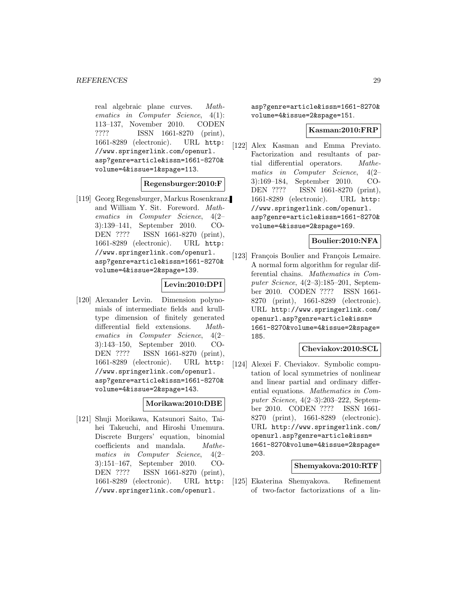real algebraic plane curves. Mathematics in Computer Science, 4(1): 113–137, November 2010. CODEN ???? ISSN 1661-8270 (print), 1661-8289 (electronic). URL http: //www.springerlink.com/openurl. asp?genre=article&issn=1661-8270& volume=4&issue=1&spage=113.

#### **Regensburger:2010:F**

[119] Georg Regensburger, Markus Rosenkranz, and William Y. Sit. Foreword. Mathematics in Computer Science, 4(2– 3):139–141, September 2010. CO-DEN ???? ISSN 1661-8270 (print), 1661-8289 (electronic). URL http: //www.springerlink.com/openurl. asp?genre=article&issn=1661-8270& volume=4&issue=2&spage=139.

#### **Levin:2010:DPI**

[120] Alexander Levin. Dimension polynomials of intermediate fields and krulltype dimension of finitely generated differential field extensions. Mathematics in Computer Science, 4(2– 3):143–150, September 2010. CO-DEN ???? ISSN 1661-8270 (print), 1661-8289 (electronic). URL http: //www.springerlink.com/openurl. asp?genre=article&issn=1661-8270& volume=4&issue=2&spage=143.

# **Morikawa:2010:DBE**

[121] Shuji Morikawa, Katsunori Saito, Taihei Takeuchi, and Hiroshi Umemura. Discrete Burgers' equation, binomial coefficients and mandala. Mathematics in Computer Science, 4(2– 3):151–167, September 2010. CO-DEN ???? ISSN 1661-8270 (print), 1661-8289 (electronic). URL http: //www.springerlink.com/openurl.

asp?genre=article&issn=1661-8270& volume=4&issue=2&spage=151.

#### **Kasman:2010:FRP**

[122] Alex Kasman and Emma Previato. Factorization and resultants of partial differential operators. Mathematics in Computer Science, 4(2– 3):169–184, September 2010. CO-<br>DEN ???? ISSN 1661-8270 (print). ISSN 1661-8270 (print), 1661-8289 (electronic). URL http: //www.springerlink.com/openurl. asp?genre=article&issn=1661-8270& volume=4&issue=2&spage=169.

# **Boulier:2010:NFA**

[123] François Boulier and François Lemaire. A normal form algorithm for regular differential chains. Mathematics in Computer Science, 4(2–3):185–201, September 2010. CODEN ???? ISSN 1661- 8270 (print), 1661-8289 (electronic). URL http://www.springerlink.com/ openurl.asp?genre=article&issn= 1661-8270&volume=4&issue=2&spage= 185.

#### **Cheviakov:2010:SCL**

[124] Alexei F. Cheviakov. Symbolic computation of local symmetries of nonlinear and linear partial and ordinary differential equations. Mathematics in Computer Science, 4(2–3):203–222, September 2010. CODEN ???? ISSN 1661- 8270 (print), 1661-8289 (electronic). URL http://www.springerlink.com/ openurl.asp?genre=article&issn= 1661-8270&volume=4&issue=2&spage= 203.

### **Shemyakova:2010:RTF**

[125] Ekaterina Shemyakova. Refinement of two-factor factorizations of a lin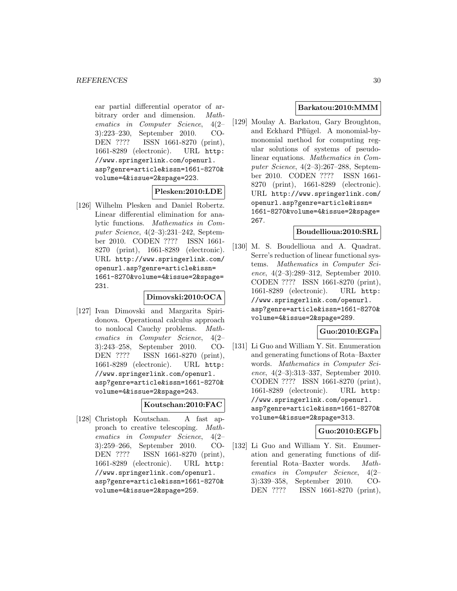ear partial differential operator of arbitrary order and dimension. Mathematics in Computer Science, 4(2– 3):223–230, September 2010. CO-DEN ???? ISSN 1661-8270 (print), 1661-8289 (electronic). URL http: //www.springerlink.com/openurl. asp?genre=article&issn=1661-8270& volume=4&issue=2&spage=223.

#### **Plesken:2010:LDE**

[126] Wilhelm Plesken and Daniel Robertz. Linear differential elimination for analytic functions. Mathematics in Computer Science, 4(2–3):231–242, September 2010. CODEN ???? ISSN 1661- 8270 (print), 1661-8289 (electronic). URL http://www.springerlink.com/ openurl.asp?genre=article&issn= 1661-8270&volume=4&issue=2&spage= 231.

# **Dimovski:2010:OCA**

[127] Ivan Dimovski and Margarita Spiridonova. Operational calculus approach to nonlocal Cauchy problems. Mathematics in Computer Science, 4(2– 3):243–258, September 2010. CO-DEN ???? ISSN 1661-8270 (print), 1661-8289 (electronic). URL http: //www.springerlink.com/openurl. asp?genre=article&issn=1661-8270& volume=4&issue=2&spage=243.

#### **Koutschan:2010:FAC**

[128] Christoph Koutschan. A fast approach to creative telescoping. Mathematics in Computer Science, 4(2– 3):259–266, September 2010. CO-DEN ???? ISSN 1661-8270 (print), 1661-8289 (electronic). URL http: //www.springerlink.com/openurl. asp?genre=article&issn=1661-8270& volume=4&issue=2&spage=259.

### **Barkatou:2010:MMM**

[129] Moulay A. Barkatou, Gary Broughton, and Eckhard Pflügel. A monomial-bymonomial method for computing regular solutions of systems of pseudolinear equations. Mathematics in Computer Science, 4(2–3):267–288, September 2010. CODEN ???? ISSN 1661- 8270 (print), 1661-8289 (electronic). URL http://www.springerlink.com/ openurl.asp?genre=article&issn= 1661-8270&volume=4&issue=2&spage= 267.

#### **Boudellioua:2010:SRL**

[130] M. S. Boudellioua and A. Quadrat. Serre's reduction of linear functional systems. Mathematics in Computer Science, 4(2–3):289–312, September 2010. CODEN ???? ISSN 1661-8270 (print), 1661-8289 (electronic). URL http: //www.springerlink.com/openurl. asp?genre=article&issn=1661-8270& volume=4&issue=2&spage=289.

# **Guo:2010:EGFa**

[131] Li Guo and William Y. Sit. Enumeration and generating functions of Rota–Baxter words. Mathematics in Computer Science, 4(2–3):313–337, September 2010. CODEN ???? ISSN 1661-8270 (print), 1661-8289 (electronic). URL http: //www.springerlink.com/openurl. asp?genre=article&issn=1661-8270& volume=4&issue=2&spage=313.

# **Guo:2010:EGFb**

[132] Li Guo and William Y. Sit. Enumeration and generating functions of differential Rota–Baxter words. Mathematics in Computer Science, 4(2– 3):339–358, September 2010. CO-DEN ???? ISSN 1661-8270 (print),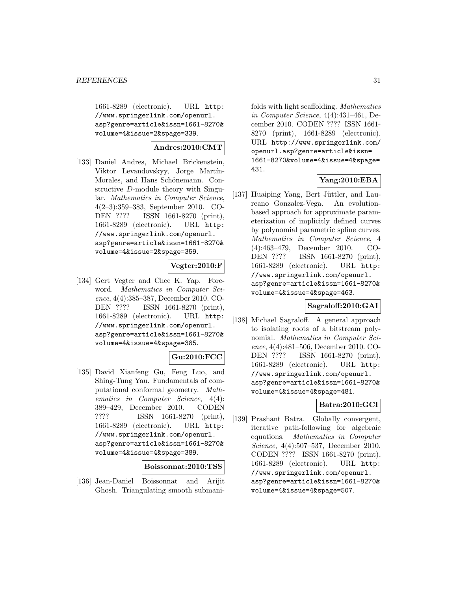1661-8289 (electronic). URL http: //www.springerlink.com/openurl. asp?genre=article&issn=1661-8270& volume=4&issue=2&spage=339.

# **Andres:2010:CMT**

[133] Daniel Andres, Michael Brickenstein, Viktor Levandovskyy, Jorge Martín-Morales, and Hans Schönemann. Constructive D-module theory with Singular. Mathematics in Computer Science, 4(2–3):359–383, September 2010. CO-DEN ???? ISSN 1661-8270 (print), 1661-8289 (electronic). URL http: //www.springerlink.com/openurl. asp?genre=article&issn=1661-8270& volume=4&issue=2&spage=359.

# **Vegter:2010:F**

[134] Gert Vegter and Chee K. Yap. Foreword. Mathematics in Computer Science, 4(4):385–387, December 2010. CO-DEN ???? ISSN 1661-8270 (print), 1661-8289 (electronic). URL http: //www.springerlink.com/openurl. asp?genre=article&issn=1661-8270& volume=4&issue=4&spage=385.

# **Gu:2010:FCC**

[135] David Xianfeng Gu, Feng Luo, and Shing-Tung Yau. Fundamentals of computational conformal geometry. Mathematics in Computer Science, 4(4): 389–429, December 2010. CODEN ???? ISSN 1661-8270 (print), 1661-8289 (electronic). URL http: //www.springerlink.com/openurl. asp?genre=article&issn=1661-8270& volume=4&issue=4&spage=389.

#### **Boissonnat:2010:TSS**

[136] Jean-Daniel Boissonnat and Arijit Ghosh. Triangulating smooth submanifolds with light scaffolding. Mathematics in Computer Science, 4(4):431–461, December 2010. CODEN ???? ISSN 1661- 8270 (print), 1661-8289 (electronic). URL http://www.springerlink.com/ openurl.asp?genre=article&issn= 1661-8270&volume=4&issue=4&spage= 431.

### **Yang:2010:EBA**

[137] Huaiping Yang, Bert Jüttler, and Laureano Gonzalez-Vega. An evolutionbased approach for approximate parameterization of implicitly defined curves by polynomial parametric spline curves. Mathematics in Computer Science, 4 (4):463–479, December 2010. CO-DEN ???? ISSN 1661-8270 (print), 1661-8289 (electronic). URL http: //www.springerlink.com/openurl. asp?genre=article&issn=1661-8270& volume=4&issue=4&spage=463.

### **Sagraloff:2010:GAI**

[138] Michael Sagraloff. A general approach to isolating roots of a bitstream polynomial. Mathematics in Computer Science, 4(4):481–506, December 2010. CO-DEN ???? ISSN 1661-8270 (print), 1661-8289 (electronic). URL http: //www.springerlink.com/openurl. asp?genre=article&issn=1661-8270& volume=4&issue=4&spage=481.

# **Batra:2010:GCI**

[139] Prashant Batra. Globally convergent, iterative path-following for algebraic equations. Mathematics in Computer Science, 4(4):507–537, December 2010. CODEN ???? ISSN 1661-8270 (print), 1661-8289 (electronic). URL http: //www.springerlink.com/openurl. asp?genre=article&issn=1661-8270& volume=4&issue=4&spage=507.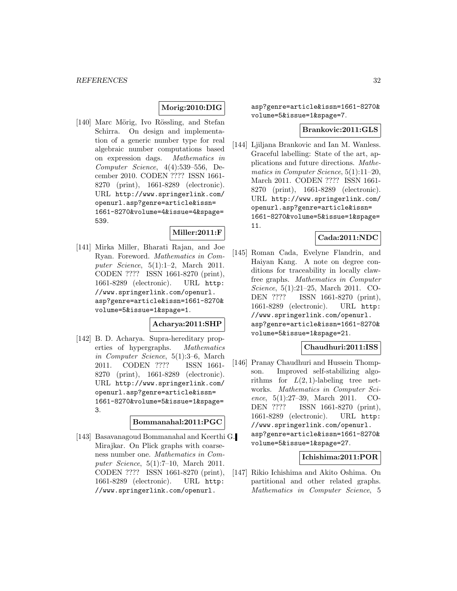# **Morig:2010:DIG**

[140] Marc Mörig, Ivo Rössling, and Stefan Schirra. On design and implementation of a generic number type for real algebraic number computations based on expression dags. Mathematics in Computer Science, 4(4):539–556, December 2010. CODEN ???? ISSN 1661- 8270 (print), 1661-8289 (electronic). URL http://www.springerlink.com/ openurl.asp?genre=article&issn= 1661-8270&volume=4&issue=4&spage= 539.

# **Miller:2011:F**

[141] Mirka Miller, Bharati Rajan, and Joe Ryan. Foreword. Mathematics in Computer Science, 5(1):1–2, March 2011. CODEN ???? ISSN 1661-8270 (print), 1661-8289 (electronic). URL http: //www.springerlink.com/openurl. asp?genre=article&issn=1661-8270& volume=5&issue=1&spage=1.

#### **Acharya:2011:SHP**

[142] B. D. Acharya. Supra-hereditary properties of hypergraphs. Mathematics in Computer Science, 5(1):3–6, March 2011. CODEN ???? ISSN 1661- 8270 (print), 1661-8289 (electronic). URL http://www.springerlink.com/ openurl.asp?genre=article&issn= 1661-8270&volume=5&issue=1&spage= 3.

#### **Bommanahal:2011:PGC**

[143] Basavanagoud Bommanahal and Keerthi G. Mirajkar. On Plick graphs with coarseness number one. Mathematics in Computer Science, 5(1):7–10, March 2011. CODEN ???? ISSN 1661-8270 (print), 1661-8289 (electronic). URL http: //www.springerlink.com/openurl.

asp?genre=article&issn=1661-8270& volume=5&issue=1&spage=7.

#### **Brankovic:2011:GLS**

[144] Ljiljana Brankovic and Ian M. Wanless. Graceful labelling: State of the art, applications and future directions. Mathematics in Computer Science, 5(1):11–20, March 2011. CODEN ???? ISSN 1661- 8270 (print), 1661-8289 (electronic). URL http://www.springerlink.com/ openurl.asp?genre=article&issn= 1661-8270&volume=5&issue=1&spage= 11.

#### **Cada:2011:NDC**

[145] Roman Cada, Evelyne Flandrin, and Haiyan Kang. A note on degree conditions for traceability in locally clawfree graphs. Mathematics in Computer Science, 5(1):21–25, March 2011. CO-DEN ???? ISSN 1661-8270 (print), 1661-8289 (electronic). URL http: //www.springerlink.com/openurl. asp?genre=article&issn=1661-8270& volume=5&issue=1&spage=21.

#### **Chaudhuri:2011:ISS**

[146] Pranay Chaudhuri and Hussein Thompson. Improved self-stabilizing algorithms for  $L(2,1)$ -labeling tree networks. Mathematics in Computer Science, 5(1):27–39, March 2011. CO-DEN ???? ISSN 1661-8270 (print), 1661-8289 (electronic). URL http: //www.springerlink.com/openurl. asp?genre=article&issn=1661-8270& volume=5&issue=1&spage=27.

#### **Ichishima:2011:POR**

[147] Rikio Ichishima and Akito Oshima. On partitional and other related graphs. Mathematics in Computer Science, 5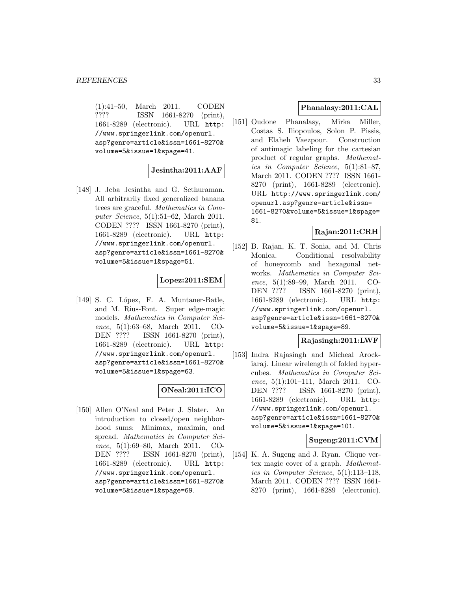(1):41–50, March 2011. CODEN ???? ISSN 1661-8270 (print), 1661-8289 (electronic). URL http: //www.springerlink.com/openurl. asp?genre=article&issn=1661-8270& volume=5&issue=1&spage=41.

### **Jesintha:2011:AAF**

[148] J. Jeba Jesintha and G. Sethuraman. All arbitrarily fixed generalized banana trees are graceful. Mathematics in Computer Science, 5(1):51–62, March 2011. CODEN ???? ISSN 1661-8270 (print), 1661-8289 (electronic). URL http: //www.springerlink.com/openurl. asp?genre=article&issn=1661-8270& volume=5&issue=1&spage=51.

# **Lopez:2011:SEM**

[149] S. C. López, F. A. Muntaner-Batle, and M. Rius-Font. Super edge-magic models. Mathematics in Computer Science, 5(1):63–68, March 2011. CO-DEN ???? ISSN 1661-8270 (print), 1661-8289 (electronic). URL http: //www.springerlink.com/openurl. asp?genre=article&issn=1661-8270& volume=5&issue=1&spage=63.

# **ONeal:2011:ICO**

[150] Allen O'Neal and Peter J. Slater. An introduction to closed/open neighborhood sums: Minimax, maximin, and spread. Mathematics in Computer Science, 5(1):69–80, March 2011. CO-DEN ???? ISSN 1661-8270 (print), 1661-8289 (electronic). URL http: //www.springerlink.com/openurl. asp?genre=article&issn=1661-8270& volume=5&issue=1&spage=69.

### **Phanalasy:2011:CAL**

[151] Oudone Phanalasy, Mirka Miller, Costas S. Iliopoulos, Solon P. Pissis, and Elaheh Vaezpour. Construction of antimagic labeling for the cartesian product of regular graphs. Mathematics in Computer Science, 5(1):81–87, March 2011. CODEN ???? ISSN 1661- 8270 (print), 1661-8289 (electronic). URL http://www.springerlink.com/ openurl.asp?genre=article&issn= 1661-8270&volume=5&issue=1&spage= 81.

### **Rajan:2011:CRH**

[152] B. Rajan, K. T. Sonia, and M. Chris Monica. Conditional resolvability of honeycomb and hexagonal networks. Mathematics in Computer Science, 5(1):89–99, March 2011. CO-DEN ???? ISSN 1661-8270 (print), 1661-8289 (electronic). URL http: //www.springerlink.com/openurl. asp?genre=article&issn=1661-8270& volume=5&issue=1&spage=89.

## **Rajasingh:2011:LWF**

[153] Indra Rajasingh and Micheal Arockiaraj. Linear wirelength of folded hypercubes. Mathematics in Computer Science, 5(1):101–111, March 2011. CO-DEN ???? ISSN 1661-8270 (print), 1661-8289 (electronic). URL http: //www.springerlink.com/openurl. asp?genre=article&issn=1661-8270& volume=5&issue=1&spage=101.

#### **Sugeng:2011:CVM**

[154] K. A. Sugeng and J. Ryan. Clique vertex magic cover of a graph. Mathematics in Computer Science, 5(1):113–118, March 2011. CODEN ???? ISSN 1661- 8270 (print), 1661-8289 (electronic).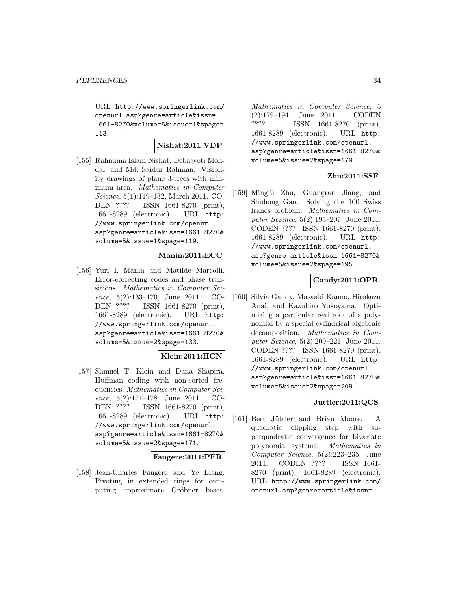URL http://www.springerlink.com/ openurl.asp?genre=article&issn= 1661-8270&volume=5&issue=1&spage= 113.

# **Nishat:2011:VDP**

[155] Rahnuma Islam Nishat, Debajyoti Mondal, and Md. Saidur Rahman. Visibility drawings of plane 3-trees with minimum area. Mathematics in Computer Science, 5(1):119–132, March 2011. CO-DEN ???? ISSN 1661-8270 (print), 1661-8289 (electronic). URL http: //www.springerlink.com/openurl. asp?genre=article&issn=1661-8270& volume=5&issue=1&spage=119.

# **Manin:2011:ECC**

[156] Yuri I. Manin and Matilde Marcolli. Error-correcting codes and phase transitions. Mathematics in Computer Science, 5(2):133–170, June 2011. CO-DEN ???? ISSN 1661-8270 (print), 1661-8289 (electronic). URL http: //www.springerlink.com/openurl. asp?genre=article&issn=1661-8270& volume=5&issue=2&spage=133.

# **Klein:2011:HCN**

[157] Shmuel T. Klein and Dana Shapira. Huffman coding with non-sorted frequencies. Mathematics in Computer Science, 5(2):171-178, June 2011. CO-DEN ???? ISSN 1661-8270 (print), 1661-8289 (electronic). URL http: //www.springerlink.com/openurl. asp?genre=article&issn=1661-8270& volume=5&issue=2&spage=171.

#### **Faugere:2011:PER**

[158] Jean-Charles Faugère and Ye Liang. Pivoting in extended rings for computing approximate Gröbner bases. Mathematics in Computer Science, 5 (2):179–194, June 2011. CODEN ???? ISSN 1661-8270 (print), 1661-8289 (electronic). URL http: //www.springerlink.com/openurl. asp?genre=article&issn=1661-8270& volume=5&issue=2&spage=179.

# **Zhu:2011:SSF**

[159] Mingfu Zhu, Guangran Jiang, and Shuhong Gao. Solving the 100 Swiss francs problem. Mathematics in Computer Science, 5(2):195–207, June 2011. CODEN ???? ISSN 1661-8270 (print), 1661-8289 (electronic). URL http: //www.springerlink.com/openurl. asp?genre=article&issn=1661-8270& volume=5&issue=2&spage=195.

# **Gandy:2011:OPR**

[160] Silvia Gandy, Masaaki Kanno, Hirokazu Anai, and Kazuhiro Yokoyama. Optimizing a particular real root of a polynomial by a special cylindrical algebraic decomposition. Mathematics in Computer Science, 5(2):209–221, June 2011. CODEN ???? ISSN 1661-8270 (print), 1661-8289 (electronic). URL http: //www.springerlink.com/openurl. asp?genre=article&issn=1661-8270& volume=5&issue=2&spage=209.

# **Juttler:2011:QCS**

[161] Bert Jüttler and Brian Moore. A quadratic clipping step with superquadratic convergence for bivariate polynomial systems. Mathematics in Computer Science, 5(2):223–235, June 2011. CODEN ???? ISSN 1661- 8270 (print), 1661-8289 (electronic). URL http://www.springerlink.com/ openurl.asp?genre=article&issn=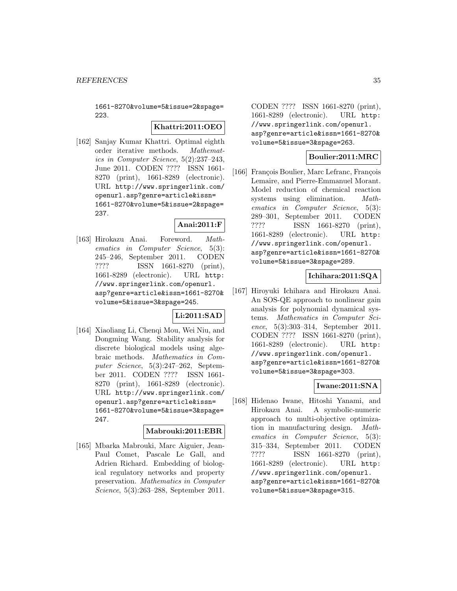1661-8270&volume=5&issue=2&spage= 223.

### **Khattri:2011:OEO**

[162] Sanjay Kumar Khattri. Optimal eighth order iterative methods. Mathematics in Computer Science, 5(2):237–243, June 2011. CODEN ???? ISSN 1661- 8270 (print), 1661-8289 (electronic). URL http://www.springerlink.com/ openurl.asp?genre=article&issn= 1661-8270&volume=5&issue=2&spage= 237.

# **Anai:2011:F**

[163] Hirokazu Anai. Foreword. Mathematics in Computer Science, 5(3): 245–246, September 2011. CODEN ???? ISSN 1661-8270 (print), 1661-8289 (electronic). URL http: //www.springerlink.com/openurl. asp?genre=article&issn=1661-8270& volume=5&issue=3&spage=245.

# **Li:2011:SAD**

[164] Xiaoliang Li, Chenqi Mou, Wei Niu, and Dongming Wang. Stability analysis for discrete biological models using algebraic methods. Mathematics in Computer Science, 5(3):247–262, September 2011. CODEN ???? ISSN 1661- 8270 (print), 1661-8289 (electronic). URL http://www.springerlink.com/ openurl.asp?genre=article&issn= 1661-8270&volume=5&issue=3&spage= 247.

### **Mabrouki:2011:EBR**

[165] Mbarka Mabrouki, Marc Aiguier, Jean-Paul Comet, Pascale Le Gall, and Adrien Richard. Embedding of biological regulatory networks and property preservation. Mathematics in Computer Science, 5(3):263–288, September 2011.

CODEN ???? ISSN 1661-8270 (print), 1661-8289 (electronic). URL http: //www.springerlink.com/openurl. asp?genre=article&issn=1661-8270& volume=5&issue=3&spage=263.

# **Boulier:2011:MRC**

[166] François Boulier, Marc Lefranc, François Lemaire, and Pierre-Emmanuel Morant. Model reduction of chemical reaction systems using elimination. Mathematics in Computer Science, 5(3): 289–301, September 2011. CODEN ???? ISSN 1661-8270 (print), 1661-8289 (electronic). URL http: //www.springerlink.com/openurl. asp?genre=article&issn=1661-8270& volume=5&issue=3&spage=289.

# **Ichihara:2011:SQA**

[167] Hiroyuki Ichihara and Hirokazu Anai. An SOS-QE approach to nonlinear gain analysis for polynomial dynamical systems. Mathematics in Computer Science, 5(3):303–314, September 2011. CODEN ???? ISSN 1661-8270 (print), 1661-8289 (electronic). URL http: //www.springerlink.com/openurl. asp?genre=article&issn=1661-8270& volume=5&issue=3&spage=303.

# **Iwane:2011:SNA**

[168] Hidenao Iwane, Hitoshi Yanami, and Hirokazu Anai. A symbolic-numeric approach to multi-objective optimization in manufacturing design. Mathematics in Computer Science, 5(3): 315–334, September 2011. CODEN ???? ISSN 1661-8270 (print), 1661-8289 (electronic). URL http: //www.springerlink.com/openurl. asp?genre=article&issn=1661-8270& volume=5&issue=3&spage=315.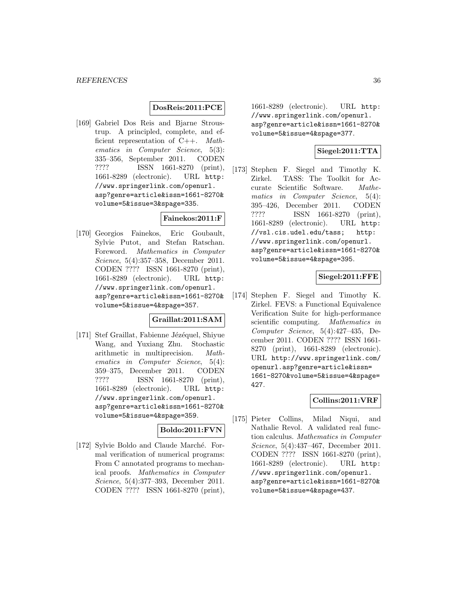#### **DosReis:2011:PCE**

[169] Gabriel Dos Reis and Bjarne Stroustrup. A principled, complete, and efficient representation of C++. Mathematics in Computer Science, 5(3): 335–356, September 2011. CODEN ???? ISSN 1661-8270 (print), 1661-8289 (electronic). URL http: //www.springerlink.com/openurl. asp?genre=article&issn=1661-8270& volume=5&issue=3&spage=335.

#### **Fainekos:2011:F**

[170] Georgios Fainekos, Eric Goubault, Sylvie Putot, and Stefan Ratschan. Foreword. Mathematics in Computer Science, 5(4):357–358, December 2011. CODEN ???? ISSN 1661-8270 (print), 1661-8289 (electronic). URL http: //www.springerlink.com/openurl. asp?genre=article&issn=1661-8270& volume=5&issue=4&spage=357.

# **Graillat:2011:SAM**

[171] Stef Graillat, Fabienne Jézéquel, Shiyue Wang, and Yuxiang Zhu. Stochastic arithmetic in multiprecision. Mathematics in Computer Science, 5(4): 359–375, December 2011. CODEN ???? ISSN 1661-8270 (print), 1661-8289 (electronic). URL http: //www.springerlink.com/openurl. asp?genre=article&issn=1661-8270& volume=5&issue=4&spage=359.

### **Boldo:2011:FVN**

[172] Sylvie Boldo and Claude Marché. Formal verification of numerical programs: From C annotated programs to mechanical proofs. Mathematics in Computer Science, 5(4):377–393, December 2011. CODEN ???? ISSN 1661-8270 (print),

1661-8289 (electronic). URL http: //www.springerlink.com/openurl. asp?genre=article&issn=1661-8270& volume=5&issue=4&spage=377.

# **Siegel:2011:TTA**

[173] Stephen F. Siegel and Timothy K. Zirkel. TASS: The Toolkit for Accurate Scientific Software. Mathematics in Computer Science, 5(4): 395–426, December 2011. CODEN ???? ISSN 1661-8270 (print), 1661-8289 (electronic). URL http: //vsl.cis.udel.edu/tass; http: //www.springerlink.com/openurl. asp?genre=article&issn=1661-8270& volume=5&issue=4&spage=395.

### **Siegel:2011:FFE**

[174] Stephen F. Siegel and Timothy K. Zirkel. FEVS: a Functional Equivalence Verification Suite for high-performance scientific computing. Mathematics in Computer Science, 5(4):427–435, December 2011. CODEN ???? ISSN 1661- 8270 (print), 1661-8289 (electronic). URL http://www.springerlink.com/ openurl.asp?genre=article&issn= 1661-8270&volume=5&issue=4&spage= 427.

#### **Collins:2011:VRF**

[175] Pieter Collins, Milad Niqui, and Nathalie Revol. A validated real function calculus. Mathematics in Computer Science, 5(4):437–467, December 2011. CODEN ???? ISSN 1661-8270 (print), 1661-8289 (electronic). URL http: //www.springerlink.com/openurl. asp?genre=article&issn=1661-8270& volume=5&issue=4&spage=437.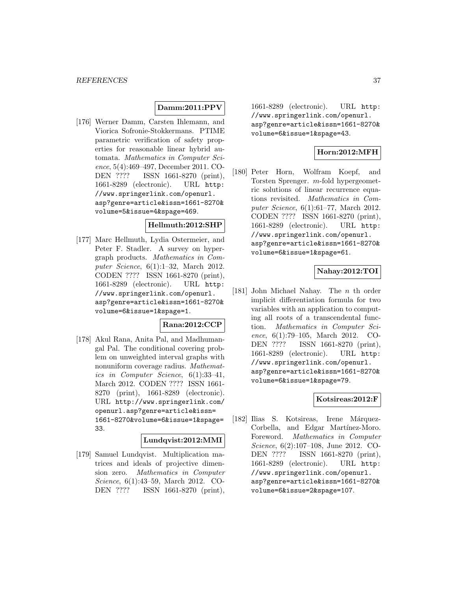### **Damm:2011:PPV**

[176] Werner Damm, Carsten Ihlemann, and Viorica Sofronie-Stokkermans. PTIME parametric verification of safety properties for reasonable linear hybrid automata. Mathematics in Computer Science, 5(4):469–497, December 2011. CO-DEN ???? ISSN 1661-8270 (print), 1661-8289 (electronic). URL http: //www.springerlink.com/openurl. asp?genre=article&issn=1661-8270& volume=5&issue=4&spage=469.

#### **Hellmuth:2012:SHP**

[177] Marc Hellmuth, Lydia Ostermeier, and Peter F. Stadler. A survey on hypergraph products. Mathematics in Computer Science, 6(1):1–32, March 2012. CODEN ???? ISSN 1661-8270 (print), 1661-8289 (electronic). URL http: //www.springerlink.com/openurl. asp?genre=article&issn=1661-8270& volume=6&issue=1&spage=1.

#### **Rana:2012:CCP**

[178] Akul Rana, Anita Pal, and Madhumangal Pal. The conditional covering problem on unweighted interval graphs with nonuniform coverage radius. Mathematics in Computer Science, 6(1):33–41, March 2012. CODEN ???? ISSN 1661- 8270 (print), 1661-8289 (electronic). URL http://www.springerlink.com/ openurl.asp?genre=article&issn= 1661-8270&volume=6&issue=1&spage= 33.

#### **Lundqvist:2012:MMI**

[179] Samuel Lundqvist. Multiplication matrices and ideals of projective dimension zero. Mathematics in Computer Science, 6(1):43–59, March 2012. CO-DEN ???? ISSN 1661-8270 (print),

1661-8289 (electronic). URL http: //www.springerlink.com/openurl. asp?genre=article&issn=1661-8270& volume=6&issue=1&spage=43.

# **Horn:2012:MFH**

[180] Peter Horn, Wolfram Koepf, and Torsten Sprenger. m-fold hypergeometric solutions of linear recurrence equations revisited. Mathematics in Computer Science, 6(1):61–77, March 2012. CODEN ???? ISSN 1661-8270 (print), 1661-8289 (electronic). URL http: //www.springerlink.com/openurl. asp?genre=article&issn=1661-8270& volume=6&issue=1&spage=61.

## **Nahay:2012:TOI**

[181] John Michael Nahay. The n th order implicit differentiation formula for two variables with an application to computing all roots of a transcendental function. Mathematics in Computer Science, 6(1):79–105, March 2012. CO-DEN ???? ISSN 1661-8270 (print), 1661-8289 (electronic). URL http: //www.springerlink.com/openurl. asp?genre=article&issn=1661-8270& volume=6&issue=1&spage=79.

#### **Kotsireas:2012:F**

[182] Ilias S. Kotsireas, Irene Márquez-Corbella, and Edgar Martínez-Moro. Foreword. Mathematics in Computer Science, 6(2):107–108, June 2012. CO-DEN ???? ISSN 1661-8270 (print), 1661-8289 (electronic). URL http: //www.springerlink.com/openurl. asp?genre=article&issn=1661-8270& volume=6&issue=2&spage=107.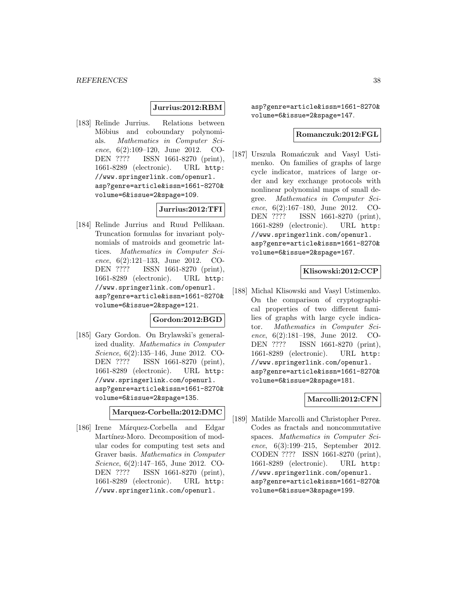#### **Jurrius:2012:RBM**

[183] Relinde Jurrius. Relations between Möbius and coboundary polynomials. Mathematics in Computer Science, 6(2):109–120, June 2012. CO-DEN ???? ISSN 1661-8270 (print), 1661-8289 (electronic). URL http: //www.springerlink.com/openurl. asp?genre=article&issn=1661-8270& volume=6&issue=2&spage=109.

# **Jurrius:2012:TFI**

[184] Relinde Jurrius and Ruud Pellikaan. Truncation formulas for invariant polynomials of matroids and geometric lattices. Mathematics in Computer Science, 6(2):121–133, June 2012. CO-DEN ???? ISSN 1661-8270 (print), 1661-8289 (electronic). URL http: //www.springerlink.com/openurl. asp?genre=article&issn=1661-8270& volume=6&issue=2&spage=121.

### **Gordon:2012:BGD**

[185] Gary Gordon. On Brylawski's generalized duality. Mathematics in Computer Science, 6(2):135–146, June 2012. CO-DEN ???? ISSN 1661-8270 (print), 1661-8289 (electronic). URL http: //www.springerlink.com/openurl. asp?genre=article&issn=1661-8270& volume=6&issue=2&spage=135.

**Marquez-Corbella:2012:DMC**

[186] Irene Márquez-Corbella and Edgar Martínez-Moro. Decomposition of modular codes for computing test sets and Graver basis. Mathematics in Computer Science, 6(2):147–165, June 2012. CO-DEN ???? ISSN 1661-8270 (print), 1661-8289 (electronic). URL http: //www.springerlink.com/openurl.

asp?genre=article&issn=1661-8270& volume=6&issue=2&spage=147.

#### **Romanczuk:2012:FGL**

[187] Urszula Romańczuk and Vasyl Ustimenko. On families of graphs of large cycle indicator, matrices of large order and key exchange protocols with nonlinear polynomial maps of small degree. Mathematics in Computer Science, 6(2):167–180, June 2012. CO-DEN ???? ISSN 1661-8270 (print), 1661-8289 (electronic). URL http: //www.springerlink.com/openurl. asp?genre=article&issn=1661-8270& volume=6&issue=2&spage=167.

### **Klisowski:2012:CCP**

[188] Michal Klisowski and Vasyl Ustimenko. On the comparison of cryptographical properties of two different families of graphs with large cycle indicator. Mathematics in Computer Science, 6(2):181–198, June 2012. CO-DEN ???? ISSN 1661-8270 (print), 1661-8289 (electronic). URL http: //www.springerlink.com/openurl. asp?genre=article&issn=1661-8270& volume=6&issue=2&spage=181.

#### **Marcolli:2012:CFN**

[189] Matilde Marcolli and Christopher Perez. Codes as fractals and noncommutative spaces. Mathematics in Computer Science, 6(3):199–215, September 2012. CODEN ???? ISSN 1661-8270 (print), 1661-8289 (electronic). URL http: //www.springerlink.com/openurl. asp?genre=article&issn=1661-8270& volume=6&issue=3&spage=199.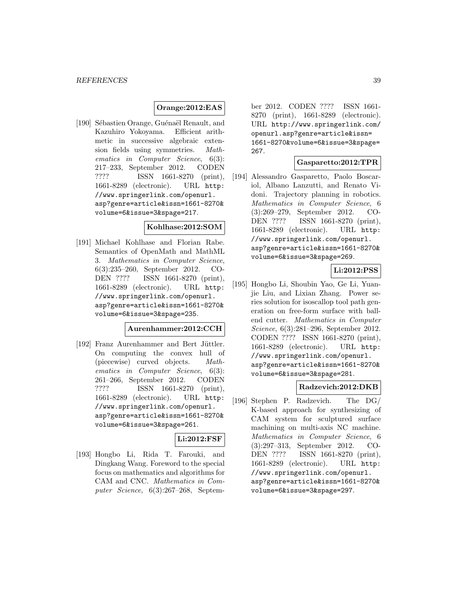### **Orange:2012:EAS**

[190] Sébastien Orange, Guénaël Renault, and Kazuhiro Yokoyama. Efficient arithmetic in successive algebraic extension fields using symmetries. Mathematics in Computer Science, 6(3): 217–233, September 2012. CODEN ???? ISSN 1661-8270 (print), 1661-8289 (electronic). URL http: //www.springerlink.com/openurl. asp?genre=article&issn=1661-8270& volume=6&issue=3&spage=217.

#### **Kohlhase:2012:SOM**

[191] Michael Kohlhase and Florian Rabe. Semantics of OpenMath and MathML 3. Mathematics in Computer Science, 6(3):235–260, September 2012. CO-DEN ???? ISSN 1661-8270 (print), 1661-8289 (electronic). URL http: //www.springerlink.com/openurl. asp?genre=article&issn=1661-8270& volume=6&issue=3&spage=235.

### **Aurenhammer:2012:CCH**

[192] Franz Aurenhammer and Bert Jüttler. On computing the convex hull of (piecewise) curved objects. Mathematics in Computer Science, 6(3): 261–266, September 2012. CODEN ???? ISSN 1661-8270 (print), 1661-8289 (electronic). URL http: //www.springerlink.com/openurl. asp?genre=article&issn=1661-8270& volume=6&issue=3&spage=261.

### **Li:2012:FSF**

[193] Hongbo Li, Rida T. Farouki, and Dingkang Wang. Foreword to the special focus on mathematics and algorithms for CAM and CNC. Mathematics in Computer Science, 6(3):267–268, September 2012. CODEN ???? ISSN 1661- 8270 (print), 1661-8289 (electronic). URL http://www.springerlink.com/ openurl.asp?genre=article&issn= 1661-8270&volume=6&issue=3&spage= 267.

### **Gasparetto:2012:TPR**

[194] Alessandro Gasparetto, Paolo Boscariol, Albano Lanzutti, and Renato Vidoni. Trajectory planning in robotics. Mathematics in Computer Science, 6 (3):269–279, September 2012. CO-DEN ???? ISSN 1661-8270 (print), 1661-8289 (electronic). URL http: //www.springerlink.com/openurl. asp?genre=article&issn=1661-8270& volume=6&issue=3&spage=269.

# **Li:2012:PSS**

[195] Hongbo Li, Shoubin Yao, Ge Li, Yuanjie Liu, and Lixian Zhang. Power series solution for isoscallop tool path generation on free-form surface with ballend cutter. Mathematics in Computer Science, 6(3):281–296, September 2012. CODEN ???? ISSN 1661-8270 (print), 1661-8289 (electronic). URL http: //www.springerlink.com/openurl. asp?genre=article&issn=1661-8270& volume=6&issue=3&spage=281.

### **Radzevich:2012:DKB**

[196] Stephen P. Radzevich. The DG/ K-based approach for synthesizing of CAM system for sculptured surface machining on multi-axis NC machine. Mathematics in Computer Science, 6 (3):297–313, September 2012. CO-DEN ???? ISSN 1661-8270 (print), 1661-8289 (electronic). URL http: //www.springerlink.com/openurl. asp?genre=article&issn=1661-8270& volume=6&issue=3&spage=297.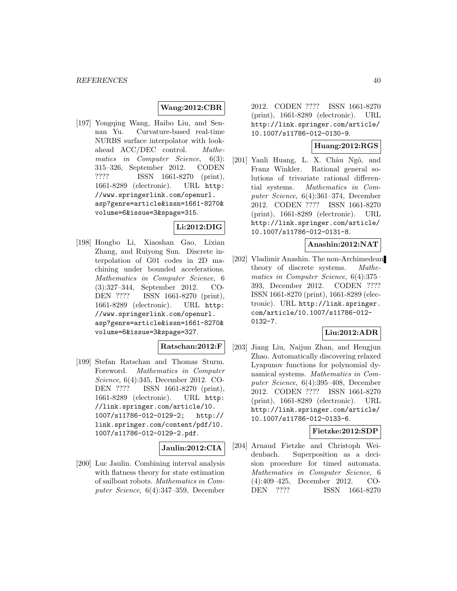### **Wang:2012:CBR**

[197] Yongqing Wang, Haibo Liu, and Sennan Yu. Curvature-based real-time NURBS surface interpolator with lookahead ACC/DEC control. Mathematics in Computer Science, 6(3): 315–326, September 2012. CODEN<br>???? ISSN 1661-8270 (print). ISSN 1661-8270 (print), 1661-8289 (electronic). URL http: //www.springerlink.com/openurl. asp?genre=article&issn=1661-8270& volume=6&issue=3&spage=315.

# **Li:2012:DIG**

[198] Hongbo Li, Xiaoshan Gao, Lixian Zhang, and Ruiyong Sun. Discrete interpolation of G01 codes in 2D machining under bounded accelerations. Mathematics in Computer Science, 6 (3):327–344, September 2012. CO-DEN ???? ISSN 1661-8270 (print), 1661-8289 (electronic). URL http: //www.springerlink.com/openurl. asp?genre=article&issn=1661-8270& volume=6&issue=3&spage=327.

# **Ratschan:2012:F**

[199] Stefan Ratschan and Thomas Sturm. Foreword. Mathematics in Computer Science, 6(4):345, December 2012. CO-DEN ???? ISSN 1661-8270 (print), 1661-8289 (electronic). URL http: //link.springer.com/article/10. 1007/s11786-012-0129-2; http:// link.springer.com/content/pdf/10. 1007/s11786-012-0129-2.pdf.

#### **Jaulin:2012:CIA**

[200] Luc Jaulin. Combining interval analysis with flatness theory for state estimation of sailboat robots. Mathematics in Computer Science, 6(4):347–359, December

2012. CODEN ???? ISSN 1661-8270 (print), 1661-8289 (electronic). URL http://link.springer.com/article/ 10.1007/s11786-012-0130-9.

### **Huang:2012:RGS**

[201] Yanli Huang, L. X. Châu Ngô, and Franz Winkler. Rational general solutions of trivariate rational differential systems. Mathematics in Computer Science, 6(4):361–374, December 2012. CODEN ???? ISSN 1661-8270 (print), 1661-8289 (electronic). URL http://link.springer.com/article/ 10.1007/s11786-012-0131-8.

### **Anashin:2012:NAT**

[202] Vladimir Anashin. The non-Archimedean theory of discrete systems. Mathematics in Computer Science, 6(4):375– 393, December 2012. CODEN ???? ISSN 1661-8270 (print), 1661-8289 (electronic). URL http://link.springer. com/article/10.1007/s11786-012- 0132-7.

## **Liu:2012:ADR**

[203] Jiang Liu, Naijun Zhan, and Hengjun Zhao. Automatically discovering relaxed Lyapunov functions for polynomial dynamical systems. Mathematics in Computer Science, 6(4):395–408, December 2012. CODEN ???? ISSN 1661-8270 (print), 1661-8289 (electronic). URL http://link.springer.com/article/ 10.1007/s11786-012-0133-6.

### **Fietzke:2012:SDP**

[204] Arnaud Fietzke and Christoph Weidenbach. Superposition as a decision procedure for timed automata. Mathematics in Computer Science, 6 (4):409–425, December 2012. CO-DEN ???? ISSN 1661-8270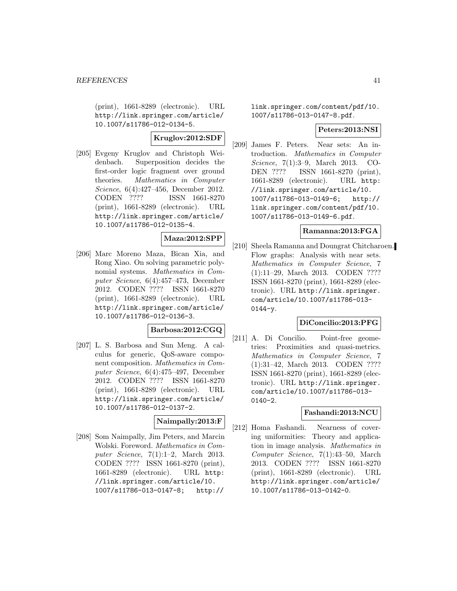(print), 1661-8289 (electronic). URL http://link.springer.com/article/ 10.1007/s11786-012-0134-5.

# **Kruglov:2012:SDF**

[205] Evgeny Kruglov and Christoph Weidenbach. Superposition decides the first-order logic fragment over ground theories. Mathematics in Computer Science, 6(4):427–456, December 2012. CODEN ???? ISSN 1661-8270 (print), 1661-8289 (electronic). URL http://link.springer.com/article/ 10.1007/s11786-012-0135-4.

# **Maza:2012:SPP**

[206] Marc Moreno Maza, Bican Xia, and Rong Xiao. On solving parametric polynomial systems. Mathematics in Computer Science, 6(4):457–473, December 2012. CODEN ???? ISSN 1661-8270 (print), 1661-8289 (electronic). URL http://link.springer.com/article/ 10.1007/s11786-012-0136-3.

#### **Barbosa:2012:CGQ**

[207] L. S. Barbosa and Sun Meng. A calculus for generic, QoS-aware component composition. Mathematics in Computer Science, 6(4):475–497, December 2012. CODEN ???? ISSN 1661-8270 (print), 1661-8289 (electronic). URL http://link.springer.com/article/ 10.1007/s11786-012-0137-2.

### **Naimpally:2013:F**

[208] Som Naimpally, Jim Peters, and Marcin Wolski. Foreword. Mathematics in Computer Science, 7(1):1–2, March 2013. CODEN ???? ISSN 1661-8270 (print), 1661-8289 (electronic). URL http: //link.springer.com/article/10. 1007/s11786-013-0147-8; http://

link.springer.com/content/pdf/10. 1007/s11786-013-0147-8.pdf.

#### **Peters:2013:NSI**

[209] James F. Peters. Near sets: An introduction. Mathematics in Computer Science, 7(1):3–9, March 2013. CO-DEN ???? ISSN 1661-8270 (print), 1661-8289 (electronic). URL http: //link.springer.com/article/10. 1007/s11786-013-0149-6; http:// link.springer.com/content/pdf/10. 1007/s11786-013-0149-6.pdf.

### **Ramanna:2013:FGA**

[210] Sheela Ramanna and Doungrat Chitcharoen. Flow graphs: Analysis with near sets. Mathematics in Computer Science, 7 (1):11–29, March 2013. CODEN ???? ISSN 1661-8270 (print), 1661-8289 (electronic). URL http://link.springer. com/article/10.1007/s11786-013-  $0144 - y.$ 

### **DiConcilio:2013:PFG**

[211] A. Di Concilio. Point-free geometries: Proximities and quasi-metrics. Mathematics in Computer Science, 7 (1):31–42, March 2013. CODEN ???? ISSN 1661-8270 (print), 1661-8289 (electronic). URL http://link.springer. com/article/10.1007/s11786-013- 0140-2.

#### **Fashandi:2013:NCU**

[212] Homa Fashandi. Nearness of covering uniformities: Theory and application in image analysis. Mathematics in Computer Science, 7(1):43–50, March 2013. CODEN ???? ISSN 1661-8270 (print), 1661-8289 (electronic). URL http://link.springer.com/article/ 10.1007/s11786-013-0142-0.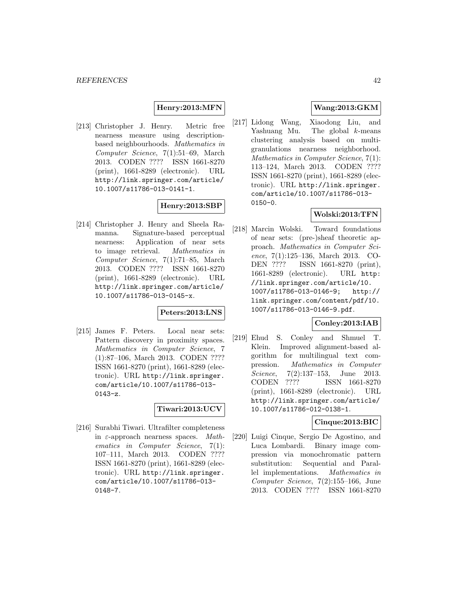### **Henry:2013:MFN**

[213] Christopher J. Henry. Metric free nearness measure using descriptionbased neighbourhoods. Mathematics in Computer Science, 7(1):51–69, March 2013. CODEN ???? ISSN 1661-8270 (print), 1661-8289 (electronic). URL http://link.springer.com/article/ 10.1007/s11786-013-0141-1.

# **Henry:2013:SBP**

[214] Christopher J. Henry and Sheela Ramanna. Signature-based perceptual nearness: Application of near sets to image retrieval. Mathematics in Computer Science, 7(1):71–85, March 2013. CODEN ???? ISSN 1661-8270 (print), 1661-8289 (electronic). URL http://link.springer.com/article/ 10.1007/s11786-013-0145-x.

### **Peters:2013:LNS**

[215] James F. Peters. Local near sets: Pattern discovery in proximity spaces. Mathematics in Computer Science, 7 (1):87–106, March 2013. CODEN ???? ISSN 1661-8270 (print), 1661-8289 (electronic). URL http://link.springer. com/article/10.1007/s11786-013- 0143-z.

### **Tiwari:2013:UCV**

[216] Surabhi Tiwari. Ultrafilter completeness in  $\varepsilon$ -approach nearness spaces. Mathematics in Computer Science, 7(1): 107–111, March 2013. CODEN ???? ISSN 1661-8270 (print), 1661-8289 (electronic). URL http://link.springer. com/article/10.1007/s11786-013- 0148-7.

# **Wang:2013:GKM**

[217] Lidong Wang, Xiaodong Liu, and Yashuang Mu. The global k-means clustering analysis based on multigranulations nearness neighborhood. Mathematics in Computer Science, 7(1): 113–124, March 2013. CODEN ???? ISSN 1661-8270 (print), 1661-8289 (electronic). URL http://link.springer. com/article/10.1007/s11786-013- 0150-0.

# **Wolski:2013:TFN**

[218] Marcin Wolski. Toward foundations of near sets: (pre-)sheaf theoretic approach. Mathematics in Computer Science, 7(1):125–136, March 2013. CO-DEN ???? ISSN 1661-8270 (print), 1661-8289 (electronic). URL http: //link.springer.com/article/10. 1007/s11786-013-0146-9; http:// link.springer.com/content/pdf/10. 1007/s11786-013-0146-9.pdf.

# **Conley:2013:IAB**

[219] Ehud S. Conley and Shmuel T. Klein. Improved alignment-based algorithm for multilingual text compression. Mathematics in Computer Science, 7(2):137–153, June 2013. CODEN ???? ISSN 1661-8270 (print), 1661-8289 (electronic). URL http://link.springer.com/article/ 10.1007/s11786-012-0138-1.

### **Cinque:2013:BIC**

[220] Luigi Cinque, Sergio De Agostino, and Luca Lombardi. Binary image compression via monochromatic pattern substitution: Sequential and Parallel implementations. Mathematics in Computer Science, 7(2):155–166, June 2013. CODEN ???? ISSN 1661-8270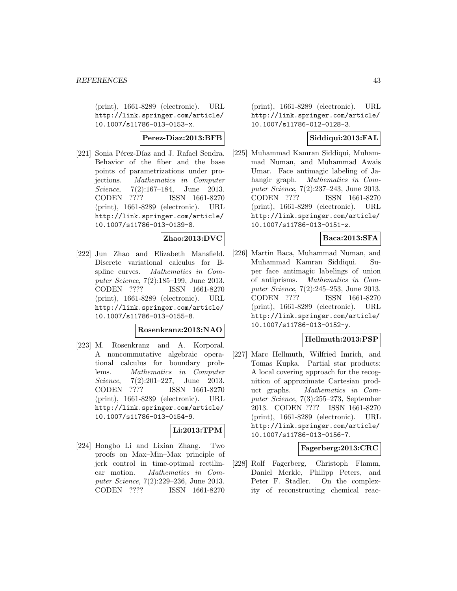(print), 1661-8289 (electronic). URL http://link.springer.com/article/ 10.1007/s11786-013-0153-x.

### **Perez-Diaz:2013:BFB**

[221] Sonia Pérez-Díaz and J. Rafael Sendra. Behavior of the fiber and the base points of parametrizations under projections. Mathematics in Computer Science, 7(2):167–184, June 2013. CODEN ???? ISSN 1661-8270 (print), 1661-8289 (electronic). URL http://link.springer.com/article/ 10.1007/s11786-013-0139-8.

### **Zhao:2013:DVC**

[222] Jun Zhao and Elizabeth Mansfield. Discrete variational calculus for Bspline curves. Mathematics in Computer Science, 7(2):185–199, June 2013. CODEN ???? ISSN 1661-8270 (print), 1661-8289 (electronic). URL http://link.springer.com/article/ 10.1007/s11786-013-0155-8.

### **Rosenkranz:2013:NAO**

[223] M. Rosenkranz and A. Korporal. A noncommutative algebraic operational calculus for boundary problems. Mathematics in Computer Science, 7(2):201–227, June 2013.<br>CODEN ???? ISSN 1661-8270 ISSN 1661-8270 (print), 1661-8289 (electronic). URL http://link.springer.com/article/ 10.1007/s11786-013-0154-9.

# **Li:2013:TPM**

[224] Hongbo Li and Lixian Zhang. Two proofs on Max–Min–Max principle of jerk control in time-optimal rectilinear motion. Mathematics in Computer Science, 7(2):229–236, June 2013. CODEN ???? ISSN 1661-8270

(print), 1661-8289 (electronic). URL http://link.springer.com/article/ 10.1007/s11786-012-0128-3.

## **Siddiqui:2013:FAL**

[225] Muhammad Kamran Siddiqui, Muhammad Numan, and Muhammad Awais Umar. Face antimagic labeling of Jahangir graph. Mathematics in Computer Science, 7(2):237–243, June 2013. CODEN ???? ISSN 1661-8270 (print), 1661-8289 (electronic). URL http://link.springer.com/article/ 10.1007/s11786-013-0151-z.

# **Baca:2013:SFA**

[226] Martin Baca, Muhammad Numan, and Muhammad Kamran Siddiqui. Super face antimagic labelings of union of antiprisms. Mathematics in Computer Science, 7(2):245–253, June 2013. CODEN ???? ISSN 1661-8270 (print), 1661-8289 (electronic). URL http://link.springer.com/article/ 10.1007/s11786-013-0152-y.

### **Hellmuth:2013:PSP**

[227] Marc Hellmuth, Wilfried Imrich, and Tomas Kupka. Partial star products: A local covering approach for the recognition of approximate Cartesian product graphs. Mathematics in Computer Science, 7(3):255–273, September 2013. CODEN ???? ISSN 1661-8270 (print), 1661-8289 (electronic). URL http://link.springer.com/article/ 10.1007/s11786-013-0156-7.

### **Fagerberg:2013:CRC**

[228] Rolf Fagerberg, Christoph Flamm, Daniel Merkle, Philipp Peters, and Peter F. Stadler. On the complexity of reconstructing chemical reac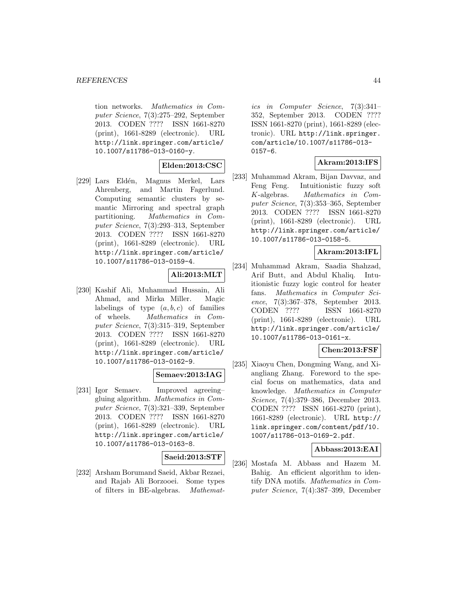tion networks. Mathematics in Computer Science, 7(3):275–292, September 2013. CODEN ???? ISSN 1661-8270 (print), 1661-8289 (electronic). URL http://link.springer.com/article/ 10.1007/s11786-013-0160-y.

### **Elden:2013:CSC**

[229] Lars Eldén, Magnus Merkel, Lars Ahrenberg, and Martin Fagerlund. Computing semantic clusters by semantic Mirroring and spectral graph partitioning. Mathematics in Computer Science, 7(3):293–313, September 2013. CODEN ???? ISSN 1661-8270 (print), 1661-8289 (electronic). URL http://link.springer.com/article/ 10.1007/s11786-013-0159-4.

### **Ali:2013:MLT**

[230] Kashif Ali, Muhammad Hussain, Ali Ahmad, and Mirka Miller. Magic labelings of type  $(a, b, c)$  of families of wheels. Mathematics in Computer Science, 7(3):315–319, September 2013. CODEN ???? ISSN 1661-8270 (print), 1661-8289 (electronic). URL http://link.springer.com/article/ 10.1007/s11786-013-0162-9.

### **Semaev:2013:IAG**

[231] Igor Semaev. Improved agreeing– gluing algorithm. Mathematics in Computer Science, 7(3):321–339, September 2013. CODEN ???? ISSN 1661-8270 (print), 1661-8289 (electronic). URL http://link.springer.com/article/ 10.1007/s11786-013-0163-8.

# **Saeid:2013:STF**

[232] Arsham Borumand Saeid, Akbar Rezaei, and Rajab Ali Borzooei. Some types of filters in BE-algebras. Mathematics in Computer Science, 7(3):341– 352, September 2013. CODEN ???? ISSN 1661-8270 (print), 1661-8289 (electronic). URL http://link.springer. com/article/10.1007/s11786-013- 0157-6.

# **Akram:2013:IFS**

[233] Muhammad Akram, Bijan Davvaz, and Feng Feng. Intuitionistic fuzzy soft K-algebras. Mathematics in Computer Science, 7(3):353–365, September 2013. CODEN ???? ISSN 1661-8270 (print), 1661-8289 (electronic). URL http://link.springer.com/article/ 10.1007/s11786-013-0158-5.

### **Akram:2013:IFL**

[234] Muhammad Akram, Saadia Shahzad, Arif Butt, and Abdul Khaliq. Intuitionistic fuzzy logic control for heater fans. Mathematics in Computer Science, 7(3):367–378, September 2013. CODEN ???? ISSN 1661-8270 (print), 1661-8289 (electronic). URL http://link.springer.com/article/ 10.1007/s11786-013-0161-x.

### **Chen:2013:FSF**

[235] Xiaoyu Chen, Dongming Wang, and Xiangliang Zhang. Foreword to the special focus on mathematics, data and knowledge. Mathematics in Computer Science, 7(4):379–386, December 2013. CODEN ???? ISSN 1661-8270 (print), 1661-8289 (electronic). URL http:// link.springer.com/content/pdf/10. 1007/s11786-013-0169-2.pdf.

### **Abbass:2013:EAI**

[236] Mostafa M. Abbass and Hazem M. Bahig. An efficient algorithm to identify DNA motifs. Mathematics in Computer Science, 7(4):387–399, December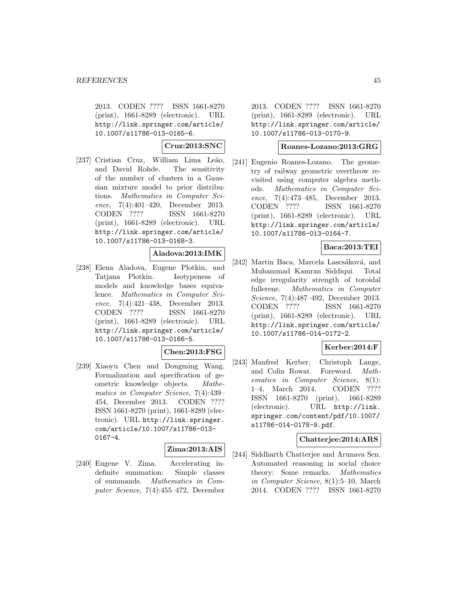2013. CODEN ???? ISSN 1661-8270 (print), 1661-8289 (electronic). URL http://link.springer.com/article/ 10.1007/s11786-013-0165-6.

**Cruz:2013:SNC**

[237] Cristian Cruz, William Lima Leão, and David Rohde. The sensitivity of the number of clusters in a Gaussian mixture model to prior distributions. Mathematics in Computer Science, 7(4):401–420, December 2013. CODEN ???? ISSN 1661-8270 (print), 1661-8289 (electronic). URL http://link.springer.com/article/ 10.1007/s11786-013-0168-3.

### **Aladova:2013:IMK**

[238] Elena Aladova, Eugene Plotkin, and Tatjana Plotkin. Isotypeness of models and knowledge bases equivalence. Mathematics in Computer Science, 7(4):421–438, December 2013. CODEN ???? ISSN 1661-8270 (print), 1661-8289 (electronic). URL http://link.springer.com/article/ 10.1007/s11786-013-0166-5.

#### **Chen:2013:FSG**

[239] Xiaoyu Chen and Dongming Wang. Formalization and specification of geometric knowledge objects. Mathematics in Computer Science, 7(4):439– 454, December 2013. CODEN ???? ISSN 1661-8270 (print), 1661-8289 (electronic). URL http://link.springer. com/article/10.1007/s11786-013- 0167-4.

#### **Zima:2013:AIS**

[240] Eugene V. Zima. Accelerating indefinite summation: Simple classes of summands. Mathematics in Computer Science, 7(4):455–472, December

2013. CODEN ???? ISSN 1661-8270 (print), 1661-8289 (electronic). URL http://link.springer.com/article/ 10.1007/s11786-013-0170-9.

#### **Roanes-Lozano:2013:GRG**

[241] Eugenio Roanes-Lozano. The geometry of railway geometric overthrow revisited using computer algebra methods. Mathematics in Computer Science, 7(4):473–485, December 2013. CODEN ???? ISSN 1661-8270 (print), 1661-8289 (electronic). URL http://link.springer.com/article/ 10.1007/s11786-013-0164-7.

## **Baca:2013:TEI**

[242] Martin Baca, Marcela Lascsáková, and Muhammad Kamran Siddiqui. Total edge irregularity strength of toroidal fullerene. Mathematics in Computer Science, 7(4):487–492, December 2013. CODEN ???? ISSN 1661-8270 (print), 1661-8289 (electronic). URL http://link.springer.com/article/ 10.1007/s11786-014-0172-2.

## **Kerber:2014:F**

[243] Manfred Kerber, Christoph Lange, and Colin Rowat. Foreword. Mathematics in Computer Science, 8(1): 1–4, March 2014. CODEN ???? ISSN 1661-8270 (print), 1661-8289 (electronic). URL http://link. springer.com/content/pdf/10.1007/ s11786-014-0178-9.pdf.

### **Chatterjee:2014:ARS**

[244] Siddharth Chatterjee and Arunava Sen. Automated reasoning in social choice theory: Some remarks. Mathematics in Computer Science, 8(1):5–10, March 2014. CODEN ???? ISSN 1661-8270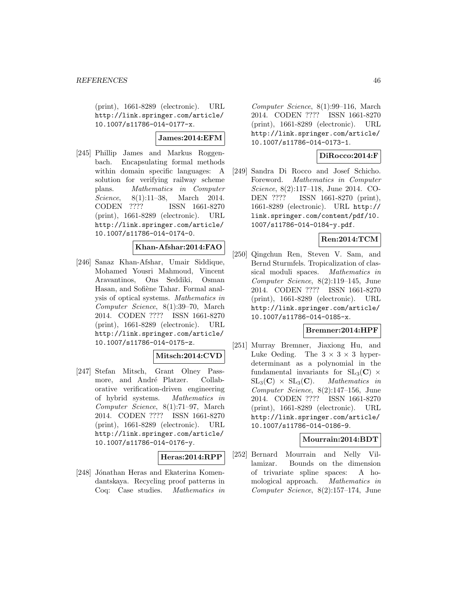(print), 1661-8289 (electronic). URL http://link.springer.com/article/ 10.1007/s11786-014-0177-x.

### **James:2014:EFM**

[245] Phillip James and Markus Roggenbach. Encapsulating formal methods within domain specific languages: A solution for verifying railway scheme plans. Mathematics in Computer Science, 8(1):11-38, March 2014. CODEN ???? ISSN 1661-8270 (print), 1661-8289 (electronic). URL http://link.springer.com/article/ 10.1007/s11786-014-0174-0.

# **Khan-Afshar:2014:FAO**

[246] Sanaz Khan-Afshar, Umair Siddique, Mohamed Yousri Mahmoud, Vincent Aravantinos, Ons Seddiki, Osman Hasan, and Sofiène Tahar. Formal analysis of optical systems. Mathematics in Computer Science, 8(1):39–70, March 2014. CODEN ???? ISSN 1661-8270 (print), 1661-8289 (electronic). URL http://link.springer.com/article/ 10.1007/s11786-014-0175-z.

# **Mitsch:2014:CVD**

[247] Stefan Mitsch, Grant Olney Passmore, and André Platzer. Collaborative verification-driven engineering of hybrid systems. Mathematics in Computer Science, 8(1):71–97, March 2014. CODEN ???? ISSN 1661-8270 (print), 1661-8289 (electronic). URL http://link.springer.com/article/ 10.1007/s11786-014-0176-y.

### **Heras:2014:RPP**

[248] Jónathan Heras and Ekaterina Komendantskaya. Recycling proof patterns in Coq: Case studies. Mathematics in

Computer Science, 8(1):99–116, March 2014. CODEN ???? ISSN 1661-8270 (print), 1661-8289 (electronic). URL http://link.springer.com/article/ 10.1007/s11786-014-0173-1.

# **DiRocco:2014:F**

[249] Sandra Di Rocco and Josef Schicho. Foreword. Mathematics in Computer Science, 8(2):117–118, June 2014. CO-DEN ???? ISSN 1661-8270 (print), 1661-8289 (electronic). URL http:// link.springer.com/content/pdf/10. 1007/s11786-014-0184-y.pdf.

# **Ren:2014:TCM**

[250] Qingchun Ren, Steven V. Sam, and Bernd Sturmfels. Tropicalization of classical moduli spaces. Mathematics in Computer Science, 8(2):119–145, June 2014. CODEN ???? ISSN 1661-8270 (print), 1661-8289 (electronic). URL http://link.springer.com/article/ 10.1007/s11786-014-0185-x.

### **Bremner:2014:HPF**

[251] Murray Bremner, Jiaxiong Hu, and Luke Oeding. The  $3 \times 3 \times 3$  hyperdeterminant as a polynomial in the fundamental invariants for  $SL_3(\mathbf{C}) \times SL_3(\mathbf{C}) \times SL_3(\mathbf{C})$ . *Mathematics in*  $SL_3(\mathbf{C}) \times SL_3(\mathbf{C}).$ Computer Science, 8(2):147–156, June 2014. CODEN ???? ISSN 1661-8270 (print), 1661-8289 (electronic). URL http://link.springer.com/article/ 10.1007/s11786-014-0186-9.

### **Mourrain:2014:BDT**

[252] Bernard Mourrain and Nelly Villamizar. Bounds on the dimension of trivariate spline spaces: A homological approach. Mathematics in Computer Science, 8(2):157–174, June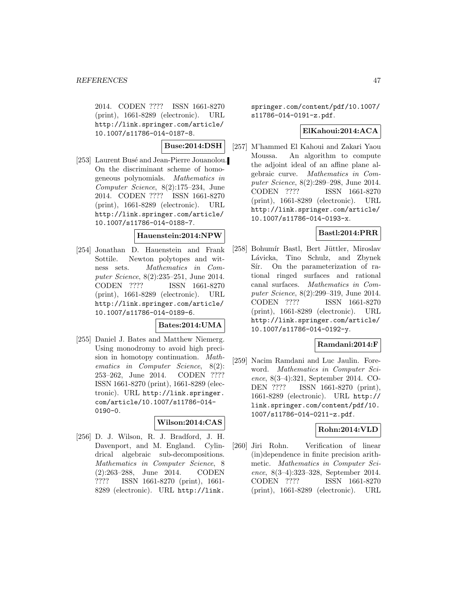2014. CODEN ???? ISSN 1661-8270 (print), 1661-8289 (electronic). URL http://link.springer.com/article/ 10.1007/s11786-014-0187-8.

### **Buse:2014:DSH**

[253] Laurent Busé and Jean-Pierre Jouanolou. On the discriminant scheme of homogeneous polynomials. Mathematics in Computer Science, 8(2):175–234, June 2014. CODEN ???? ISSN 1661-8270 (print), 1661-8289 (electronic). URL http://link.springer.com/article/ 10.1007/s11786-014-0188-7.

#### **Hauenstein:2014:NPW**

[254] Jonathan D. Hauenstein and Frank Sottile. Newton polytopes and witness sets. Mathematics in Computer Science, 8(2):235–251, June 2014. CODEN ???? ISSN 1661-8270 (print), 1661-8289 (electronic). URL http://link.springer.com/article/ 10.1007/s11786-014-0189-6.

### **Bates:2014:UMA**

[255] Daniel J. Bates and Matthew Niemerg. Using monodromy to avoid high precision in homotopy continuation. Mathematics in Computer Science, 8(2): 253–262, June 2014. CODEN ???? ISSN 1661-8270 (print), 1661-8289 (electronic). URL http://link.springer. com/article/10.1007/s11786-014- 0190-0.

### **Wilson:2014:CAS**

[256] D. J. Wilson, R. J. Bradford, J. H. Davenport, and M. England. Cylindrical algebraic sub-decompositions. Mathematics in Computer Science, 8 (2):263–288, June 2014. CODEN ???? ISSN 1661-8270 (print), 1661- 8289 (electronic). URL http://link.

springer.com/content/pdf/10.1007/ s11786-014-0191-z.pdf.

# **ElKahoui:2014:ACA**

[257] M'hammed El Kahoui and Zakari Yaou Moussa. An algorithm to compute the adjoint ideal of an affine plane algebraic curve. Mathematics in Computer Science, 8(2):289–298, June 2014. CODEN ???? ISSN 1661-8270 (print), 1661-8289 (electronic). URL http://link.springer.com/article/ 10.1007/s11786-014-0193-x.

### **Bastl:2014:PRR**

[258] Bohumír Bastl, Bert Jüttler, Miroslav Lávicka, Tino Schulz, and Zbynek Sír. On the parameterization of rational ringed surfaces and rational canal surfaces. Mathematics in Computer Science, 8(2):299–319, June 2014. CODEN ???? ISSN 1661-8270 (print), 1661-8289 (electronic). URL http://link.springer.com/article/ 10.1007/s11786-014-0192-y.

# **Ramdani:2014:F**

[259] Nacim Ramdani and Luc Jaulin. Foreword. Mathematics in Computer Science, 8(3–4):321, September 2014. CO-DEN ???? ISSN 1661-8270 (print), 1661-8289 (electronic). URL http:// link.springer.com/content/pdf/10. 1007/s11786-014-0211-z.pdf.

### **Rohn:2014:VLD**

[260] Jiri Rohn. Verification of linear (in)dependence in finite precision arithmetic. Mathematics in Computer Science, 8(3–4):323–328, September 2014. CODEN ???? ISSN 1661-8270 (print), 1661-8289 (electronic). URL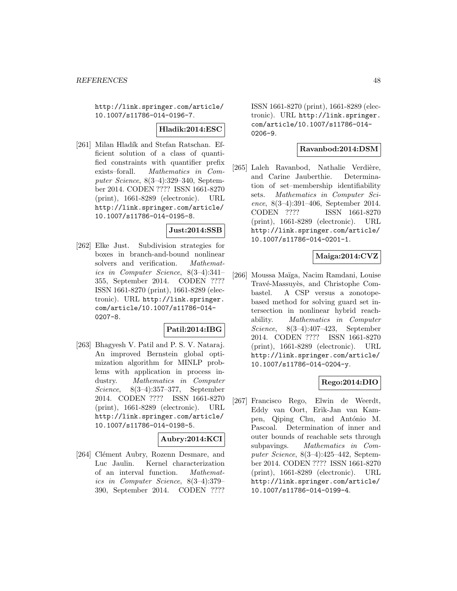http://link.springer.com/article/ 10.1007/s11786-014-0196-7.

### **Hladik:2014:ESC**

[261] Milan Hladík and Stefan Ratschan. Efficient solution of a class of quantified constraints with quantifier prefix exists–forall. Mathematics in Computer Science, 8(3–4):329–340, September 2014. CODEN ???? ISSN 1661-8270 (print), 1661-8289 (electronic). URL http://link.springer.com/article/ 10.1007/s11786-014-0195-8.

# **Just:2014:SSB**

[262] Elke Just. Subdivision strategies for boxes in branch-and-bound nonlinear solvers and verification. Mathematics in Computer Science, 8(3–4):341– 355, September 2014. CODEN ???? ISSN 1661-8270 (print), 1661-8289 (electronic). URL http://link.springer. com/article/10.1007/s11786-014- 0207-8.

### **Patil:2014:IBG**

[263] Bhagyesh V. Patil and P. S. V. Nataraj. An improved Bernstein global optimization algorithm for MINLP problems with application in process industry. Mathematics in Computer Science, 8(3–4):357–377, September 2014. CODEN ???? ISSN 1661-8270 (print), 1661-8289 (electronic). URL http://link.springer.com/article/ 10.1007/s11786-014-0198-5.

# **Aubry:2014:KCI**

[264] Clément Aubry, Rozenn Desmare, and Luc Jaulin. Kernel characterization of an interval function. Mathematics in Computer Science, 8(3–4):379– 390, September 2014. CODEN ????

ISSN 1661-8270 (print), 1661-8289 (electronic). URL http://link.springer. com/article/10.1007/s11786-014- 0206-9.

#### **Ravanbod:2014:DSM**

[265] Laleh Ravanbod, Nathalie Verdière, and Carine Jauberthie. Determination of set–membership identifiability sets. Mathematics in Computer Science, 8(3–4):391–406, September 2014. CODEN ???? ISSN 1661-8270 (print), 1661-8289 (electronic). URL http://link.springer.com/article/ 10.1007/s11786-014-0201-1.

### **Maiga:2014:CVZ**

[266] Moussa Maïga, Nacim Ramdani, Louise Travé-Massuyès, and Christophe Combastel. A CSP versus a zonotopebased method for solving guard set intersection in nonlinear hybrid reachability. Mathematics in Computer Science, 8(3–4):407–423, September 2014. CODEN ???? ISSN 1661-8270 (print), 1661-8289 (electronic). URL http://link.springer.com/article/ 10.1007/s11786-014-0204-y.

# **Rego:2014:DIO**

[267] Francisco Rego, Elwin de Weerdt, Eddy van Oort, Erik-Jan van Kampen, Qiping Chu, and António M. Pascoal. Determination of inner and outer bounds of reachable sets through subpavings. Mathematics in Computer Science, 8(3–4):425–442, September 2014. CODEN ???? ISSN 1661-8270 (print), 1661-8289 (electronic). URL http://link.springer.com/article/ 10.1007/s11786-014-0199-4.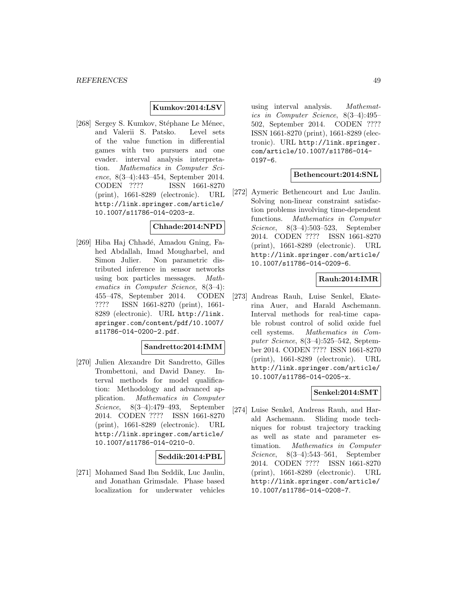### **Kumkov:2014:LSV**

[268] Sergey S. Kumkov, Stéphane Le Ménec, and Valerii S. Patsko. Level sets of the value function in differential games with two pursuers and one evader. interval analysis interpretation. Mathematics in Computer Science, 8(3–4):443–454, September 2014. CODEN ???? ISSN 1661-8270 (print), 1661-8289 (electronic). URL http://link.springer.com/article/ 10.1007/s11786-014-0203-z.

#### **Chhade:2014:NPD**

[269] Hiba Haj Chhadé, Amadou Gning, Fahed Abdallah, Imad Mougharbel, and Simon Julier. Non parametric distributed inference in sensor networks using box particles messages. Mathematics in Computer Science, 8(3–4): 455–478, September 2014. CODEN ???? ISSN 1661-8270 (print), 1661- 8289 (electronic). URL http://link. springer.com/content/pdf/10.1007/ s11786-014-0200-2.pdf.

### **Sandretto:2014:IMM**

[270] Julien Alexandre Dit Sandretto, Gilles Trombettoni, and David Daney. Interval methods for model qualification: Methodology and advanced application. Mathematics in Computer Science, 8(3–4):479–493, September 2014. CODEN ???? ISSN 1661-8270 (print), 1661-8289 (electronic). URL http://link.springer.com/article/ 10.1007/s11786-014-0210-0.

### **Seddik:2014:PBL**

[271] Mohamed Saad Ibn Seddik, Luc Jaulin, and Jonathan Grimsdale. Phase based localization for underwater vehicles using interval analysis. Mathematics in Computer Science, 8(3–4):495– 502, September 2014. CODEN ???? ISSN 1661-8270 (print), 1661-8289 (electronic). URL http://link.springer. com/article/10.1007/s11786-014- 0197-6.

## **Bethencourt:2014:SNL**

[272] Aymeric Bethencourt and Luc Jaulin. Solving non-linear constraint satisfaction problems involving time-dependent functions. Mathematics in Computer Science, 8(3–4):503–523, September 2014. CODEN ???? ISSN 1661-8270 (print), 1661-8289 (electronic). URL http://link.springer.com/article/ 10.1007/s11786-014-0209-6.

### **Rauh:2014:IMR**

[273] Andreas Rauh, Luise Senkel, Ekaterina Auer, and Harald Aschemann. Interval methods for real-time capable robust control of solid oxide fuel cell systems. Mathematics in Computer Science, 8(3–4):525–542, September 2014. CODEN ???? ISSN 1661-8270 (print), 1661-8289 (electronic). URL http://link.springer.com/article/ 10.1007/s11786-014-0205-x.

### **Senkel:2014:SMT**

[274] Luise Senkel, Andreas Rauh, and Harald Aschemann. Sliding mode techniques for robust trajectory tracking as well as state and parameter estimation. Mathematics in Computer Science, 8(3–4):543–561, September 2014. CODEN ???? ISSN 1661-8270 (print), 1661-8289 (electronic). URL http://link.springer.com/article/ 10.1007/s11786-014-0208-7.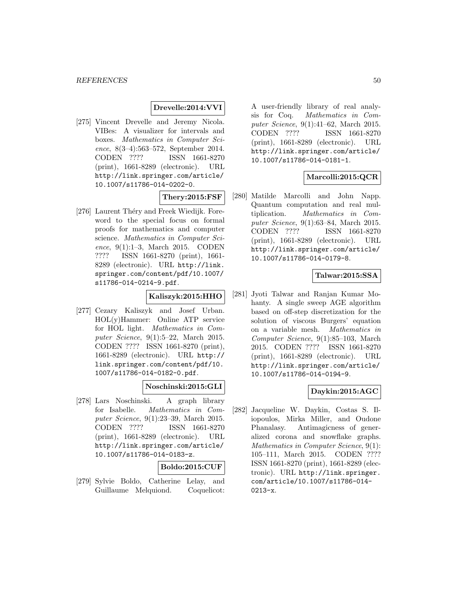### **Drevelle:2014:VVI**

[275] Vincent Drevelle and Jeremy Nicola. VIBes: A visualizer for intervals and boxes. Mathematics in Computer Science, 8(3–4):563–572, September 2014. CODEN ???? ISSN 1661-8270 (print), 1661-8289 (electronic). URL http://link.springer.com/article/ 10.1007/s11786-014-0202-0.

**Thery:2015:FSF**

[276] Laurent Théry and Freek Wiedijk. Foreword to the special focus on formal proofs for mathematics and computer science. Mathematics in Computer Science, 9(1):1–3, March 2015. CODEN ???? ISSN 1661-8270 (print), 1661- 8289 (electronic). URL http://link. springer.com/content/pdf/10.1007/ s11786-014-0214-9.pdf.

### **Kaliszyk:2015:HHO**

[277] Cezary Kaliszyk and Josef Urban. HOL(y)Hammer: Online ATP service for HOL light. Mathematics in Computer Science, 9(1):5–22, March 2015. CODEN ???? ISSN 1661-8270 (print), 1661-8289 (electronic). URL http:// link.springer.com/content/pdf/10. 1007/s11786-014-0182-0.pdf.

### **Noschinski:2015:GLI**

[278] Lars Noschinski. A graph library for Isabelle. Mathematics in Computer Science, 9(1):23–39, March 2015. CODEN ???? ISSN 1661-8270 (print), 1661-8289 (electronic). URL http://link.springer.com/article/ 10.1007/s11786-014-0183-z.

#### **Boldo:2015:CUF**

[279] Sylvie Boldo, Catherine Lelay, and Guillaume Melquiond. Coquelicot:

A user-friendly library of real analysis for Coq. Mathematics in Computer Science, 9(1):41–62, March 2015. CODEN ???? ISSN 1661-8270 (print), 1661-8289 (electronic). URL http://link.springer.com/article/ 10.1007/s11786-014-0181-1.

### **Marcolli:2015:QCR**

[280] Matilde Marcolli and John Napp. Quantum computation and real multiplication. Mathematics in Computer Science, 9(1):63–84, March 2015. CODEN ???? ISSN 1661-8270 (print), 1661-8289 (electronic). URL http://link.springer.com/article/ 10.1007/s11786-014-0179-8.

# **Talwar:2015:SSA**

[281] Jyoti Talwar and Ranjan Kumar Mohanty. A single sweep AGE algorithm based on off-step discretization for the solution of viscous Burgers' equation on a variable mesh. Mathematics in Computer Science, 9(1):85–103, March 2015. CODEN ???? ISSN 1661-8270 (print), 1661-8289 (electronic). URL http://link.springer.com/article/ 10.1007/s11786-014-0194-9.

# **Daykin:2015:AGC**

[282] Jacqueline W. Daykin, Costas S. Iliopoulos, Mirka Miller, and Oudone Phanalasy. Antimagicness of generalized corona and snowflake graphs. Mathematics in Computer Science, 9(1): 105–111, March 2015. CODEN ???? ISSN 1661-8270 (print), 1661-8289 (electronic). URL http://link.springer. com/article/10.1007/s11786-014- 0213-x.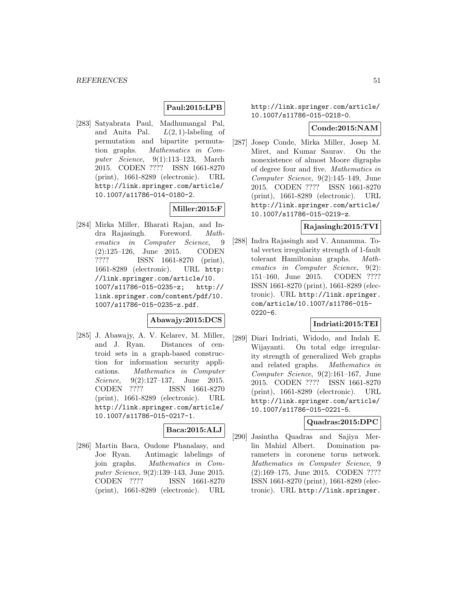# **Paul:2015:LPB**

[283] Satyabrata Paul, Madhumangal Pal, and Anita Pal.  $L(2, 1)$ -labeling of permutation and bipartite permutation graphs. Mathematics in Computer Science, 9(1):113–123, March 2015. CODEN ???? ISSN 1661-8270 (print), 1661-8289 (electronic). URL http://link.springer.com/article/ 10.1007/s11786-014-0180-2.

# **Miller:2015:F**

[284] Mirka Miller, Bharati Rajan, and Indra Rajasingh. Foreword. Mathematics in Computer Science, 9 (2):125–126, June 2015. CODEN ???? ISSN 1661-8270 (print), 1661-8289 (electronic). URL http: //link.springer.com/article/10. 1007/s11786-015-0235-z; http:// link.springer.com/content/pdf/10. 1007/s11786-015-0235-z.pdf.

### **Abawajy:2015:DCS**

[285] J. Abawajy, A. V. Kelarev, M. Miller, and J. Ryan. Distances of centroid sets in a graph-based construction for information security applications. Mathematics in Computer Science, 9(2):127–137, June 2015. CODEN ???? ISSN 1661-8270 (print), 1661-8289 (electronic). URL http://link.springer.com/article/ 10.1007/s11786-015-0217-1.

### **Baca:2015:ALJ**

[286] Martin Baca, Oudone Phanalasy, and Joe Ryan. Antimagic labelings of join graphs. Mathematics in Computer Science, 9(2):139–143, June 2015. CODEN ???? ISSN 1661-8270 (print), 1661-8289 (electronic). URL

http://link.springer.com/article/ 10.1007/s11786-015-0218-0.

#### **Conde:2015:NAM**

[287] Josep Conde, Mirka Miller, Josep M. Miret, and Kumar Saurav. On the nonexistence of almost Moore digraphs of degree four and five. Mathematics in Computer Science, 9(2):145–149, June 2015. CODEN ???? ISSN 1661-8270 (print), 1661-8289 (electronic). URL http://link.springer.com/article/ 10.1007/s11786-015-0219-z.

#### **Rajasingh:2015:TVI**

[288] Indra Rajasingh and V. Annamma. Total vertex irregularity strength of 1-fault tolerant Hamiltonian graphs. Mathematics in Computer Science, 9(2): 151–160, June 2015. CODEN ???? ISSN 1661-8270 (print), 1661-8289 (electronic). URL http://link.springer. com/article/10.1007/s11786-015- 0220-6.

### **Indriati:2015:TEI**

[289] Diari Indriati, Widodo, and Indah E. Wijayanti. On total edge irregularity strength of generalized Web graphs and related graphs. Mathematics in Computer Science, 9(2):161–167, June 2015. CODEN ???? ISSN 1661-8270 (print), 1661-8289 (electronic). URL http://link.springer.com/article/ 10.1007/s11786-015-0221-5.

#### **Quadras:2015:DPC**

[290] Jasintha Quadras and Sajiya Merlin Mahizl Albert. Domination parameters in coronene torus network. Mathematics in Computer Science, 9 (2):169–175, June 2015. CODEN ???? ISSN 1661-8270 (print), 1661-8289 (electronic). URL http://link.springer.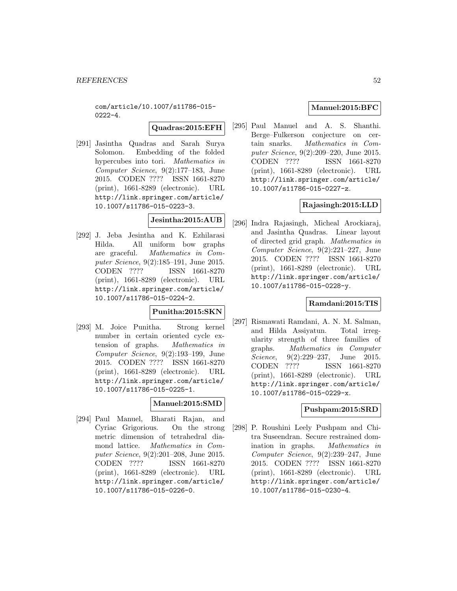com/article/10.1007/s11786-015-  $0222 - 4.$ 

#### **Quadras:2015:EFH**

[291] Jasintha Quadras and Sarah Surya Solomon. Embedding of the folded hypercubes into tori. Mathematics in Computer Science, 9(2):177–183, June 2015. CODEN ???? ISSN 1661-8270 (print), 1661-8289 (electronic). URL http://link.springer.com/article/ 10.1007/s11786-015-0223-3.

### **Jesintha:2015:AUB**

[292] J. Jeba Jesintha and K. Ezhilarasi Hilda. All uniform bow graphs are graceful. Mathematics in Computer Science, 9(2):185–191, June 2015. CODEN ???? ISSN 1661-8270 (print), 1661-8289 (electronic). URL http://link.springer.com/article/ 10.1007/s11786-015-0224-2.

# **Punitha:2015:SKN**

[293] M. Joice Punitha. Strong kernel number in certain oriented cycle extension of graphs. Mathematics in Computer Science, 9(2):193–199, June 2015. CODEN ???? ISSN 1661-8270 (print), 1661-8289 (electronic). URL http://link.springer.com/article/ 10.1007/s11786-015-0225-1.

# **Manuel:2015:SMD**

[294] Paul Manuel, Bharati Rajan, and Cyriac Grigorious. On the strong metric dimension of tetrahedral diamond lattice. Mathematics in Computer Science, 9(2):201–208, June 2015. CODEN ???? ISSN 1661-8270 (print), 1661-8289 (electronic). URL http://link.springer.com/article/ 10.1007/s11786-015-0226-0.

### **Manuel:2015:BFC**

[295] Paul Manuel and A. S. Shanthi. Berge–Fulkerson conjecture on certain snarks. Mathematics in Computer Science, 9(2):209–220, June 2015. CODEN ???? ISSN 1661-8270 (print), 1661-8289 (electronic). URL http://link.springer.com/article/ 10.1007/s11786-015-0227-z.

# **Rajasingh:2015:LLD**

[296] Indra Rajasingh, Micheal Arockiaraj, and Jasintha Quadras. Linear layout of directed grid graph. Mathematics in Computer Science, 9(2):221–227, June 2015. CODEN ???? ISSN 1661-8270 (print), 1661-8289 (electronic). URL http://link.springer.com/article/ 10.1007/s11786-015-0228-y.

## **Ramdani:2015:TIS**

[297] Rismawati Ramdani, A. N. M. Salman, and Hilda Assiyatun. Total irregularity strength of three families of graphs. Mathematics in Computer Science, 9(2):229–237, June 2015. CODEN ???? ISSN 1661-8270 (print), 1661-8289 (electronic). URL http://link.springer.com/article/ 10.1007/s11786-015-0229-x.

### **Pushpam:2015:SRD**

[298] P. Roushini Leely Pushpam and Chitra Suseendran. Secure restrained domination in graphs. Mathematics in Computer Science, 9(2):239–247, June 2015. CODEN ???? ISSN 1661-8270 (print), 1661-8289 (electronic). URL http://link.springer.com/article/ 10.1007/s11786-015-0230-4.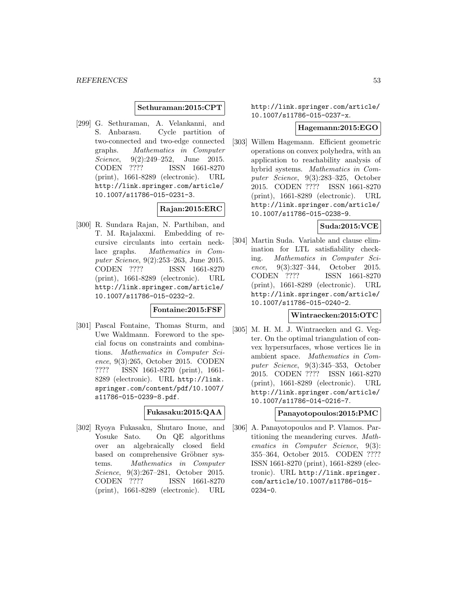#### **Sethuraman:2015:CPT**

[299] G. Sethuraman, A. Velankanni, and S. Anbarasu. Cycle partition of two-connected and two-edge connected graphs. Mathematics in Computer Science, 9(2):249–252, June 2015. CODEN ???? ISSN 1661-8270 (print), 1661-8289 (electronic). URL http://link.springer.com/article/ 10.1007/s11786-015-0231-3.

# **Rajan:2015:ERC**

[300] R. Sundara Rajan, N. Parthiban, and T. M. Rajalaxmi. Embedding of recursive circulants into certain necklace graphs. Mathematics in Computer Science, 9(2):253–263, June 2015. CODEN ???? ISSN 1661-8270 (print), 1661-8289 (electronic). URL http://link.springer.com/article/ 10.1007/s11786-015-0232-2.

### **Fontaine:2015:FSF**

[301] Pascal Fontaine, Thomas Sturm, and Uwe Waldmann. Foreword to the special focus on constraints and combinations. Mathematics in Computer Science, 9(3):265, October 2015. CODEN ???? ISSN 1661-8270 (print), 1661- 8289 (electronic). URL http://link. springer.com/content/pdf/10.1007/ s11786-015-0239-8.pdf.

## **Fukasaku:2015:QAA**

[302] Ryoya Fukasaku, Shutaro Inoue, and Yosuke Sato. On QE algorithms over an algebraically closed field based on comprehensive Gröbner systems. Mathematics in Computer Science, 9(3):267-281, October 2015. CODEN ???? ISSN 1661-8270 (print), 1661-8289 (electronic). URL

http://link.springer.com/article/ 10.1007/s11786-015-0237-x.

#### **Hagemann:2015:EGO**

[303] Willem Hagemann. Efficient geometric operations on convex polyhedra, with an application to reachability analysis of hybrid systems. Mathematics in Computer Science, 9(3):283–325, October 2015. CODEN ???? ISSN 1661-8270 (print), 1661-8289 (electronic). URL http://link.springer.com/article/ 10.1007/s11786-015-0238-9.

# **Suda:2015:VCE**

[304] Martin Suda. Variable and clause elimination for LTL satisfiability checking. Mathematics in Computer Science, 9(3):327–344, October 2015. CODEN ???? ISSN 1661-8270 (print), 1661-8289 (electronic). URL http://link.springer.com/article/ 10.1007/s11786-015-0240-2.

#### **Wintraecken:2015:OTC**

[305] M. H. M. J. Wintraecken and G. Vegter. On the optimal triangulation of convex hypersurfaces, whose vertices lie in ambient space. Mathematics in Computer Science, 9(3):345–353, October 2015. CODEN ???? ISSN 1661-8270 (print), 1661-8289 (electronic). URL http://link.springer.com/article/ 10.1007/s11786-014-0216-7.

#### **Panayotopoulos:2015:PMC**

[306] A. Panayotopoulos and P. Vlamos. Partitioning the meandering curves. Mathematics in Computer Science, 9(3): 355–364, October 2015. CODEN ???? ISSN 1661-8270 (print), 1661-8289 (electronic). URL http://link.springer. com/article/10.1007/s11786-015- 0234-0.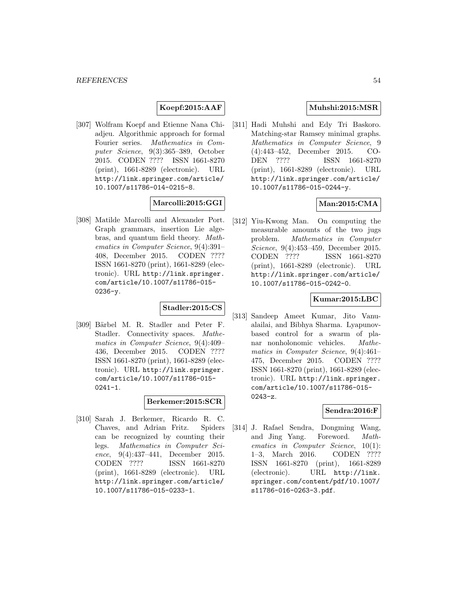# **Koepf:2015:AAF**

[307] Wolfram Koepf and Etienne Nana Chiadjeu. Algorithmic approach for formal Fourier series. Mathematics in Computer Science, 9(3):365–389, October 2015. CODEN ???? ISSN 1661-8270 (print), 1661-8289 (electronic). URL http://link.springer.com/article/ 10.1007/s11786-014-0215-8.

### **Marcolli:2015:GGI**

[308] Matilde Marcolli and Alexander Port. Graph grammars, insertion Lie algebras, and quantum field theory. Mathematics in Computer Science, 9(4):391– 408, December 2015. CODEN ???? ISSN 1661-8270 (print), 1661-8289 (electronic). URL http://link.springer. com/article/10.1007/s11786-015-  $0236 - y$ .

# **Stadler:2015:CS**

[309] Bärbel M. R. Stadler and Peter F. Stadler. Connectivity spaces. Mathematics in Computer Science, 9(4):409– 436, December 2015. CODEN ???? ISSN 1661-8270 (print), 1661-8289 (electronic). URL http://link.springer. com/article/10.1007/s11786-015- 0241-1.

### **Berkemer:2015:SCR**

[310] Sarah J. Berkemer, Ricardo R. C. Chaves, and Adrian Fritz. Spiders can be recognized by counting their legs. Mathematics in Computer Science, 9(4):437–441, December 2015. CODEN ???? ISSN 1661-8270 (print), 1661-8289 (electronic). URL http://link.springer.com/article/ 10.1007/s11786-015-0233-1.

## **Muhshi:2015:MSR**

[311] Hadi Muhshi and Edy Tri Baskoro. Matching-star Ramsey minimal graphs. Mathematics in Computer Science, 9 (4):443–452, December 2015. CO-DEN ???? ISSN 1661-8270 (print), 1661-8289 (electronic). URL http://link.springer.com/article/ 10.1007/s11786-015-0244-y.

### **Man:2015:CMA**

[312] Yiu-Kwong Man. On computing the measurable amounts of the two jugs problem. Mathematics in Computer Science, 9(4):453–459, December 2015. CODEN ???? ISSN 1661-8270 (print), 1661-8289 (electronic). URL http://link.springer.com/article/ 10.1007/s11786-015-0242-0.

### **Kumar:2015:LBC**

[313] Sandeep Ameet Kumar, Jito Vanualailai, and Bibhya Sharma. Lyapunovbased control for a swarm of planar nonholonomic vehicles. Mathematics in Computer Science, 9(4):461– 475, December 2015. CODEN ???? ISSN 1661-8270 (print), 1661-8289 (electronic). URL http://link.springer. com/article/10.1007/s11786-015- 0243-z.

# **Sendra:2016:F**

[314] J. Rafael Sendra, Dongming Wang, and Jing Yang. Foreword. Mathematics in Computer Science, 10(1): 1–3, March 2016. CODEN ???? ISSN 1661-8270 (print), 1661-8289 (electronic). URL http://link. springer.com/content/pdf/10.1007/ s11786-016-0263-3.pdf.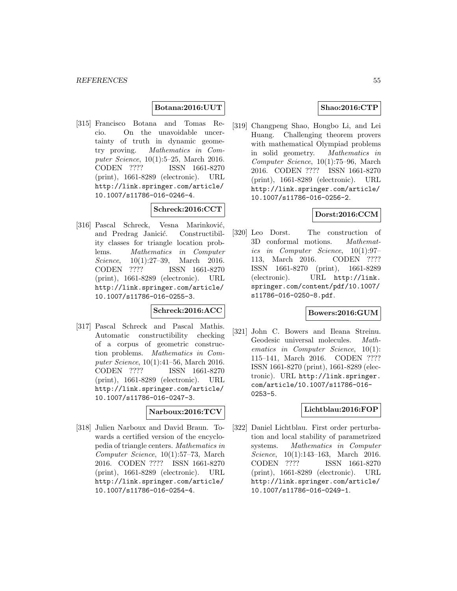#### **Botana:2016:UUT**

[315] Francisco Botana and Tomas Recio. On the unavoidable uncertainty of truth in dynamic geometry proving. Mathematics in Computer Science, 10(1):5–25, March 2016. CODEN ???? ISSN 1661-8270 (print), 1661-8289 (electronic). URL http://link.springer.com/article/ 10.1007/s11786-016-0246-4.

# **Schreck:2016:CCT**

[316] Pascal Schreck, Vesna Marinković, and Predrag Janicić. Constructibility classes for triangle location problems. Mathematics in Computer Science, 10(1):27–39, March 2016. CODEN ???? ISSN 1661-8270 (print), 1661-8289 (electronic). URL http://link.springer.com/article/ 10.1007/s11786-016-0255-3.

#### **Schreck:2016:ACC**

[317] Pascal Schreck and Pascal Mathis. Automatic constructibility checking of a corpus of geometric construction problems. Mathematics in Computer Science, 10(1):41–56, March 2016. CODEN ???? ISSN 1661-8270 (print), 1661-8289 (electronic). URL http://link.springer.com/article/ 10.1007/s11786-016-0247-3.

### **Narboux:2016:TCV**

[318] Julien Narboux and David Braun. Towards a certified version of the encyclopedia of triangle centers. Mathematics in Computer Science, 10(1):57–73, March 2016. CODEN ???? ISSN 1661-8270 (print), 1661-8289 (electronic). URL http://link.springer.com/article/ 10.1007/s11786-016-0254-4.

### **Shao:2016:CTP**

[319] Changpeng Shao, Hongbo Li, and Lei Huang. Challenging theorem provers with mathematical Olympiad problems in solid geometry. Mathematics in Computer Science, 10(1):75–96, March 2016. CODEN ???? ISSN 1661-8270 (print), 1661-8289 (electronic). URL http://link.springer.com/article/ 10.1007/s11786-016-0256-2.

# **Dorst:2016:CCM**

[320] Leo Dorst. The construction of 3D conformal motions. Mathematics in Computer Science, 10(1):97– 113, March 2016. CODEN ???? ISSN 1661-8270 (print), 1661-8289 (electronic). URL http://link. springer.com/content/pdf/10.1007/ s11786-016-0250-8.pdf.

### **Bowers:2016:GUM**

[321] John C. Bowers and Ileana Streinu. Geodesic universal molecules. Mathematics in Computer Science, 10(1): 115–141, March 2016. CODEN ???? ISSN 1661-8270 (print), 1661-8289 (electronic). URL http://link.springer. com/article/10.1007/s11786-016- 0253-5.

#### **Lichtblau:2016:FOP**

[322] Daniel Lichtblau. First order perturbation and local stability of parametrized systems. Mathematics in Computer Science, 10(1):143-163, March 2016. CODEN ???? ISSN 1661-8270 (print), 1661-8289 (electronic). URL http://link.springer.com/article/ 10.1007/s11786-016-0249-1.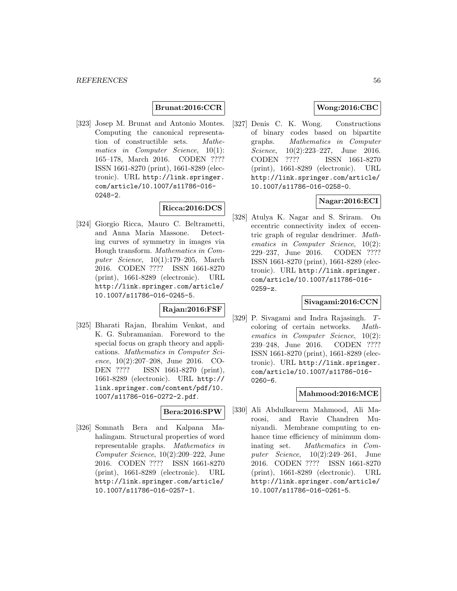# **Brunat:2016:CCR**

[323] Josep M. Brunat and Antonio Montes. Computing the canonical representation of constructible sets. Mathematics in Computer Science,  $10(1)$ : 165–178, March 2016. CODEN ???? ISSN 1661-8270 (print), 1661-8289 (electronic). URL http://link.springer. com/article/10.1007/s11786-016- 0248-2.

### **Ricca:2016:DCS**

[324] Giorgio Ricca, Mauro C. Beltrametti, and Anna Maria Massone. Detecting curves of symmetry in images via Hough transform. Mathematics in Computer Science, 10(1):179–205, March 2016. CODEN ???? ISSN 1661-8270 (print), 1661-8289 (electronic). URL http://link.springer.com/article/ 10.1007/s11786-016-0245-5.

# **Rajan:2016:FSF**

[325] Bharati Rajan, Ibrahim Venkat, and K. G. Subramanian. Foreword to the special focus on graph theory and applications. Mathematics in Computer Science, 10(2):207–208, June 2016. CO-DEN ???? ISSN 1661-8270 (print), 1661-8289 (electronic). URL http:// link.springer.com/content/pdf/10. 1007/s11786-016-0272-2.pdf.

#### **Bera:2016:SPW**

[326] Somnath Bera and Kalpana Mahalingam. Structural properties of word representable graphs. Mathematics in Computer Science, 10(2):209–222, June 2016. CODEN ???? ISSN 1661-8270 (print), 1661-8289 (electronic). URL http://link.springer.com/article/ 10.1007/s11786-016-0257-1.

# **Wong:2016:CBC**

[327] Denis C. K. Wong. Constructions of binary codes based on bipartite graphs. Mathematics in Computer Science, 10(2):223-227, June 2016. CODEN ???? ISSN 1661-8270 (print), 1661-8289 (electronic). URL http://link.springer.com/article/ 10.1007/s11786-016-0258-0.

### **Nagar:2016:ECI**

[328] Atulya K. Nagar and S. Sriram. On eccentric connectivity index of eccentric graph of regular dendrimer. Mathematics in Computer Science, 10(2): 229–237, June 2016. CODEN ???? ISSN 1661-8270 (print), 1661-8289 (electronic). URL http://link.springer. com/article/10.1007/s11786-016- 0259-z.

#### **Sivagami:2016:CCN**

[329] P. Sivagami and Indra Rajasingh. Tcoloring of certain networks. Mathematics in Computer Science, 10(2): 239–248, June 2016. CODEN ???? ISSN 1661-8270 (print), 1661-8289 (electronic). URL http://link.springer. com/article/10.1007/s11786-016- 0260-6.

### **Mahmood:2016:MCE**

[330] Ali Abdulkareem Mahmood, Ali Maroosi, and Ravie Chandren Muniyandi. Membrane computing to enhance time efficiency of minimum dominating set. Mathematics in Computer Science, 10(2):249–261, June 2016. CODEN ???? ISSN 1661-8270 (print), 1661-8289 (electronic). URL http://link.springer.com/article/ 10.1007/s11786-016-0261-5.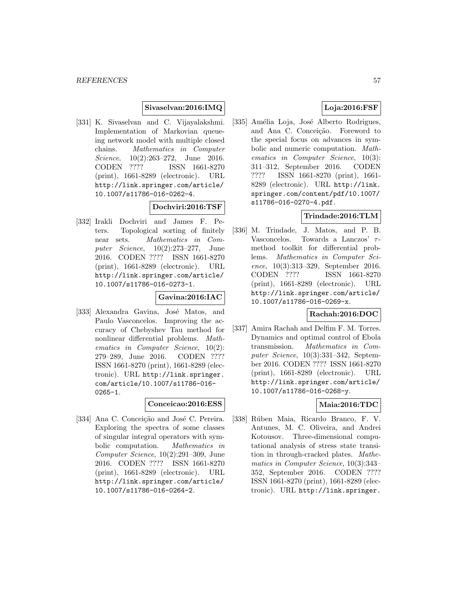### **Sivaselvan:2016:IMQ**

[331] K. Sivaselvan and C. Vijayalakshmi. Implementation of Markovian queueing network model with multiple closed chains. Mathematics in Computer Science, 10(2):263-272, June 2016. CODEN ???? ISSN 1661-8270 (print), 1661-8289 (electronic). URL http://link.springer.com/article/ 10.1007/s11786-016-0262-4.

## **Dochviri:2016:TSF**

[332] Irakli Dochviri and James F. Peters. Topological sorting of finitely near sets. Mathematics in Computer Science, 10(2):273–277, June 2016. CODEN ???? ISSN 1661-8270 (print), 1661-8289 (electronic). URL http://link.springer.com/article/ 10.1007/s11786-016-0273-1.

#### **Gavina:2016:IAC**

[333] Alexandra Gavina, José Matos, and Paulo Vasconcelos. Improving the accuracy of Chebyshev Tau method for nonlinear differential problems. Mathematics in Computer Science, 10(2): 279–289, June 2016. CODEN ???? ISSN 1661-8270 (print), 1661-8289 (electronic). URL http://link.springer. com/article/10.1007/s11786-016- 0265-1.

#### **Conceicao:2016:ESS**

[334] Ana C. Conceição and José C. Pereira. Exploring the spectra of some classes of singular integral operators with symbolic computation. Mathematics in Computer Science, 10(2):291–309, June 2016. CODEN ???? ISSN 1661-8270 (print), 1661-8289 (electronic). URL http://link.springer.com/article/ 10.1007/s11786-016-0264-2.

# **Loja:2016:FSF**

[335] Amélia Loja, José Alberto Rodrigues, and Ana C. Conceição. Foreword to the special focus on advances in symbolic and numeric computation. Mathematics in Computer Science, 10(3): 311–312, September 2016. CODEN ???? ISSN 1661-8270 (print), 1661- 8289 (electronic). URL http://link. springer.com/content/pdf/10.1007/ s11786-016-0270-4.pdf.

### **Trindade:2016:TLM**

[336] M. Trindade, J. Matos, and P. B. Vasconcelos. Towards a Lanczos'  $\tau$ method toolkit for differential problems. Mathematics in Computer Science, 10(3):313–329, September 2016. CODEN ???? ISSN 1661-8270 (print), 1661-8289 (electronic). URL http://link.springer.com/article/ 10.1007/s11786-016-0269-x.

### **Rachah:2016:DOC**

[337] Amira Rachah and Delfim F. M. Torres. Dynamics and optimal control of Ebola transmission. Mathematics in Computer Science, 10(3):331–342, September 2016. CODEN ???? ISSN 1661-8270 (print), 1661-8289 (electronic). URL http://link.springer.com/article/ 10.1007/s11786-016-0268-y.

# **Maia:2016:TDC**

[338] Rúben Maia, Ricardo Branco, F. V. Antunes, M. C. Oliveira, and Andrei Kotousov. Three-dimensional computational analysis of stress state transition in through-cracked plates. Mathematics in Computer Science, 10(3):343– 352, September 2016. CODEN ???? ISSN 1661-8270 (print), 1661-8289 (electronic). URL http://link.springer.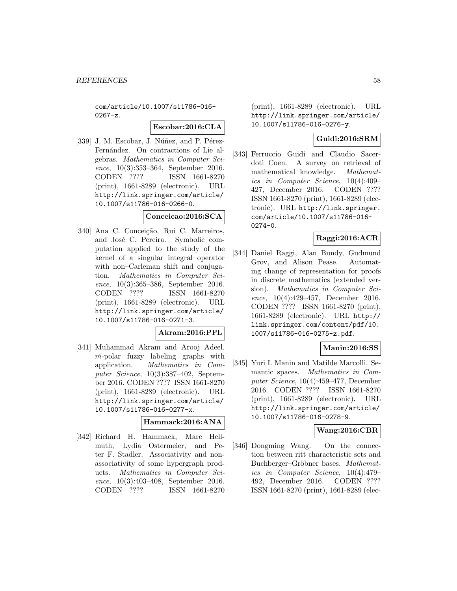com/article/10.1007/s11786-016- 0267-z.

#### **Escobar:2016:CLA**

[339] J. M. Escobar, J. Núñez, and P. Pérez-Fernández. On contractions of Lie algebras. Mathematics in Computer Science, 10(3):353–364, September 2016. CODEN ???? ISSN 1661-8270 (print), 1661-8289 (electronic). URL http://link.springer.com/article/ 10.1007/s11786-016-0266-0.

#### **Conceicao:2016:SCA**

[340] Ana C. Conceição, Rui C. Marreiros, and José C. Pereira. Symbolic computation applied to the study of the kernel of a singular integral operator with non–Carleman shift and conjugation. Mathematics in Computer Science, 10(3):365–386, September 2016. CODEN ???? ISSN 1661-8270 (print), 1661-8289 (electronic). URL http://link.springer.com/article/ 10.1007/s11786-016-0271-3.

## **Akram:2016:PFL**

[341] Muhammad Akram and Arooj Adeel.  $\vec{m}$ -polar fuzzy labeling graphs with application. Mathematics in Computer Science, 10(3):387–402, September 2016. CODEN ???? ISSN 1661-8270 (print), 1661-8289 (electronic). URL http://link.springer.com/article/ 10.1007/s11786-016-0277-x.

#### **Hammack:2016:ANA**

[342] Richard H. Hammack, Marc Hellmuth, Lydia Ostermeier, and Peter F. Stadler. Associativity and nonassociativity of some hypergraph products. Mathematics in Computer Science, 10(3):403–408, September 2016. CODEN ???? ISSN 1661-8270

(print), 1661-8289 (electronic). URL http://link.springer.com/article/ 10.1007/s11786-016-0276-y.

### **Guidi:2016:SRM**

[343] Ferruccio Guidi and Claudio Sacerdoti Coen. A survey on retrieval of mathematical knowledge. Mathematics in Computer Science, 10(4):409– 427, December 2016. CODEN ???? ISSN 1661-8270 (print), 1661-8289 (electronic). URL http://link.springer. com/article/10.1007/s11786-016- 0274-0.

### **Raggi:2016:ACR**

[344] Daniel Raggi, Alan Bundy, Gudmund Grov, and Alison Pease. Automating change of representation for proofs in discrete mathematics (extended version). Mathematics in Computer Science, 10(4):429–457, December 2016. CODEN ???? ISSN 1661-8270 (print), 1661-8289 (electronic). URL http:// link.springer.com/content/pdf/10. 1007/s11786-016-0275-z.pdf.

### **Manin:2016:SS**

[345] Yuri I. Manin and Matilde Marcolli. Semantic spaces. Mathematics in Computer Science, 10(4):459–477, December 2016. CODEN ???? ISSN 1661-8270 (print), 1661-8289 (electronic). URL http://link.springer.com/article/ 10.1007/s11786-016-0278-9.

### **Wang:2016:CBR**

[346] Dongming Wang. On the connection between ritt characteristic sets and Buchberger–Gröbner bases. Mathematics in Computer Science, 10(4):479– 492, December 2016. CODEN ???? ISSN 1661-8270 (print), 1661-8289 (elec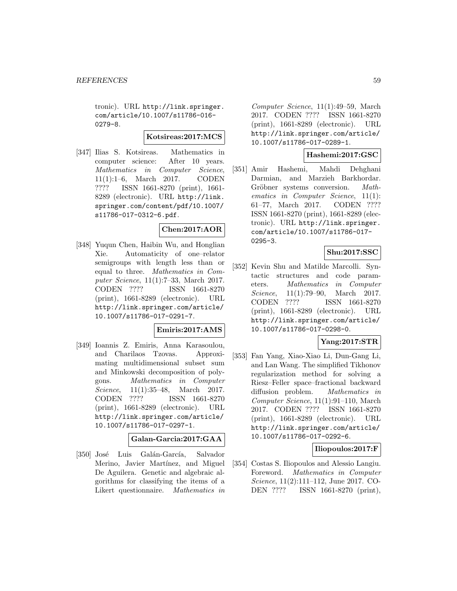tronic). URL http://link.springer. com/article/10.1007/s11786-016- 0279-8.

**Kotsireas:2017:MCS**

[347] Ilias S. Kotsireas. Mathematics in computer science: After 10 years. Mathematics in Computer Science, 11(1):1–6, March 2017. CODEN ???? ISSN 1661-8270 (print), 1661- 8289 (electronic). URL http://link. springer.com/content/pdf/10.1007/ s11786-017-0312-6.pdf.

### **Chen:2017:AOR**

[348] Yuqun Chen, Haibin Wu, and Honglian Xie. Automaticity of one–relator semigroups with length less than or equal to three. Mathematics in Computer Science, 11(1):7–33, March 2017. CODEN ???? ISSN 1661-8270 (print), 1661-8289 (electronic). URL http://link.springer.com/article/ 10.1007/s11786-017-0291-7.

### **Emiris:2017:AMS**

[349] Ioannis Z. Emiris, Anna Karasoulou, and Charilaos Tzovas. Approximating multidimensional subset sum and Minkowski decomposition of polygons. Mathematics in Computer Science, 11(1):35–48, March 2017. CODEN ???? ISSN 1661-8270 (print), 1661-8289 (electronic). URL http://link.springer.com/article/ 10.1007/s11786-017-0297-1.

### **Galan-Garcia:2017:GAA**

[350] José Luis Galán-García, Salvador Merino, Javier Martínez, and Miguel De Aguilera. Genetic and algebraic algorithms for classifying the items of a Likert questionnaire. Mathematics in

Computer Science, 11(1):49–59, March 2017. CODEN ???? ISSN 1661-8270 (print), 1661-8289 (electronic). URL http://link.springer.com/article/ 10.1007/s11786-017-0289-1.

### **Hashemi:2017:GSC**

[351] Amir Hashemi, Mahdi Dehghani Darmian, and Marzieh Barkhordar. Gröbner systems conversion. Mathematics in Computer Science, 11(1): 61–77, March 2017. CODEN ???? ISSN 1661-8270 (print), 1661-8289 (electronic). URL http://link.springer. com/article/10.1007/s11786-017- 0295-3.

#### **Shu:2017:SSC**

[352] Kevin Shu and Matilde Marcolli. Syntactic structures and code parameters. Mathematics in Computer Science, 11(1):79–90, March 2017. CODEN ???? ISSN 1661-8270 (print), 1661-8289 (electronic). URL http://link.springer.com/article/ 10.1007/s11786-017-0298-0.

## **Yang:2017:STR**

[353] Fan Yang, Xiao-Xiao Li, Dun-Gang Li, and Lan Wang. The simplified Tikhonov regularization method for solving a Riesz–Feller space–fractional backward diffusion problem. Mathematics in Computer Science, 11(1):91–110, March 2017. CODEN ???? ISSN 1661-8270 (print), 1661-8289 (electronic). URL http://link.springer.com/article/ 10.1007/s11786-017-0292-6.

#### **Iliopoulos:2017:F**

[354] Costas S. Iliopoulos and Alessio Langiu. Foreword. Mathematics in Computer Science, 11(2):111–112, June 2017. CO-DEN ???? ISSN 1661-8270 (print),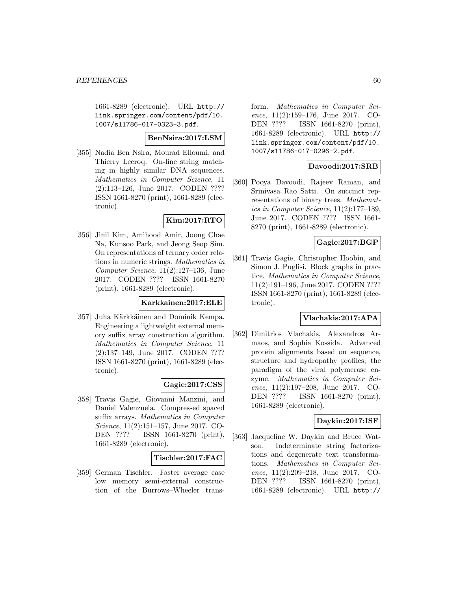1661-8289 (electronic). URL http:// link.springer.com/content/pdf/10. 1007/s11786-017-0323-3.pdf.

# **BenNsira:2017:LSM**

[355] Nadia Ben Nsira, Mourad Elloumi, and Thierry Lecroq. On-line string matching in highly similar DNA sequences. Mathematics in Computer Science, 11 (2):113–126, June 2017. CODEN ???? ISSN 1661-8270 (print), 1661-8289 (electronic).

# **Kim:2017:RTO**

[356] Jinil Kim, Amihood Amir, Joong Chae Na, Kunsoo Park, and Jeong Seop Sim. On representations of ternary order relations in numeric strings. Mathematics in Computer Science, 11(2):127–136, June 2017. CODEN ???? ISSN 1661-8270 (print), 1661-8289 (electronic).

#### **Karkkainen:2017:ELE**

[357] Juha Kärkkäinen and Dominik Kempa. Engineering a lightweight external memory suffix array construction algorithm. Mathematics in Computer Science, 11 (2):137–149, June 2017. CODEN ???? ISSN 1661-8270 (print), 1661-8289 (electronic).

### **Gagie:2017:CSS**

[358] Travis Gagie, Giovanni Manzini, and Daniel Valenzuela. Compressed spaced suffix arrays. Mathematics in Computer Science, 11(2):151–157, June 2017. CO-DEN ???? ISSN 1661-8270 (print), 1661-8289 (electronic).

#### **Tischler:2017:FAC**

[359] German Tischler. Faster average case low memory semi-external construction of the Burrows–Wheeler transform. Mathematics in Computer Science, 11(2):159–176, June 2017. CO-DEN ???? ISSN 1661-8270 (print), 1661-8289 (electronic). URL http:// link.springer.com/content/pdf/10. 1007/s11786-017-0296-2.pdf.

### **Davoodi:2017:SRB**

[360] Pooya Davoodi, Rajeev Raman, and Srinivasa Rao Satti. On succinct representations of binary trees. Mathematics in Computer Science, 11(2):177–189, June 2017. CODEN ???? ISSN 1661- 8270 (print), 1661-8289 (electronic).

### **Gagie:2017:BGP**

[361] Travis Gagie, Christopher Hoobin, and Simon J. Puglisi. Block graphs in practice. Mathematics in Computer Science, 11(2):191–196, June 2017. CODEN ???? ISSN 1661-8270 (print), 1661-8289 (electronic).

### **Vlachakis:2017:APA**

[362] Dimitrios Vlachakis, Alexandros Armaos, and Sophia Kossida. Advanced protein alignments based on sequence, structure and hydropathy profiles; the paradigm of the viral polymerase enzyme. Mathematics in Computer Science, 11(2):197–208, June 2017. CO-DEN ???? ISSN 1661-8270 (print), 1661-8289 (electronic).

### **Daykin:2017:ISF**

[363] Jacqueline W. Daykin and Bruce Watson. Indeterminate string factorizations and degenerate text transformations. Mathematics in Computer Science, 11(2):209–218, June 2017. CO-DEN ???? ISSN 1661-8270 (print), 1661-8289 (electronic). URL http://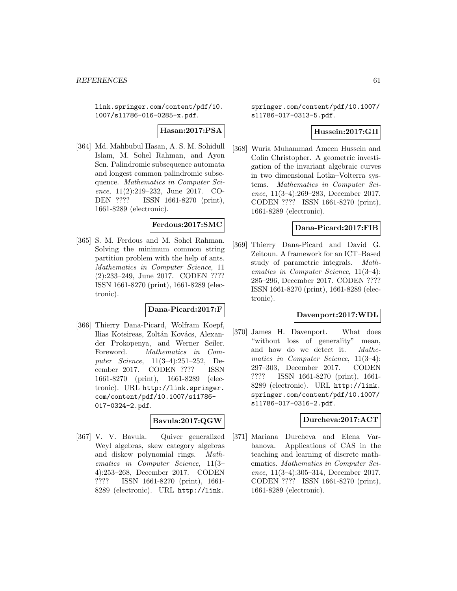link.springer.com/content/pdf/10. 1007/s11786-016-0285-x.pdf.

**Hasan:2017:PSA**

[364] Md. Mahbubul Hasan, A. S. M. Sohidull Islam, M. Sohel Rahman, and Ayon Sen. Palindromic subsequence automata and longest common palindromic subsequence. Mathematics in Computer Science, 11(2):219–232, June 2017. CO-DEN ???? ISSN 1661-8270 (print), 1661-8289 (electronic).

#### **Ferdous:2017:SMC**

[365] S. M. Ferdous and M. Sohel Rahman. Solving the minimum common string partition problem with the help of ants. Mathematics in Computer Science, 11 (2):233–249, June 2017. CODEN ???? ISSN 1661-8270 (print), 1661-8289 (electronic).

**Dana-Picard:2017:F**

[366] Thierry Dana-Picard, Wolfram Koepf, Ilias Kotsireas, Zoltán Kovács, Alexander Prokopenya, and Werner Seiler. Foreword. Mathematics in Computer Science, 11(3–4):251–252, December 2017. CODEN ???? ISSN 1661-8270 (print), 1661-8289 (electronic). URL http://link.springer. com/content/pdf/10.1007/s11786- 017-0324-2.pdf.

#### **Bavula:2017:QGW**

[367] V. V. Bavula. Quiver generalized Weyl algebras, skew category algebras and diskew polynomial rings. Mathematics in Computer Science, 11(3– 4):253–268, December 2017. CODEN ???? ISSN 1661-8270 (print), 1661- 8289 (electronic). URL http://link.

springer.com/content/pdf/10.1007/ s11786-017-0313-5.pdf.

### **Hussein:2017:GII**

[368] Wuria Muhammad Ameen Hussein and Colin Christopher. A geometric investigation of the invariant algebraic curves in two dimensional Lotka–Volterra systems. Mathematics in Computer Science, 11(3–4):269–283, December 2017. CODEN ???? ISSN 1661-8270 (print), 1661-8289 (electronic).

#### **Dana-Picard:2017:FIB**

[369] Thierry Dana-Picard and David G. Zeitoun. A framework for an ICT–Based study of parametric integrals. Mathematics in Computer Science, 11(3–4): 285–296, December 2017. CODEN ???? ISSN 1661-8270 (print), 1661-8289 (electronic).

### **Davenport:2017:WDL**

[370] James H. Davenport. What does "without loss of generality" mean, and how do we detect it. Mathematics in Computer Science, 11(3–4): 297–303, December 2017. CODEN ???? ISSN 1661-8270 (print), 1661- 8289 (electronic). URL http://link. springer.com/content/pdf/10.1007/ s11786-017-0316-2.pdf.

### **Durcheva:2017:ACT**

[371] Mariana Durcheva and Elena Varbanova. Applications of CAS in the teaching and learning of discrete mathematics. Mathematics in Computer Science, 11(3–4):305–314, December 2017. CODEN ???? ISSN 1661-8270 (print), 1661-8289 (electronic).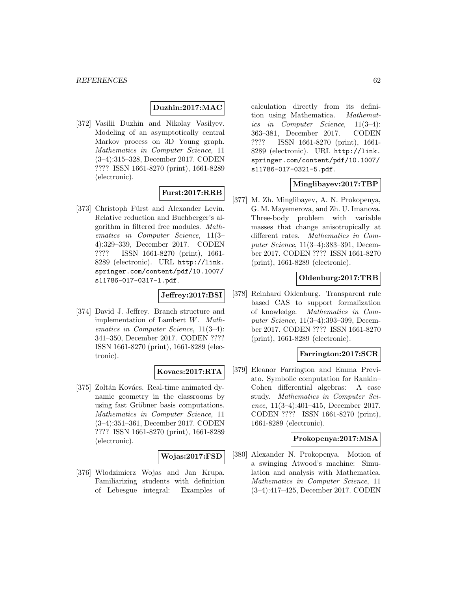### **Duzhin:2017:MAC**

[372] Vasilii Duzhin and Nikolay Vasilyev. Modeling of an asymptotically central Markov process on 3D Young graph. Mathematics in Computer Science, 11 (3–4):315–328, December 2017. CODEN ???? ISSN 1661-8270 (print), 1661-8289 (electronic).

# **Furst:2017:RRB**

[373] Christoph Fürst and Alexander Levin. Relative reduction and Buchberger's algorithm in filtered free modules. Mathematics in Computer Science, 11(3– 4):329–339, December 2017. CODEN ???? ISSN 1661-8270 (print), 1661- 8289 (electronic). URL http://link. springer.com/content/pdf/10.1007/ s11786-017-0317-1.pdf.

## **Jeffrey:2017:BSI**

[374] David J. Jeffrey. Branch structure and implementation of Lambert W. Mathematics in Computer Science, 11(3–4): 341–350, December 2017. CODEN ???? ISSN 1661-8270 (print), 1661-8289 (electronic).

### **Kovacs:2017:RTA**

[375] Zoltán Kovács. Real-time animated dynamic geometry in the classrooms by using fast Gröbner basis computations. Mathematics in Computer Science, 11 (3–4):351–361, December 2017. CODEN ???? ISSN 1661-8270 (print), 1661-8289 (electronic).

#### **Wojas:2017:FSD**

[376] Wlodzimierz Wojas and Jan Krupa. Familiarizing students with definition of Lebesgue integral: Examples of calculation directly from its definition using Mathematica. Mathematics in Computer Science, 11(3–4): 363–381, December 2017. CODEN ???? ISSN 1661-8270 (print), 1661- 8289 (electronic). URL http://link. springer.com/content/pdf/10.1007/ s11786-017-0321-5.pdf.

### **Minglibayev:2017:TBP**

[377] M. Zh. Minglibayev, A. N. Prokopenya, G. M. Mayemerova, and Zh. U. Imanova. Three-body problem with variable masses that change anisotropically at different rates. Mathematics in Computer Science, 11(3–4):383–391, December 2017. CODEN ???? ISSN 1661-8270 (print), 1661-8289 (electronic).

#### **Oldenburg:2017:TRB**

[378] Reinhard Oldenburg. Transparent rule based CAS to support formalization of knowledge. Mathematics in Computer Science, 11(3–4):393–399, December 2017. CODEN ???? ISSN 1661-8270 (print), 1661-8289 (electronic).

#### **Farrington:2017:SCR**

[379] Eleanor Farrington and Emma Previato. Symbolic computation for Rankin– Cohen differential algebras: A case study. Mathematics in Computer Science, 11(3–4):401–415, December 2017. CODEN ???? ISSN 1661-8270 (print), 1661-8289 (electronic).

#### **Prokopenya:2017:MSA**

[380] Alexander N. Prokopenya. Motion of a swinging Atwood's machine: Simulation and analysis with Mathematica. Mathematics in Computer Science, 11 (3–4):417–425, December 2017. CODEN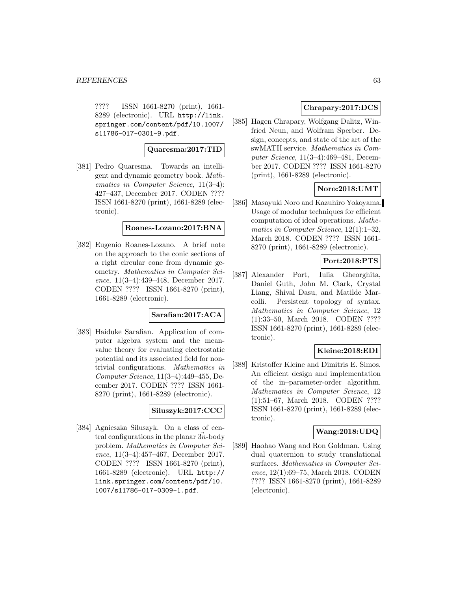???? ISSN 1661-8270 (print), 1661- 8289 (electronic). URL http://link. springer.com/content/pdf/10.1007/ s11786-017-0301-9.pdf.

### **Quaresma:2017:TID**

[381] Pedro Quaresma. Towards an intelligent and dynamic geometry book. Mathematics in Computer Science, 11(3–4): 427–437, December 2017. CODEN ???? ISSN 1661-8270 (print), 1661-8289 (electronic).

#### **Roanes-Lozano:2017:BNA**

[382] Eugenio Roanes-Lozano. A brief note on the approach to the conic sections of a right circular cone from dynamic geometry. Mathematics in Computer Science, 11(3–4):439–448, December 2017. CODEN ???? ISSN 1661-8270 (print), 1661-8289 (electronic).

### **Sarafian:2017:ACA**

[383] Haiduke Sarafian. Application of computer algebra system and the meanvalue theory for evaluating electrostatic potential and its associated field for nontrivial configurations. Mathematics in Computer Science, 11(3–4):449–455, December 2017. CODEN ???? ISSN 1661- 8270 (print), 1661-8289 (electronic).

# **Siluszyk:2017:CCC**

[384] Agnieszka Siluszyk. On a class of central configurations in the planar  $3n$ -body problem. Mathematics in Computer Science, 11(3–4):457–467, December 2017. CODEN ???? ISSN 1661-8270 (print), 1661-8289 (electronic). URL http:// link.springer.com/content/pdf/10. 1007/s11786-017-0309-1.pdf.

# **Chrapary:2017:DCS**

[385] Hagen Chrapary, Wolfgang Dalitz, Winfried Neun, and Wolfram Sperber. Design, concepts, and state of the art of the swMATH service. Mathematics in Computer Science, 11(3–4):469–481, December 2017. CODEN ???? ISSN 1661-8270 (print), 1661-8289 (electronic).

# **Noro:2018:UMT**

[386] Masayuki Noro and Kazuhiro Yokoyama. Usage of modular techniques for efficient computation of ideal operations. Mathematics in Computer Science, 12(1):1–32, March 2018. CODEN ???? ISSN 1661- 8270 (print), 1661-8289 (electronic).

# **Port:2018:PTS**

[387] Alexander Port, Iulia Gheorghita, Daniel Guth, John M. Clark, Crystal Liang, Shival Dasu, and Matilde Marcolli. Persistent topology of syntax. Mathematics in Computer Science, 12 (1):33–50, March 2018. CODEN ???? ISSN 1661-8270 (print), 1661-8289 (electronic).

### **Kleine:2018:EDI**

[388] Kristoffer Kleine and Dimitris E. Simos. An efficient design and implementation of the in–parameter-order algorithm. Mathematics in Computer Science, 12 (1):51–67, March 2018. CODEN ???? ISSN 1661-8270 (print), 1661-8289 (electronic).

## **Wang:2018:UDQ**

[389] Haohao Wang and Ron Goldman. Using dual quaternion to study translational surfaces. Mathematics in Computer Science, 12(1):69–75, March 2018. CODEN ???? ISSN 1661-8270 (print), 1661-8289 (electronic).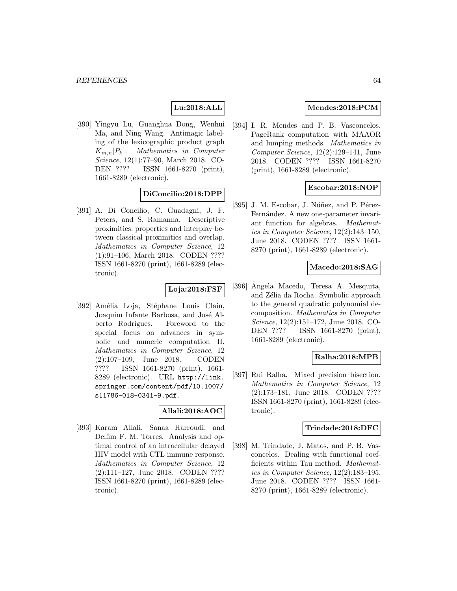# **Lu:2018:ALL**

[390] Yingyu Lu, Guanghua Dong, Wenhui Ma, and Ning Wang. Antimagic labeling of the lexicographic product graph  $K_{m,n}[P_k]$ . Mathematics in Computer Science, 12(1):77–90, March 2018. CO-<br>DEN ???? ISSN 1661-8270 (print), ISSN 1661-8270 (print), 1661-8289 (electronic).

### **DiConcilio:2018:DPP**

[391] A. Di Concilio, C. Guadagni, J. F. Peters, and S. Ramanna. Descriptive proximities. properties and interplay between classical proximities and overlap. Mathematics in Computer Science, 12 (1):91–106, March 2018. CODEN ???? ISSN 1661-8270 (print), 1661-8289 (electronic).

#### **Loja:2018:FSF**

[392] Amélia Loja, Stéphane Louis Clain, Joaquim Infante Barbosa, and José Alberto Rodrigues. Foreword to the special focus on advances in symbolic and numeric computation II. Mathematics in Computer Science, 12 (2):107–109, June 2018. CODEN ???? ISSN 1661-8270 (print), 1661- 8289 (electronic). URL http://link. springer.com/content/pdf/10.1007/ s11786-018-0341-9.pdf.

### **Allali:2018:AOC**

[393] Karam Allali, Sanaa Harroudi, and Delfim F. M. Torres. Analysis and optimal control of an intracellular delayed HIV model with CTL immune response. Mathematics in Computer Science, 12 (2):111–127, June 2018. CODEN ???? ISSN 1661-8270 (print), 1661-8289 (electronic).

## **Mendes:2018:PCM**

[394] I. R. Mendes and P. B. Vasconcelos. PageRank computation with MAAOR and lumping methods. Mathematics in Computer Science, 12(2):129–141, June 2018. CODEN ???? ISSN 1661-8270 (print), 1661-8289 (electronic).

### **Escobar:2018:NOP**

[395] J. M. Escobar, J. Núñez, and P. Pérez-Fernández. A new one-parameter invariant function for algebras. Mathematics in Computer Science, 12(2):143–150, June 2018. CODEN ???? ISSN 1661- 8270 (print), 1661-8289 (electronic).

### **Macedo:2018:SAG**

[396] Angela Macedo, Teresa A. Mesquita, and Zélia da Rocha. Symbolic approach to the general quadratic polynomial decomposition. Mathematics in Computer Science, 12(2):151–172, June 2018. CO-DEN ???? ISSN 1661-8270 (print), 1661-8289 (electronic).

## **Ralha:2018:MPB**

[397] Rui Ralha. Mixed precision bisection. Mathematics in Computer Science, 12 (2):173–181, June 2018. CODEN ???? ISSN 1661-8270 (print), 1661-8289 (electronic).

#### **Trindade:2018:DFC**

[398] M. Trindade, J. Matos, and P. B. Vasconcelos. Dealing with functional coefficients within Tau method. Mathematics in Computer Science, 12(2):183–195, June 2018. CODEN ???? ISSN 1661- 8270 (print), 1661-8289 (electronic).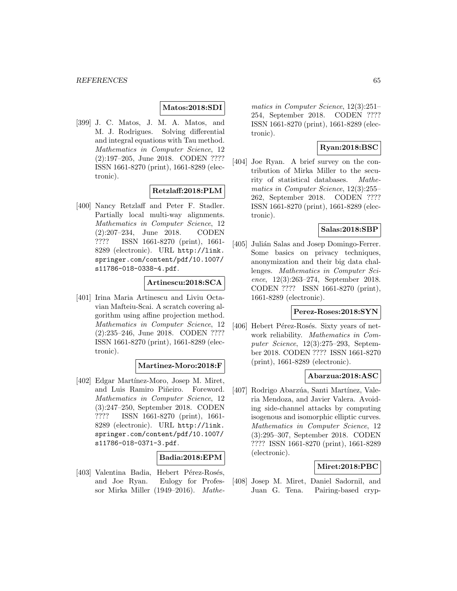### **Matos:2018:SDI**

[399] J. C. Matos, J. M. A. Matos, and M. J. Rodrigues. Solving differential and integral equations with Tau method. Mathematics in Computer Science, 12 (2):197–205, June 2018. CODEN ???? ISSN 1661-8270 (print), 1661-8289 (electronic).

### **Retzlaff:2018:PLM**

[400] Nancy Retzlaff and Peter F. Stadler. Partially local multi-way alignments. Mathematics in Computer Science, 12 (2):207–234, June 2018. CODEN ???? ISSN 1661-8270 (print), 1661- 8289 (electronic). URL http://link. springer.com/content/pdf/10.1007/ s11786-018-0338-4.pdf.

#### **Artinescu:2018:SCA**

[401] Irina Maria Artinescu and Liviu Octavian Mafteiu-Scai. A scratch covering algorithm using affine projection method. Mathematics in Computer Science, 12 (2):235–246, June 2018. CODEN ???? ISSN 1661-8270 (print), 1661-8289 (electronic).

#### **Martinez-Moro:2018:F**

[402] Edgar Martínez-Moro, Josep M. Miret, and Luis Ramiro Piñeiro. Foreword. Mathematics in Computer Science, 12 (3):247–250, September 2018. CODEN ???? ISSN 1661-8270 (print), 1661- 8289 (electronic). URL http://link. springer.com/content/pdf/10.1007/ s11786-018-0371-3.pdf.

#### **Badia:2018:EPM**

[403] Valentina Badia, Hebert Pérez-Rosés, and Joe Ryan. Eulogy for Professor Mirka Miller (1949–2016). Mathematics in Computer Science, 12(3):251– 254, September 2018. CODEN ???? ISSN 1661-8270 (print), 1661-8289 (electronic).

### **Ryan:2018:BSC**

[404] Joe Ryan. A brief survey on the contribution of Mirka Miller to the security of statistical databases. Mathematics in Computer Science, 12(3):255– 262, September 2018. CODEN ???? ISSN 1661-8270 (print), 1661-8289 (electronic).

## **Salas:2018:SBP**

[405] Julián Salas and Josep Domingo-Ferrer. Some basics on privacy techniques, anonymization and their big data challenges. Mathematics in Computer Science, 12(3):263–274, September 2018. CODEN ???? ISSN 1661-8270 (print), 1661-8289 (electronic).

### **Perez-Roses:2018:SYN**

[406] Hebert Pérez-Rosés. Sixty years of network reliability. Mathematics in Computer Science, 12(3):275–293, September 2018. CODEN ???? ISSN 1661-8270 (print), 1661-8289 (electronic).

#### **Abarzua:2018:ASC**

[407] Rodrigo Abarzúa, Santi Martínez, Valeria Mendoza, and Javier Valera. Avoiding side-channel attacks by computing isogenous and isomorphic elliptic curves. Mathematics in Computer Science, 12 (3):295–307, September 2018. CODEN ???? ISSN 1661-8270 (print), 1661-8289 (electronic).

### **Miret:2018:PBC**

[408] Josep M. Miret, Daniel Sadornil, and Juan G. Tena. Pairing-based cryp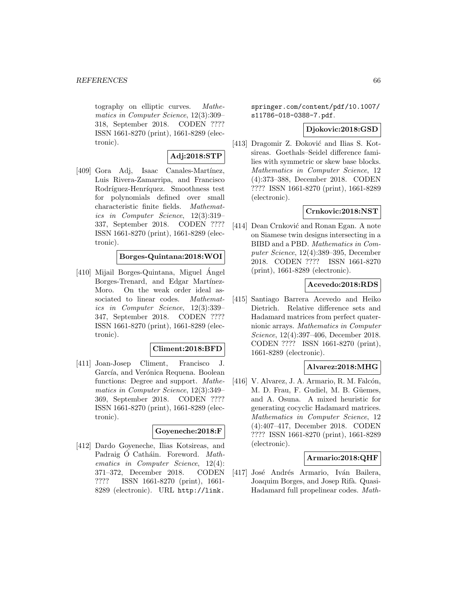tography on elliptic curves. Mathematics in Computer Science, 12(3):309– 318, September 2018. CODEN ???? ISSN 1661-8270 (print), 1661-8289 (electronic).

# **Adj:2018:STP**

[409] Gora Adj, Isaac Canales-Martínez, Luis Rivera-Zamarripa, and Francisco Rodríguez-Henríquez. Smoothness test for polynomials defined over small characteristic finite fields. Mathematics in Computer Science, 12(3):319– 337, September 2018. CODEN ???? ISSN 1661-8270 (print), 1661-8289 (electronic).

## **Borges-Quintana:2018:WOI**

[410] Mijail Borges-Quintana, Miguel Angel Borges-Trenard, and Edgar Martínez-Moro. On the weak order ideal associated to linear codes. Mathematics in Computer Science, 12(3):339– 347, September 2018. CODEN ???? ISSN 1661-8270 (print), 1661-8289 (electronic).

### **Climent:2018:BFD**

[411] Joan-Josep Climent, Francisco J. García, and Verónica Requena. Boolean functions: Degree and support. Mathematics in Computer Science, 12(3):349– 369, September 2018. CODEN ???? ISSN 1661-8270 (print), 1661-8289 (electronic).

### **Goyeneche:2018:F**

[412] Dardo Goyeneche, Ilias Kotsireas, and Padraig Ó Catháin. Foreword. Mathematics in Computer Science, 12(4): 371–372, December 2018. CODEN ???? ISSN 1661-8270 (print), 1661- 8289 (electronic). URL http://link.

springer.com/content/pdf/10.1007/ s11786-018-0388-7.pdf.

#### **Djokovic:2018:GSD**

[413] Dragomir Z. Đoković and Ilias S. Kotsireas. Goethals–Seidel difference families with symmetric or skew base blocks. Mathematics in Computer Science, 12 (4):373–388, December 2018. CODEN ???? ISSN 1661-8270 (print), 1661-8289 (electronic).

### **Crnkovic:2018:NST**

[414] Dean Crnković and Ronan Egan. A note on Siamese twin designs intersecting in a BIBD and a PBD. Mathematics in Computer Science, 12(4):389–395, December 2018. CODEN ???? ISSN 1661-8270 (print), 1661-8289 (electronic).

### **Acevedo:2018:RDS**

[415] Santiago Barrera Acevedo and Heiko Dietrich. Relative difference sets and Hadamard matrices from perfect quaternionic arrays. Mathematics in Computer Science, 12(4):397–406, December 2018. CODEN ???? ISSN 1661-8270 (print), 1661-8289 (electronic).

#### **Alvarez:2018:MHG**

 $[416]$  V. Alvarez, J. A. Armario, R. M. Falcón, M. D. Frau, F. Gudiel, M. B. Güemes, and A. Osuna. A mixed heuristic for generating cocyclic Hadamard matrices. Mathematics in Computer Science, 12 (4):407–417, December 2018. CODEN ???? ISSN 1661-8270 (print), 1661-8289 (electronic).

#### **Armario:2018:QHF**

[417] José Andrés Armario, Iván Bailera, Joaquim Borges, and Josep Rifà. Quasi-Hadamard full propelinear codes. Math-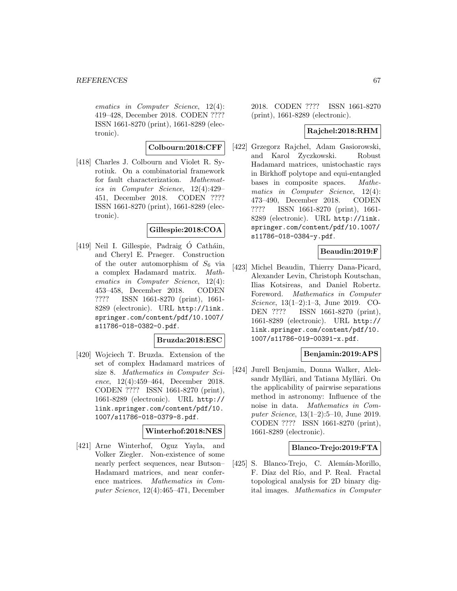ematics in Computer Science, 12(4): 419–428, December 2018. CODEN ???? ISSN 1661-8270 (print), 1661-8289 (electronic).

#### **Colbourn:2018:CFF**

[418] Charles J. Colbourn and Violet R. Syrotiuk. On a combinatorial framework for fault characterization. Mathematics in Computer Science, 12(4):429– 451, December 2018. CODEN ???? ISSN 1661-8270 (print), 1661-8289 (electronic).

### **Gillespie:2018:COA**

 $[419]$  Neil I. Gillespie, Padraig O Catháin, and Cheryl E. Praeger. Construction of the outer automorphism of  $S_6$  via a complex Hadamard matrix. Mathematics in Computer Science, 12(4): 453–458, December 2018. CODEN ???? ISSN 1661-8270 (print), 1661- 8289 (electronic). URL http://link. springer.com/content/pdf/10.1007/ s11786-018-0382-0.pdf.

### **Bruzda:2018:ESC**

[420] Wojciech T. Bruzda. Extension of the set of complex Hadamard matrices of size 8. Mathematics in Computer Science, 12(4):459–464, December 2018. CODEN ???? ISSN 1661-8270 (print), 1661-8289 (electronic). URL http:// link.springer.com/content/pdf/10. 1007/s11786-018-0379-8.pdf.

## **Winterhof:2018:NES**

[421] Arne Winterhof, Oguz Yayla, and Volker Ziegler. Non-existence of some nearly perfect sequences, near Butson– Hadamard matrices, and near conference matrices. Mathematics in Computer Science, 12(4):465–471, December

2018. CODEN ???? ISSN 1661-8270 (print), 1661-8289 (electronic).

## **Rajchel:2018:RHM**

[422] Grzegorz Rajchel, Adam Gasiorowski, and Karol Zyczkowski. Robust Hadamard matrices, unistochastic rays in Birkhoff polytope and equi-entangled bases in composite spaces. Mathematics in Computer Science, 12(4): 473–490, December 2018. CODEN ???? ISSN 1661-8270 (print), 1661- 8289 (electronic). URL http://link. springer.com/content/pdf/10.1007/ s11786-018-0384-y.pdf.

### **Beaudin:2019:F**

[423] Michel Beaudin, Thierry Dana-Picard, Alexander Levin, Christoph Koutschan, Ilias Kotsireas, and Daniel Robertz. Foreword. Mathematics in Computer Science, 13(1–2):1–3, June 2019. CO-DEN ???? ISSN 1661-8270 (print), 1661-8289 (electronic). URL http:// link.springer.com/content/pdf/10. 1007/s11786-019-00391-x.pdf.

#### **Benjamin:2019:APS**

[424] Jurell Benjamin, Donna Walker, Aleksandr Mylläri, and Tatiana Mylläri. On the applicability of pairwise separations method in astronomy: Influence of the noise in data. Mathematics in Computer Science, 13(1–2):5–10, June 2019. CODEN ???? ISSN 1661-8270 (print), 1661-8289 (electronic).

#### **Blanco-Trejo:2019:FTA**

[425] S. Blanco-Trejo, C. Alemán-Morillo, F. Díaz del Río, and P. Real. Fractal topological analysis for 2D binary digital images. Mathematics in Computer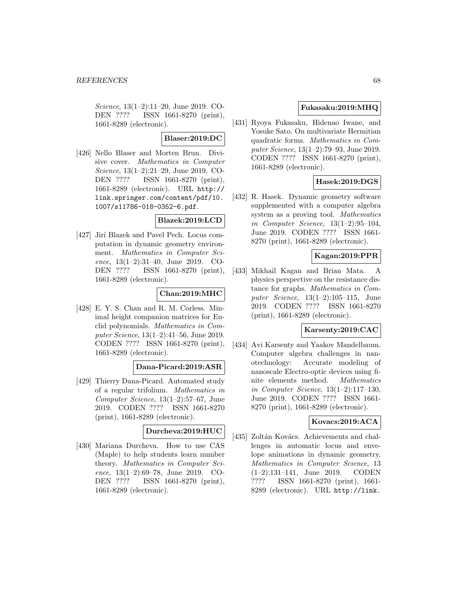Science, 13(1–2):11–20, June 2019. CO-DEN ???? ISSN 1661-8270 (print), 1661-8289 (electronic).

### **Blaser:2019:DC**

[426] Nello Blaser and Morten Brun. Divisive cover. Mathematics in Computer Science, 13(1–2):21–29, June 2019. CO-DEN ???? ISSN 1661-8270 (print), 1661-8289 (electronic). URL http:// link.springer.com/content/pdf/10. 1007/s11786-018-0352-6.pdf.

### **Blazek:2019:LCD**

[427] Jirí Blazek and Pavel Pech. Locus computation in dynamic geometry environment. Mathematics in Computer Science, 13(1–2):31–40, June 2019. CO-DEN ???? ISSN 1661-8270 (print), 1661-8289 (electronic).

## **Chan:2019:MHC**

[428] E. Y. S. Chan and R. M. Corless. Minimal height companion matrices for Euclid polynomials. Mathematics in Computer Science, 13(1–2):41–56, June 2019. CODEN ???? ISSN 1661-8270 (print), 1661-8289 (electronic).

### **Dana-Picard:2019:ASR**

[429] Thierry Dana-Picard. Automated study of a regular trifolium. Mathematics in Computer Science, 13(1–2):57–67, June 2019. CODEN ???? ISSN 1661-8270 (print), 1661-8289 (electronic).

# **Durcheva:2019:HUC**

[430] Mariana Durcheva. How to use CAS (Maple) to help students learn number theory. Mathematics in Computer Science, 13(1–2):69–78, June 2019. CO-DEN ???? ISSN 1661-8270 (print), 1661-8289 (electronic).

### **Fukasaku:2019:MHQ**

[431] Ryoya Fukasaku, Hidenao Iwane, and Yosuke Sato. On multivariate Hermitian quadratic forms. Mathematics in Computer Science, 13(1–2):79–93, June 2019. CODEN ???? ISSN 1661-8270 (print), 1661-8289 (electronic).

# **Hasek:2019:DGS**

[432] R. Hasek. Dynamic geometry software supplemented with a computer algebra system as a proving tool. Mathematics in Computer Science, 13(1–2):95–104, June 2019. CODEN ???? ISSN 1661- 8270 (print), 1661-8289 (electronic).

### **Kagan:2019:PPR**

[433] Mikhail Kagan and Brian Mata. A physics perspective on the resistance distance for graphs. Mathematics in Computer Science, 13(1–2):105–115, June 2019. CODEN ???? ISSN 1661-8270 (print), 1661-8289 (electronic).

### **Karsenty:2019:CAC**

[434] Avi Karsenty and Yaakov Mandelbaum. Computer algebra challenges in nanotechnology: Accurate modeling of nanoscale Electro-optic devices using finite elements method. Mathematics in Computer Science, 13(1–2):117–130, June 2019. CODEN ???? ISSN 1661- 8270 (print), 1661-8289 (electronic).

### **Kovacs:2019:ACA**

[435] Zoltán Kovács. Achievements and challenges in automatic locus and envelope animations in dynamic geometry. Mathematics in Computer Science, 13 (1–2):131–141, June 2019. CODEN ???? ISSN 1661-8270 (print), 1661- 8289 (electronic). URL http://link.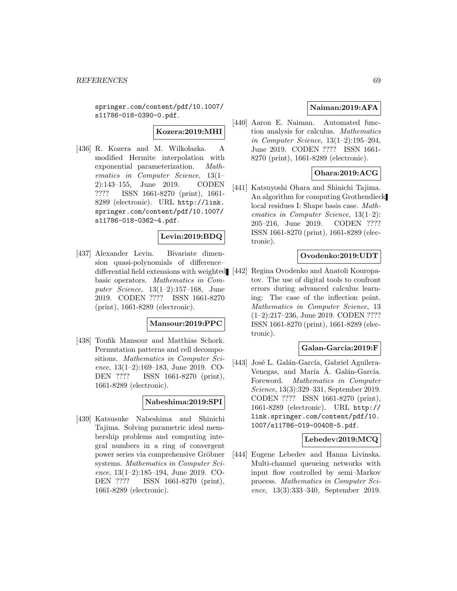springer.com/content/pdf/10.1007/ s11786-018-0390-0.pdf.

# **Kozera:2019:MHI**

[436] R. Kozera and M. Wilkołazka. A modified Hermite interpolation with exponential parameterization. Mathematics in Computer Science, 13(1– 2):143–155, June 2019. CODEN ???? ISSN 1661-8270 (print), 1661- 8289 (electronic). URL http://link. springer.com/content/pdf/10.1007/ s11786-018-0362-4.pdf.

# **Levin:2019:BDQ**

[437] Alexander Levin. Bivariate dimension quasi-polynomials of difference– differential field extensions with weighted basic operators. Mathematics in Computer Science, 13(1–2):157–168, June 2019. CODEN ???? ISSN 1661-8270 (print), 1661-8289 (electronic).

#### **Mansour:2019:PPC**

[438] Toufik Mansour and Matthias Schork. Permutation patterns and cell decompositions. Mathematics in Computer Science, 13(1–2):169–183, June 2019. CO-DEN ???? ISSN 1661-8270 (print), 1661-8289 (electronic).

#### **Nabeshima:2019:SPI**

[439] Katsusuke Nabeshima and Shinichi Tajima. Solving parametric ideal membership problems and computing integral numbers in a ring of convergent power series via comprehensive Gröbner systems. Mathematics in Computer Science, 13(1–2):185–194, June 2019. CO-DEN ???? ISSN 1661-8270 (print), 1661-8289 (electronic).

## **Naiman:2019:AFA**

[440] Aaron E. Naiman. Automated function analysis for calculus. Mathematics in Computer Science, 13(1–2):195–204, June 2019. CODEN ???? ISSN 1661- 8270 (print), 1661-8289 (electronic).

### **Ohara:2019:ACG**

[441] Katsuyoshi Ohara and Shinichi Tajima. An algorithm for computing Grothendieck local residues I: Shape basis case. Mathematics in Computer Science, 13(1–2): 205–216, June 2019. CODEN ???? ISSN 1661-8270 (print), 1661-8289 (electronic).

### **Ovodenko:2019:UDT**

[442] Regina Ovodenko and Anatoli Kouropatov. The use of digital tools to confront errors during advanced calculus learning: The case of the inflection point. Mathematics in Computer Science, 13 (1–2):217–236, June 2019. CODEN ???? ISSN 1661-8270 (print), 1661-8289 (electronic).

#### **Galan-Garcia:2019:F**

[443] José L. Galán-García, Gabriel Aguilera-Venegas, and María Á. Galán-García. Foreword. Mathematics in Computer Science, 13(3):329–331, September 2019. CODEN ???? ISSN 1661-8270 (print), 1661-8289 (electronic). URL http:// link.springer.com/content/pdf/10. 1007/s11786-019-00408-5.pdf.

### **Lebedev:2019:MCQ**

[444] Eugene Lebedev and Hanna Livinska. Multi-channel queueing networks with input flow controlled by semi–Markov process. Mathematics in Computer Science, 13(3):333–340, September 2019.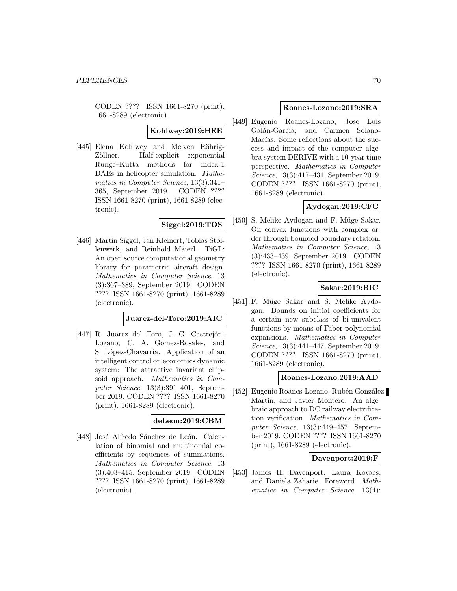CODEN ???? ISSN 1661-8270 (print), 1661-8289 (electronic).

# **Kohlwey:2019:HEE**

[445] Elena Kohlwey and Melven Röhrig-Zöllner. Half-explicit exponential Runge–Kutta methods for index-1 DAEs in helicopter simulation. Mathematics in Computer Science, 13(3):341– 365, September 2019. CODEN ???? ISSN 1661-8270 (print), 1661-8289 (electronic).

### **Siggel:2019:TOS**

[446] Martin Siggel, Jan Kleinert, Tobias Stollenwerk, and Reinhold Maierl. TiGL: An open source computational geometry library for parametric aircraft design. Mathematics in Computer Science, 13 (3):367–389, September 2019. CODEN ???? ISSN 1661-8270 (print), 1661-8289 (electronic).

#### **Juarez-del-Toro:2019:AIC**

[447] R. Juarez del Toro, J. G. Castrejón-Lozano, C. A. Gomez-Rosales, and S. López-Chavarría. Application of an intelligent control on economics dynamic system: The attractive invariant ellipsoid approach. Mathematics in Computer Science, 13(3):391–401, September 2019. CODEN ???? ISSN 1661-8270 (print), 1661-8289 (electronic).

#### **deLeon:2019:CBM**

[448] José Alfredo Sánchez de León. Calculation of binomial and multinomial coefficients by sequences of summations. Mathematics in Computer Science, 13 (3):403–415, September 2019. CODEN ???? ISSN 1661-8270 (print), 1661-8289 (electronic).

#### **Roanes-Lozano:2019:SRA**

[449] Eugenio Roanes-Lozano, Jose Luis Galán-García, and Carmen Solano-Macías. Some reflections about the success and impact of the computer algebra system DERIVE with a 10-year time perspective. Mathematics in Computer Science, 13(3):417–431, September 2019. CODEN ???? ISSN 1661-8270 (print), 1661-8289 (electronic).

### **Aydogan:2019:CFC**

[450] S. Melike Aydogan and F. Müge Sakar. On convex functions with complex order through bounded boundary rotation. Mathematics in Computer Science, 13 (3):433–439, September 2019. CODEN ???? ISSN 1661-8270 (print), 1661-8289 (electronic).

# **Sakar:2019:BIC**

[451] F. Müge Sakar and S. Melike Aydogan. Bounds on initial coefficients for a certain new subclass of bi-univalent functions by means of Faber polynomial expansions. Mathematics in Computer Science, 13(3):441–447, September 2019. CODEN ???? ISSN 1661-8270 (print), 1661-8289 (electronic).

### **Roanes-Lozano:2019:AAD**

[452] Eugenio Roanes-Lozano, Rubén González-Martín, and Javier Montero. An algebraic approach to DC railway electrification verification. Mathematics in Computer Science, 13(3):449–457, September 2019. CODEN ???? ISSN 1661-8270 (print), 1661-8289 (electronic).

## **Davenport:2019:F**

[453] James H. Davenport, Laura Kovacs, and Daniela Zaharie. Foreword. Mathematics in Computer Science, 13(4):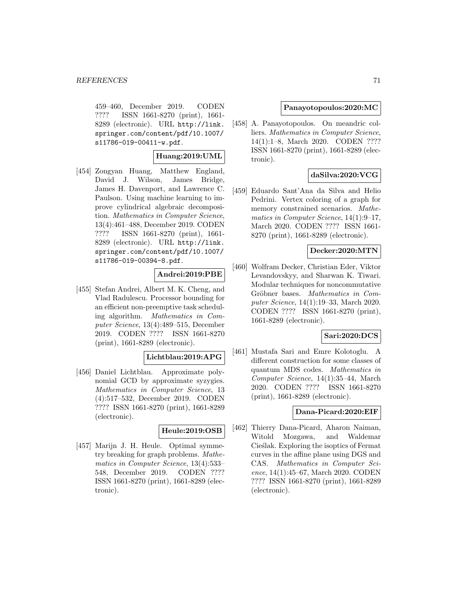459–460, December 2019. CODEN ???? ISSN 1661-8270 (print), 1661- 8289 (electronic). URL http://link. springer.com/content/pdf/10.1007/ s11786-019-00411-w.pdf.

### **Huang:2019:UML**

[454] Zongyan Huang, Matthew England, David J. Wilson, James Bridge, James H. Davenport, and Lawrence C. Paulson. Using machine learning to improve cylindrical algebraic decomposition. Mathematics in Computer Science, 13(4):461–488, December 2019. CODEN ???? ISSN 1661-8270 (print), 1661- 8289 (electronic). URL http://link. springer.com/content/pdf/10.1007/ s11786-019-00394-8.pdf.

### **Andrei:2019:PBE**

[455] Stefan Andrei, Albert M. K. Cheng, and Vlad Radulescu. Processor bounding for an efficient non-preemptive task scheduling algorithm. Mathematics in Computer Science, 13(4):489–515, December 2019. CODEN ???? ISSN 1661-8270 (print), 1661-8289 (electronic).

# **Lichtblau:2019:APG**

[456] Daniel Lichtblau. Approximate polynomial GCD by approximate syzygies. Mathematics in Computer Science, 13 (4):517–532, December 2019. CODEN ???? ISSN 1661-8270 (print), 1661-8289 (electronic).

### **Heule:2019:OSB**

[457] Marijn J. H. Heule. Optimal symmetry breaking for graph problems. Mathematics in Computer Science, 13(4):533– 548, December 2019. CODEN ???? ISSN 1661-8270 (print), 1661-8289 (electronic).

### **Panayotopoulos:2020:MC**

[458] A. Panayotopoulos. On meandric colliers. Mathematics in Computer Science, 14(1):1–8, March 2020. CODEN ???? ISSN 1661-8270 (print), 1661-8289 (electronic).

# **daSilva:2020:VCG**

[459] Eduardo Sant'Ana da Silva and Helio Pedrini. Vertex coloring of a graph for memory constrained scenarios. Mathematics in Computer Science, 14(1):9–17, March 2020. CODEN ???? ISSN 1661- 8270 (print), 1661-8289 (electronic).

### **Decker:2020:MTN**

[460] Wolfram Decker, Christian Eder, Viktor Levandovskyy, and Sharwan K. Tiwari. Modular techniques for noncommutative Gröbner bases. Mathematics in Computer Science, 14(1):19–33, March 2020. CODEN ???? ISSN 1661-8270 (print), 1661-8289 (electronic).

### **Sari:2020:DCS**

[461] Mustafa Sari and Emre Kolotoglu. A different construction for some classes of quantum MDS codes. Mathematics in Computer Science, 14(1):35–44, March 2020. CODEN ???? ISSN 1661-8270 (print), 1661-8289 (electronic).

#### **Dana-Picard:2020:EIF**

[462] Thierry Dana-Picard, Aharon Naiman, Witold Mozgawa, and Waldemar Ciestak. Exploring the isoptics of Fermat curves in the affine plane using DGS and CAS. Mathematics in Computer Science, 14(1):45–67, March 2020. CODEN ???? ISSN 1661-8270 (print), 1661-8289 (electronic).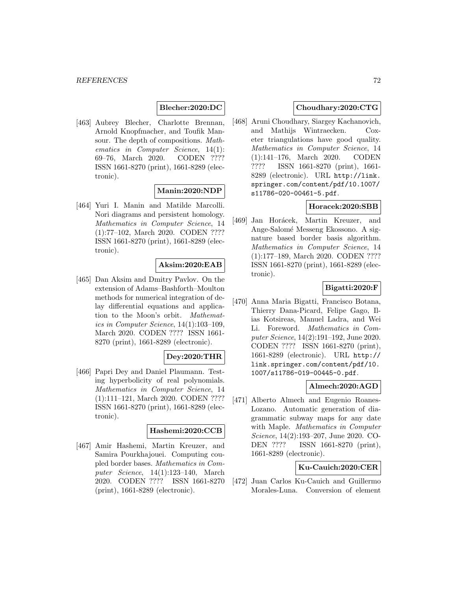## **Blecher:2020:DC**

[463] Aubrey Blecher, Charlotte Brennan, Arnold Knopfmacher, and Toufik Mansour. The depth of compositions. Mathematics in Computer Science, 14(1): 69–76, March 2020. CODEN ???? ISSN 1661-8270 (print), 1661-8289 (electronic).

# **Manin:2020:NDP**

[464] Yuri I. Manin and Matilde Marcolli. Nori diagrams and persistent homology. Mathematics in Computer Science, 14 (1):77–102, March 2020. CODEN ???? ISSN 1661-8270 (print), 1661-8289 (electronic).

### **Aksim:2020:EAB**

[465] Dan Aksim and Dmitry Pavlov. On the extension of Adams–Bashforth–Moulton methods for numerical integration of delay differential equations and application to the Moon's orbit. Mathematics in Computer Science, 14(1):103–109, March 2020. CODEN ???? ISSN 1661- 8270 (print), 1661-8289 (electronic).

# **Dey:2020:THR**

[466] Papri Dey and Daniel Plaumann. Testing hyperbolicity of real polynomials. Mathematics in Computer Science, 14 (1):111–121, March 2020. CODEN ???? ISSN 1661-8270 (print), 1661-8289 (electronic).

### **Hashemi:2020:CCB**

[467] Amir Hashemi, Martin Kreuzer, and Samira Pourkhajouei. Computing coupled border bases. Mathematics in Computer Science, 14(1):123–140, March 2020. CODEN ???? ISSN 1661-8270 (print), 1661-8289 (electronic).

### **Choudhary:2020:CTG**

[468] Aruni Choudhary, Siargey Kachanovich, and Mathijs Wintraecken. Coxeter triangulations have good quality. Mathematics in Computer Science, 14 (1):141–176, March 2020. CODEN ???? ISSN 1661-8270 (print), 1661- 8289 (electronic). URL http://link. springer.com/content/pdf/10.1007/ s11786-020-00461-5.pdf.

### **Horacek:2020:SBB**

[469] Jan Horácek, Martin Kreuzer, and Ange-Salomé Messeng Ekossono. A signature based border basis algorithm. Mathematics in Computer Science, 14 (1):177–189, March 2020. CODEN ???? ISSN 1661-8270 (print), 1661-8289 (electronic).

### **Bigatti:2020:F**

[470] Anna Maria Bigatti, Francisco Botana, Thierry Dana-Picard, Felipe Gago, Ilias Kotsireas, Manuel Ladra, and Wei Li. Foreword. Mathematics in Computer Science, 14(2):191–192, June 2020. CODEN ???? ISSN 1661-8270 (print), 1661-8289 (electronic). URL http:// link.springer.com/content/pdf/10. 1007/s11786-019-00445-0.pdf.

#### **Almech:2020:AGD**

[471] Alberto Almech and Eugenio Roanes-Lozano. Automatic generation of diagrammatic subway maps for any date with Maple. Mathematics in Computer Science, 14(2):193–207, June 2020. CO-DEN ???? ISSN 1661-8270 (print), 1661-8289 (electronic).

### **Ku-Cauich:2020:CER**

[472] Juan Carlos Ku-Cauich and Guillermo Morales-Luna. Conversion of element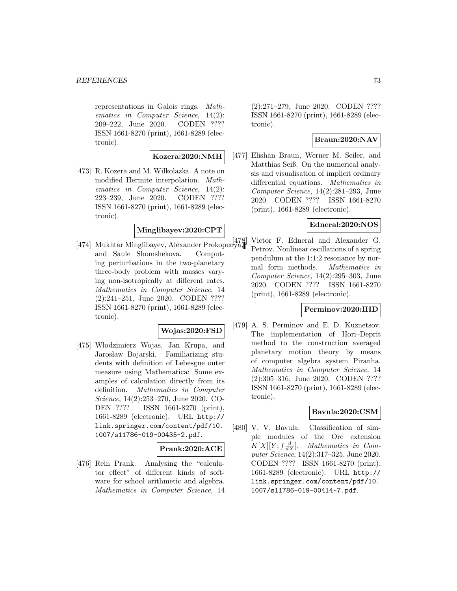#### **REFERENCES** 73

representations in Galois rings. Mathematics in Computer Science, 14(2): 209–222, June 2020. CODEN ???? ISSN 1661-8270 (print), 1661-8289 (electronic).

## **Kozera:2020:NMH**

[473] R. Kozera and M. Wilkołazka. A note on modified Hermite interpolation. Mathematics in Computer Science, 14(2): 223–239, June 2020. CODEN ???? ISSN 1661-8270 (print), 1661-8289 (electronic).

## **Minglibayev:2020:CPT**

[474] Mukhtar Minglibayev, Alexander Prokopenya, and Saule Shomshekova. Computing perturbations in the two-planetary three-body problem with masses varying non-isotropically at different rates. Mathematics in Computer Science, 14 (2):241–251, June 2020. CODEN ???? ISSN 1661-8270 (print), 1661-8289 (electronic).

### **Wojas:2020:FSD**

[475] W lodzimierz Wojas, Jan Krupa, and Jarosław Bojarski. Familiarizing students with definition of Lebesgue outer measure using Mathematica: Some examples of calculation directly from its definition. Mathematics in Computer Science, 14(2):253–270, June 2020. CO-DEN ???? ISSN 1661-8270 (print), 1661-8289 (electronic). URL http:// link.springer.com/content/pdf/10. 1007/s11786-019-00435-2.pdf.

#### **Prank:2020:ACE**

[476] Rein Prank. Analysing the "calculator effect" of different kinds of software for school arithmetic and algebra. Mathematics in Computer Science, 14 (2):271–279, June 2020. CODEN ???? ISSN 1661-8270 (print), 1661-8289 (electronic).

### **Braun:2020:NAV**

[477] Elishan Braun, Werner M. Seiler, and Matthias Seiß. On the numerical analysis and visualisation of implicit ordinary differential equations. Mathematics in Computer Science, 14(2):281–293, June 2020. CODEN ???? ISSN 1661-8270 (print), 1661-8289 (electronic).

### **Edneral:2020:NOS**

Victor F. Edneral and Alexander G. Petrov. Nonlinear oscillations of a spring pendulum at the 1:1:2 resonance by normal form methods. Mathematics in Computer Science, 14(2):295–303, June 2020. CODEN ???? ISSN 1661-8270 (print), 1661-8289 (electronic).

#### **Perminov:2020:IHD**

[479] A. S. Perminov and E. D. Kuznetsov. The implementation of Hori–Deprit method to the construction averaged planetary motion theory by means of computer algebra system Piranha. Mathematics in Computer Science, 14 (2):305–316, June 2020. CODEN ???? ISSN 1661-8270 (print), 1661-8289 (electronic).

### **Bavula:2020:CSM**

[480] V. V. Bavula. Classification of simple modules of the Ore extension  $K[X][Y; f\frac{d}{dX}]$ . Mathematics in Computer Science, 14(2):317–325, June 2020. CODEN ???? ISSN 1661-8270 (print), 1661-8289 (electronic). URL http:// link.springer.com/content/pdf/10. 1007/s11786-019-00414-7.pdf.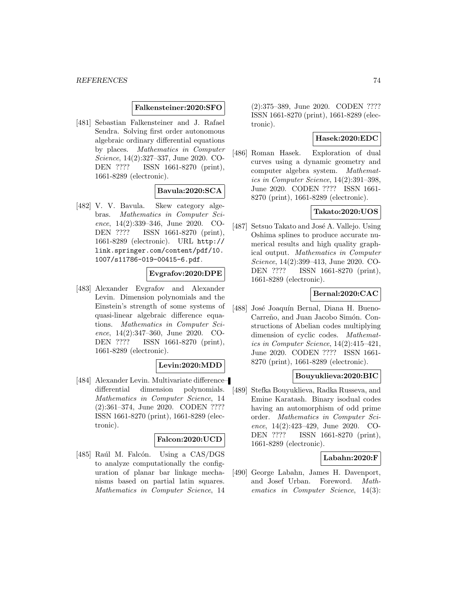#### **Falkensteiner:2020:SFO**

[481] Sebastian Falkensteiner and J. Rafael Sendra. Solving first order autonomous algebraic ordinary differential equations by places. Mathematics in Computer Science, 14(2):327–337, June 2020. CO-DEN ???? ISSN 1661-8270 (print), 1661-8289 (electronic).

# **Bavula:2020:SCA**

[482] V. V. Bavula. Skew category algebras. Mathematics in Computer Science, 14(2):339–346, June 2020. CO-DEN ???? ISSN 1661-8270 (print), 1661-8289 (electronic). URL http:// link.springer.com/content/pdf/10. 1007/s11786-019-00415-6.pdf.

### **Evgrafov:2020:DPE**

[483] Alexander Evgrafov and Alexander Levin. Dimension polynomials and the Einstein's strength of some systems of quasi-linear algebraic difference equations. Mathematics in Computer Science, 14(2):347–360, June 2020. CO-DEN ???? ISSN 1661-8270 (print), 1661-8289 (electronic).

#### **Levin:2020:MDD**

[484] Alexander Levin. Multivariate difference– differential dimension polynomials. Mathematics in Computer Science, 14 (2):361–374, June 2020. CODEN ???? ISSN 1661-8270 (print), 1661-8289 (electronic).

### **Falcon:2020:UCD**

[485] Raúl M. Falcón. Using a CAS/DGS to analyze computationally the configuration of planar bar linkage mechanisms based on partial latin squares. Mathematics in Computer Science, 14

(2):375–389, June 2020. CODEN ???? ISSN 1661-8270 (print), 1661-8289 (electronic).

## **Hasek:2020:EDC**

[486] Roman Hasek. Exploration of dual curves using a dynamic geometry and computer algebra system. Mathematics in Computer Science, 14(2):391–398, June 2020. CODEN ???? ISSN 1661- 8270 (print), 1661-8289 (electronic).

## **Takato:2020:UOS**

[487] Setsuo Takato and José A. Vallejo. Using Oshima splines to produce accurate numerical results and high quality graphical output. Mathematics in Computer Science, 14(2):399–413, June 2020. CO-DEN ???? ISSN 1661-8270 (print), 1661-8289 (electronic).

### **Bernal:2020:CAC**

[488] José Joaquín Bernal, Diana H. Bueno-Carreño, and Juan Jacobo Simón. Constructions of Abelian codes multiplying dimension of cyclic codes. Mathematics in Computer Science, 14(2):415–421, June 2020. CODEN ???? ISSN 1661- 8270 (print), 1661-8289 (electronic).

#### **Bouyuklieva:2020:BIC**

[489] Stefka Bouyuklieva, Radka Russeva, and Emine Karatash. Binary isodual codes having an automorphism of odd prime order. Mathematics in Computer Science, 14(2):423–429, June 2020. CO-DEN ???? ISSN 1661-8270 (print), 1661-8289 (electronic).

### **Labahn:2020:F**

[490] George Labahn, James H. Davenport, and Josef Urban. Foreword. Mathematics in Computer Science, 14(3):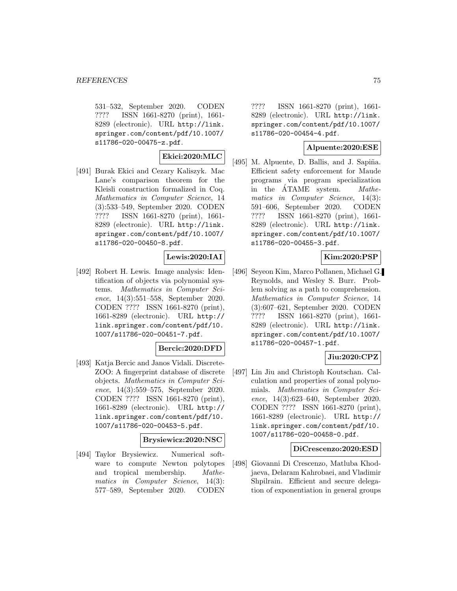531–532, September 2020. CODEN ???? ISSN 1661-8270 (print), 1661- 8289 (electronic). URL http://link. springer.com/content/pdf/10.1007/ s11786-020-00475-z.pdf.

### **Ekici:2020:MLC**

[491] Burak Ekici and Cezary Kaliszyk. Mac Lane's comparison theorem for the Kleisli construction formalized in Coq. Mathematics in Computer Science, 14 (3):533–549, September 2020. CODEN ???? ISSN 1661-8270 (print), 1661- 8289 (electronic). URL http://link. springer.com/content/pdf/10.1007/ s11786-020-00450-8.pdf.

# **Lewis:2020:IAI**

[492] Robert H. Lewis. Image analysis: Identification of objects via polynomial systems. Mathematics in Computer Science, 14(3):551–558, September 2020. CODEN ???? ISSN 1661-8270 (print), 1661-8289 (electronic). URL http:// link.springer.com/content/pdf/10. 1007/s11786-020-00451-7.pdf.

### **Bercic:2020:DFD**

[493] Katja Bercic and Janos Vidali. Discrete-ZOO: A fingerprint database of discrete objects. Mathematics in Computer Science, 14(3):559–575, September 2020. CODEN ???? ISSN 1661-8270 (print), 1661-8289 (electronic). URL http:// link.springer.com/content/pdf/10. 1007/s11786-020-00453-5.pdf.

### **Brysiewicz:2020:NSC**

[494] Taylor Brysiewicz. Numerical software to compute Newton polytopes and tropical membership. Mathematics in Computer Science, 14(3): 577–589, September 2020. CODEN

???? ISSN 1661-8270 (print), 1661- 8289 (electronic). URL http://link. springer.com/content/pdf/10.1007/ s11786-020-00454-4.pdf.

### **Alpuente:2020:ESE**

[495] M. Alpuente, D. Ballis, and J. Sapiña. Efficient safety enforcement for Maude programs via program specialization in the ATAME system. *Mathe*matics in Computer Science, 14(3): 591–606, September 2020. CODEN ???? ISSN 1661-8270 (print), 1661- 8289 (electronic). URL http://link. springer.com/content/pdf/10.1007/ s11786-020-00455-3.pdf.

## **Kim:2020:PSP**

[496] Seyeon Kim, Marco Pollanen, Michael G. Reynolds, and Wesley S. Burr. Problem solving as a path to comprehension. Mathematics in Computer Science, 14 (3):607–621, September 2020. CODEN ???? ISSN 1661-8270 (print), 1661- 8289 (electronic). URL http://link. springer.com/content/pdf/10.1007/ s11786-020-00457-1.pdf.

## **Jiu:2020:CPZ**

[497] Lin Jiu and Christoph Koutschan. Calculation and properties of zonal polynomials. Mathematics in Computer Science, 14(3):623–640, September 2020. CODEN ???? ISSN 1661-8270 (print), 1661-8289 (electronic). URL http:// link.springer.com/content/pdf/10. 1007/s11786-020-00458-0.pdf.

#### **DiCrescenzo:2020:ESD**

[498] Giovanni Di Crescenzo, Matluba Khodjaeva, Delaram Kahrobaei, and Vladimir Shpilrain. Efficient and secure delegation of exponentiation in general groups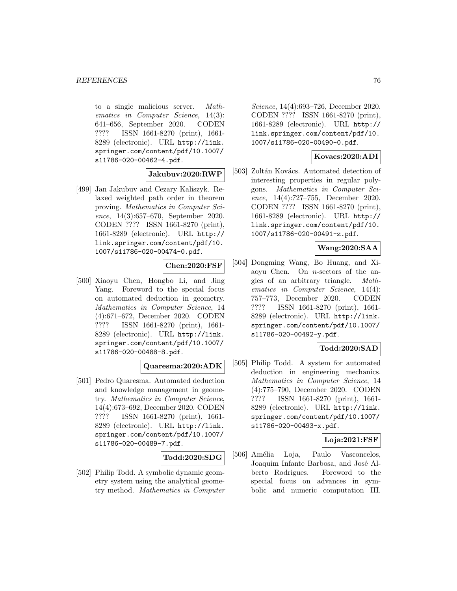to a single malicious server. Mathematics in Computer Science, 14(3): 641–656, September 2020. CODEN ???? ISSN 1661-8270 (print), 1661- 8289 (electronic). URL http://link. springer.com/content/pdf/10.1007/ s11786-020-00462-4.pdf.

## **Jakubuv:2020:RWP**

[499] Jan Jakubuv and Cezary Kaliszyk. Relaxed weighted path order in theorem proving. Mathematics in Computer Science, 14(3):657–670, September 2020. CODEN ???? ISSN 1661-8270 (print), 1661-8289 (electronic). URL http:// link.springer.com/content/pdf/10. 1007/s11786-020-00474-0.pdf.

### **Chen:2020:FSF**

[500] Xiaoyu Chen, Hongbo Li, and Jing Yang. Foreword to the special focus on automated deduction in geometry. Mathematics in Computer Science, 14 (4):671–672, December 2020. CODEN ???? ISSN 1661-8270 (print), 1661- 8289 (electronic). URL http://link. springer.com/content/pdf/10.1007/ s11786-020-00488-8.pdf.

### **Quaresma:2020:ADK**

[501] Pedro Quaresma. Automated deduction and knowledge management in geometry. Mathematics in Computer Science, 14(4):673–692, December 2020. CODEN ???? ISSN 1661-8270 (print), 1661- 8289 (electronic). URL http://link. springer.com/content/pdf/10.1007/ s11786-020-00489-7.pdf.

#### **Todd:2020:SDG**

[502] Philip Todd. A symbolic dynamic geometry system using the analytical geometry method. Mathematics in Computer

Science, 14(4):693–726, December 2020. CODEN ???? ISSN 1661-8270 (print), 1661-8289 (electronic). URL http:// link.springer.com/content/pdf/10. 1007/s11786-020-00490-0.pdf.

### **Kovacs:2020:ADI**

[503] Zoltán Kovács. Automated detection of interesting properties in regular polygons. Mathematics in Computer Science, 14(4):727–755, December 2020. CODEN ???? ISSN 1661-8270 (print), 1661-8289 (electronic). URL http:// link.springer.com/content/pdf/10. 1007/s11786-020-00491-z.pdf.

# **Wang:2020:SAA**

[504] Dongming Wang, Bo Huang, and Xiaoyu Chen. On n-sectors of the angles of an arbitrary triangle. Mathematics in Computer Science, 14(4): 757–773, December 2020. CODEN ???? ISSN 1661-8270 (print), 1661- 8289 (electronic). URL http://link. springer.com/content/pdf/10.1007/ s11786-020-00492-y.pdf.

# **Todd:2020:SAD**

[505] Philip Todd. A system for automated deduction in engineering mechanics. Mathematics in Computer Science, 14 (4):775–790, December 2020. CODEN ???? ISSN 1661-8270 (print), 1661- 8289 (electronic). URL http://link. springer.com/content/pdf/10.1007/ s11786-020-00493-x.pdf.

### **Loja:2021:FSF**

[506] Amélia Loja, Paulo Vasconcelos, Joaquim Infante Barbosa, and José Alberto Rodrigues. Foreword to the special focus on advances in symbolic and numeric computation III.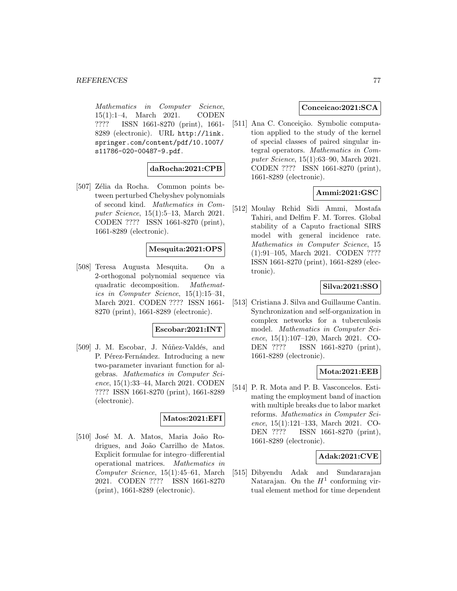Mathematics in Computer Science, 15(1):1–4, March 2021. CODEN ???? ISSN 1661-8270 (print), 1661- 8289 (electronic). URL http://link. springer.com/content/pdf/10.1007/ s11786-020-00487-9.pdf.

## **daRocha:2021:CPB**

[507] Zélia da Rocha. Common points between perturbed Chebyshev polynomials of second kind. Mathematics in Computer Science, 15(1):5–13, March 2021. CODEN ???? ISSN 1661-8270 (print), 1661-8289 (electronic).

## **Mesquita:2021:OPS**

[508] Teresa Augusta Mesquita. On a 2-orthogonal polynomial sequence via quadratic decomposition. Mathematics in Computer Science, 15(1):15–31, March 2021. CODEN ???? ISSN 1661- 8270 (print), 1661-8289 (electronic).

#### **Escobar:2021:INT**

[509] J. M. Escobar, J. Núñez-Valdés, and P. Pérez-Fernández. Introducing a new two-parameter invariant function for algebras. Mathematics in Computer Science, 15(1):33–44, March 2021. CODEN ???? ISSN 1661-8270 (print), 1661-8289 (electronic).

# **Matos:2021:EFI**

[510] José M. A. Matos, Maria João Rodrigues, and João Carrilho de Matos. Explicit formulae for integro–differential operational matrices. Mathematics in Computer Science, 15(1):45–61, March 2021. CODEN ???? ISSN 1661-8270 (print), 1661-8289 (electronic).

### **Conceicao:2021:SCA**

[511] Ana C. Conceição. Symbolic computation applied to the study of the kernel of special classes of paired singular integral operators. Mathematics in Computer Science, 15(1):63–90, March 2021. CODEN ???? ISSN 1661-8270 (print), 1661-8289 (electronic).

## **Ammi:2021:GSC**

[512] Moulay Rchid Sidi Ammi, Mostafa Tahiri, and Delfim F. M. Torres. Global stability of a Caputo fractional SIRS model with general incidence rate. Mathematics in Computer Science, 15 (1):91–105, March 2021. CODEN ???? ISSN 1661-8270 (print), 1661-8289 (electronic).

### **Silva:2021:SSO**

[513] Cristiana J. Silva and Guillaume Cantin. Synchronization and self-organization in complex networks for a tuberculosis model. Mathematics in Computer Science, 15(1):107–120, March 2021. CO-DEN ???? ISSN 1661-8270 (print), 1661-8289 (electronic).

## **Mota:2021:EEB**

[514] P. R. Mota and P. B. Vasconcelos. Estimating the employment band of inaction with multiple breaks due to labor market reforms. Mathematics in Computer Science, 15(1):121–133, March 2021. CO-DEN ???? ISSN 1661-8270 (print), 1661-8289 (electronic).

### **Adak:2021:CVE**

[515] Dibyendu Adak and Sundararajan Natarajan. On the  $H^1$  conforming virtual element method for time dependent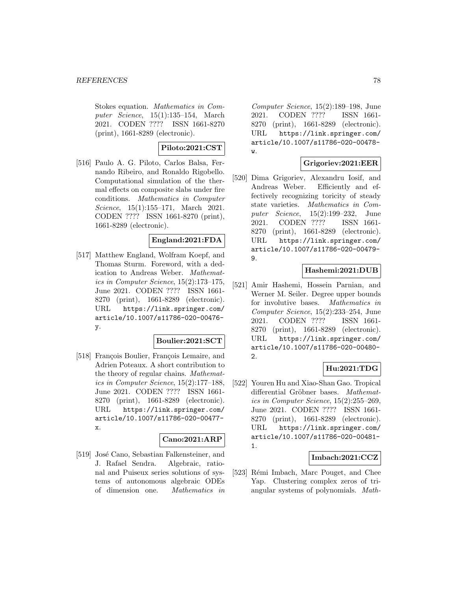Stokes equation. Mathematics in Computer Science, 15(1):135–154, March 2021. CODEN ???? ISSN 1661-8270 (print), 1661-8289 (electronic).

# **Piloto:2021:CST**

[516] Paulo A. G. Piloto, Carlos Balsa, Fernando Ribeiro, and Ronaldo Rigobello. Computational simulation of the thermal effects on composite slabs under fire conditions. Mathematics in Computer Science, 15(1):155–171, March 2021. CODEN ???? ISSN 1661-8270 (print), 1661-8289 (electronic).

### **England:2021:FDA**

[517] Matthew England, Wolfram Koepf, and Thomas Sturm. Foreword, with a dedication to Andreas Weber. Mathematics in Computer Science, 15(2):173–175, June 2021. CODEN ???? ISSN 1661- 8270 (print), 1661-8289 (electronic). URL https://link.springer.com/ article/10.1007/s11786-020-00476 y.

### **Boulier:2021:SCT**

[518] François Boulier, François Lemaire, and Adrien Poteaux. A short contribution to the theory of regular chains. Mathematics in Computer Science, 15(2):177–188, June 2021. CODEN ???? ISSN 1661- 8270 (print), 1661-8289 (electronic). URL https://link.springer.com/ article/10.1007/s11786-020-00477 x.

### **Cano:2021:ARP**

[519] José Cano, Sebastian Falkensteiner, and J. Rafael Sendra. Algebraic, rational and Puiseux series solutions of systems of autonomous algebraic ODEs of dimension one. Mathematics in Computer Science, 15(2):189–198, June 2021. CODEN ???? ISSN 1661- 8270 (print), 1661-8289 (electronic). URL https://link.springer.com/ article/10.1007/s11786-020-00478 w.

### **Grigoriev:2021:EER**

[520] Dima Grigoriev, Alexandru Iosif, and Andreas Weber. Efficiently and effectively recognizing toricity of steady state varieties. Mathematics in Computer Science, 15(2):199–232, June 2021. CODEN ???? ISSN 1661- 8270 (print), 1661-8289 (electronic). URL https://link.springer.com/ article/10.1007/s11786-020-00479- 9.

# **Hashemi:2021:DUB**

[521] Amir Hashemi, Hossein Parnian, and Werner M. Seiler. Degree upper bounds for involutive bases. Mathematics in Computer Science, 15(2):233–254, June 2021. CODEN ???? ISSN 1661- 8270 (print), 1661-8289 (electronic). URL https://link.springer.com/ article/10.1007/s11786-020-00480- 2.

### **Hu:2021:TDG**

[522] Youren Hu and Xiao-Shan Gao. Tropical differential Gröbner bases. Mathematics in Computer Science, 15(2):255–269, June 2021. CODEN ???? ISSN 1661- 8270 (print), 1661-8289 (electronic). URL https://link.springer.com/ article/10.1007/s11786-020-00481- 1.

### **Imbach:2021:CCZ**

[523] Rémi Imbach, Marc Pouget, and Chee Yap. Clustering complex zeros of triangular systems of polynomials. Math-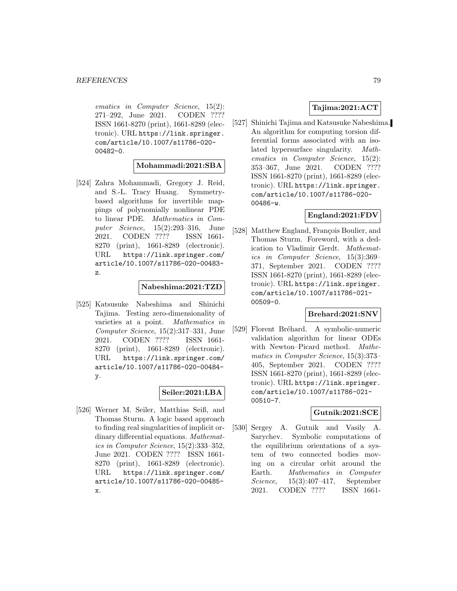ematics in Computer Science, 15(2): 271–292, June 2021. CODEN ???? ISSN 1661-8270 (print), 1661-8289 (electronic). URL https://link.springer. com/article/10.1007/s11786-020- 00482-0.

### **Mohammadi:2021:SBA**

[524] Zahra Mohammadi, Gregory J. Reid, and S.-L. Tracy Huang. Symmetrybased algorithms for invertible mappings of polynomially nonlinear PDE to linear PDE. Mathematics in Computer Science, 15(2):293–316, June 2021. CODEN ???? ISSN 1661- 8270 (print), 1661-8289 (electronic). URL https://link.springer.com/ article/10.1007/s11786-020-00483 z.

#### **Nabeshima:2021:TZD**

[525] Katsusuke Nabeshima and Shinichi Tajima. Testing zero-dimensionality of varieties at a point. Mathematics in Computer Science, 15(2):317–331, June 2021. CODEN ???? ISSN 1661- 8270 (print), 1661-8289 (electronic). URL https://link.springer.com/ article/10.1007/s11786-020-00484 y.

#### **Seiler:2021:LBA**

[526] Werner M. Seiler, Matthias Seiß, and Thomas Sturm. A logic based approach to finding real singularities of implicit ordinary differential equations. Mathematics in Computer Science, 15(2):333–352, June 2021. CODEN ???? ISSN 1661- 8270 (print), 1661-8289 (electronic). URL https://link.springer.com/ article/10.1007/s11786-020-00485 x.

# **Tajima:2021:ACT**

[527] Shinichi Tajima and Katsusuke Nabeshima. An algorithm for computing torsion differential forms associated with an isolated hypersurface singularity. Mathematics in Computer Science, 15(2): 353–367, June 2021. CODEN ???? ISSN 1661-8270 (print), 1661-8289 (electronic). URL https://link.springer. com/article/10.1007/s11786-020- 00486-w.

### **England:2021:FDV**

[528] Matthew England, François Boulier, and Thomas Sturm. Foreword, with a dedication to Vladimir Gerdt. Mathematics in Computer Science, 15(3):369– 371, September 2021. CODEN ???? ISSN 1661-8270 (print), 1661-8289 (electronic). URL https://link.springer. com/article/10.1007/s11786-021- 00509-0.

#### **Brehard:2021:SNV**

[529] Florent Bréhard. A symbolic-numeric validation algorithm for linear ODEs with Newton–Picard method. Mathematics in Computer Science, 15(3):373– 405, September 2021. CODEN ???? ISSN 1661-8270 (print), 1661-8289 (electronic). URL https://link.springer. com/article/10.1007/s11786-021- 00510-7.

### **Gutnik:2021:SCE**

[530] Sergey A. Gutnik and Vasily A. Sarychev. Symbolic computations of the equilibrium orientations of a system of two connected bodies moving on a circular orbit around the Earth. Mathematics in Computer Science, 15(3):407–417, September 2021. CODEN ???? ISSN 1661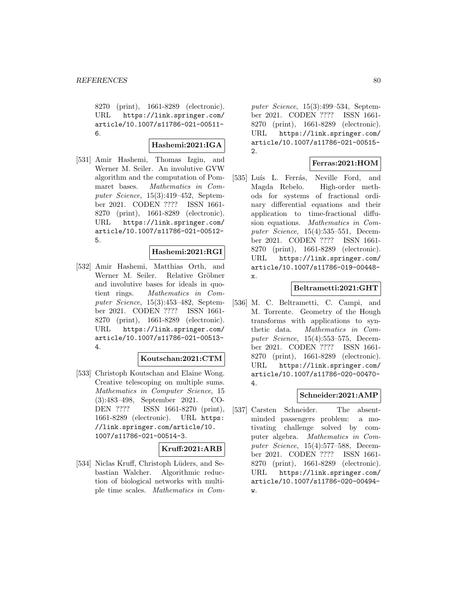8270 (print), 1661-8289 (electronic). URL https://link.springer.com/ article/10.1007/s11786-021-00511- 6.

#### **Hashemi:2021:IGA**

[531] Amir Hashemi, Thomas Izgin, and Werner M. Seiler. An involutive GVW algorithm and the computation of Pommaret bases. Mathematics in Computer Science, 15(3):419–452, September 2021. CODEN ???? ISSN 1661- 8270 (print), 1661-8289 (electronic). URL https://link.springer.com/ article/10.1007/s11786-021-00512- 5.

#### **Hashemi:2021:RGI**

[532] Amir Hashemi, Matthias Orth, and Werner M. Seiler. Relative Gröbner and involutive bases for ideals in quotient rings. Mathematics in Computer Science, 15(3):453–482, September 2021. CODEN ???? ISSN 1661- 8270 (print), 1661-8289 (electronic). URL https://link.springer.com/ article/10.1007/s11786-021-00513- 4.

### **Koutschan:2021:CTM**

[533] Christoph Koutschan and Elaine Wong. Creative telescoping on multiple sums. Mathematics in Computer Science, 15 (3):483–498, September 2021. CO-DEN ???? ISSN 1661-8270 (print), 1661-8289 (electronic). URL https: //link.springer.com/article/10. 1007/s11786-021-00514-3.

### **Kruff:2021:ARB**

[534] Niclas Kruff, Christoph Lüders, and Sebastian Walcher. Algorithmic reduction of biological networks with multiple time scales. Mathematics in Computer Science, 15(3):499–534, September 2021. CODEN ???? ISSN 1661- 8270 (print), 1661-8289 (electronic). URL https://link.springer.com/ article/10.1007/s11786-021-00515- 2.

## **Ferras:2021:HOM**

[535] Luís L. Ferrás, Neville Ford, and Magda Rebelo. High-order methods for systems of fractional ordinary differential equations and their application to time-fractional diffusion equations. Mathematics in Computer Science, 15(4):535–551, December 2021. CODEN ???? ISSN 1661- 8270 (print), 1661-8289 (electronic). URL https://link.springer.com/ article/10.1007/s11786-019-00448 x.

### **Beltrametti:2021:GHT**

[536] M. C. Beltrametti, C. Campi, and M. Torrente. Geometry of the Hough transforms with applications to synthetic data. Mathematics in Computer Science, 15(4):553–575, December 2021. CODEN ???? ISSN 1661- 8270 (print), 1661-8289 (electronic). URL https://link.springer.com/ article/10.1007/s11786-020-00470- 4.

## **Schneider:2021:AMP**

[537] Carsten Schneider. The absentminded passengers problem: a motivating challenge solved by computer algebra. Mathematics in Computer Science, 15(4):577–588, December 2021. CODEN ???? ISSN 1661- 8270 (print), 1661-8289 (electronic). URL https://link.springer.com/ article/10.1007/s11786-020-00494 w.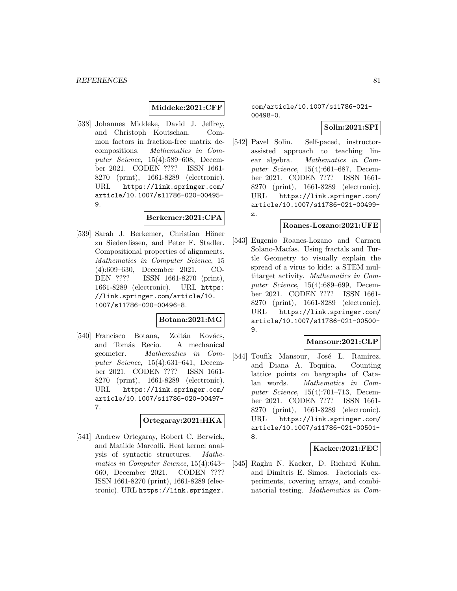### **Middeke:2021:CFF**

[538] Johannes Middeke, David J. Jeffrey, and Christoph Koutschan. Common factors in fraction-free matrix decompositions. Mathematics in Computer Science, 15(4):589–608, December 2021. CODEN ???? ISSN 1661- 8270 (print), 1661-8289 (electronic). URL https://link.springer.com/ article/10.1007/s11786-020-00495- 9.

# **Berkemer:2021:CPA**

[539] Sarah J. Berkemer, Christian Höner zu Siederdissen, and Peter F. Stadler. Compositional properties of alignments. Mathematics in Computer Science, 15 (4):609–630, December 2021. CO-DEN ???? ISSN 1661-8270 (print), 1661-8289 (electronic). URL https: //link.springer.com/article/10. 1007/s11786-020-00496-8.

### **Botana:2021:MG**

[540] Francisco Botana, Zoltán Kovács, and Tomás Recio. A mechanical geometer. Mathematics in Computer Science, 15(4):631–641, December 2021. CODEN ???? ISSN 1661- 8270 (print), 1661-8289 (electronic). URL https://link.springer.com/ article/10.1007/s11786-020-00497- 7.

### **Ortegaray:2021:HKA**

[541] Andrew Ortegaray, Robert C. Berwick, and Matilde Marcolli. Heat kernel analysis of syntactic structures. Mathematics in Computer Science, 15(4):643– 660, December 2021. CODEN ???? ISSN 1661-8270 (print), 1661-8289 (electronic). URL https://link.springer.

com/article/10.1007/s11786-021- 00498-0.

## **Solin:2021:SPI**

[542] Pavel Solin. Self-paced, instructorassisted approach to teaching linear algebra. Mathematics in Computer Science, 15(4):661–687, December 2021. CODEN ???? ISSN 1661- 8270 (print), 1661-8289 (electronic). URL https://link.springer.com/ article/10.1007/s11786-021-00499 z.

#### **Roanes-Lozano:2021:UFE**

[543] Eugenio Roanes-Lozano and Carmen Solano-Macías. Using fractals and Turtle Geometry to visually explain the spread of a virus to kids: a STEM multitarget activity. Mathematics in Computer Science, 15(4):689–699, December 2021. CODEN ???? ISSN 1661- 8270 (print), 1661-8289 (electronic). URL https://link.springer.com/ article/10.1007/s11786-021-00500- 9.

# **Mansour:2021:CLP**

[544] Toufik Mansour, José L. Ramírez, and Diana A. Toquica. Counting lattice points on bargraphs of Catalan words. Mathematics in Computer Science, 15(4):701–713, December 2021. CODEN ???? ISSN 1661- 8270 (print), 1661-8289 (electronic). URL https://link.springer.com/ article/10.1007/s11786-021-00501- 8.

#### **Kacker:2021:FEC**

[545] Raghu N. Kacker, D. Richard Kuhn, and Dimitris E. Simos. Factorials experiments, covering arrays, and combinatorial testing. Mathematics in Com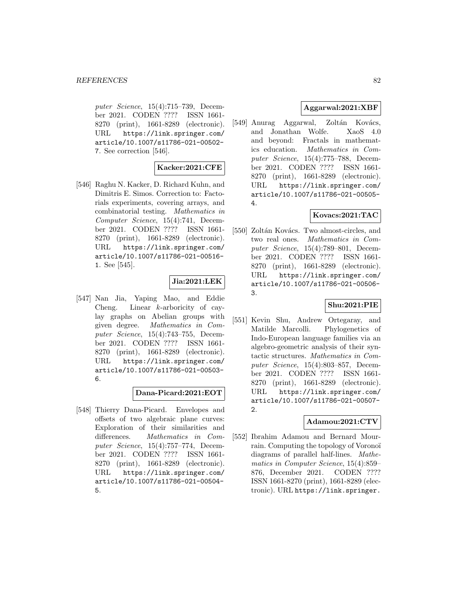puter Science, 15(4):715–739, December 2021. CODEN ???? ISSN 1661- 8270 (print), 1661-8289 (electronic). URL https://link.springer.com/ article/10.1007/s11786-021-00502- 7. See correction [546].

## **Kacker:2021:CFE**

[546] Raghu N. Kacker, D. Richard Kuhn, and Dimitris E. Simos. Correction to: Factorials experiments, covering arrays, and combinatorial testing. Mathematics in Computer Science, 15(4):741, December 2021. CODEN ???? ISSN 1661- 8270 (print), 1661-8289 (electronic). URL https://link.springer.com/ article/10.1007/s11786-021-00516- 1. See [545].

## **Jia:2021:LEK**

[547] Nan Jia, Yaping Mao, and Eddie Cheng. Linear k-arboricity of caylay graphs on Abelian groups with given degree. Mathematics in Computer Science, 15(4):743–755, December 2021. CODEN ???? ISSN 1661- 8270 (print), 1661-8289 (electronic). URL https://link.springer.com/ article/10.1007/s11786-021-00503- 6.

## **Dana-Picard:2021:EOT**

[548] Thierry Dana-Picard. Envelopes and offsets of two algebraic plane curves: Exploration of their similarities and differences. Mathematics in Computer Science, 15(4):757–774, December 2021. CODEN ???? ISSN 1661- 8270 (print), 1661-8289 (electronic). URL https://link.springer.com/ article/10.1007/s11786-021-00504- 5.

# **Aggarwal:2021:XBF**

[549] Anurag Aggarwal, Zoltán Kovács, and Jonathan Wolfe. XaoS 4.0 and beyond: Fractals in mathematics education. Mathematics in Computer Science, 15(4):775–788, December 2021. CODEN ???? ISSN 1661- 8270 (print), 1661-8289 (electronic). URL https://link.springer.com/ article/10.1007/s11786-021-00505- 4.

# **Kovacs:2021:TAC**

[550] Zoltán Kovács. Two almost-circles, and two real ones. Mathematics in Computer Science, 15(4):789–801, December 2021. CODEN ???? ISSN 1661- 8270 (print), 1661-8289 (electronic). URL https://link.springer.com/ article/10.1007/s11786-021-00506- 3.

### **Shu:2021:PIE**

[551] Kevin Shu, Andrew Ortegaray, and Matilde Marcolli. Phylogenetics of Indo-European language families via an algebro-geometric analysis of their syntactic structures. Mathematics in Computer Science, 15(4):803–857, December 2021. CODEN ???? ISSN 1661- 8270 (print), 1661-8289 (electronic). URL https://link.springer.com/ article/10.1007/s11786-021-00507- 2.

#### **Adamou:2021:CTV**

[552] Ibrahim Adamou and Bernard Mourrain. Computing the topology of Voronoï diagrams of parallel half-lines. Mathematics in Computer Science, 15(4):859– 876, December 2021. CODEN ???? ISSN 1661-8270 (print), 1661-8289 (electronic). URL https://link.springer.